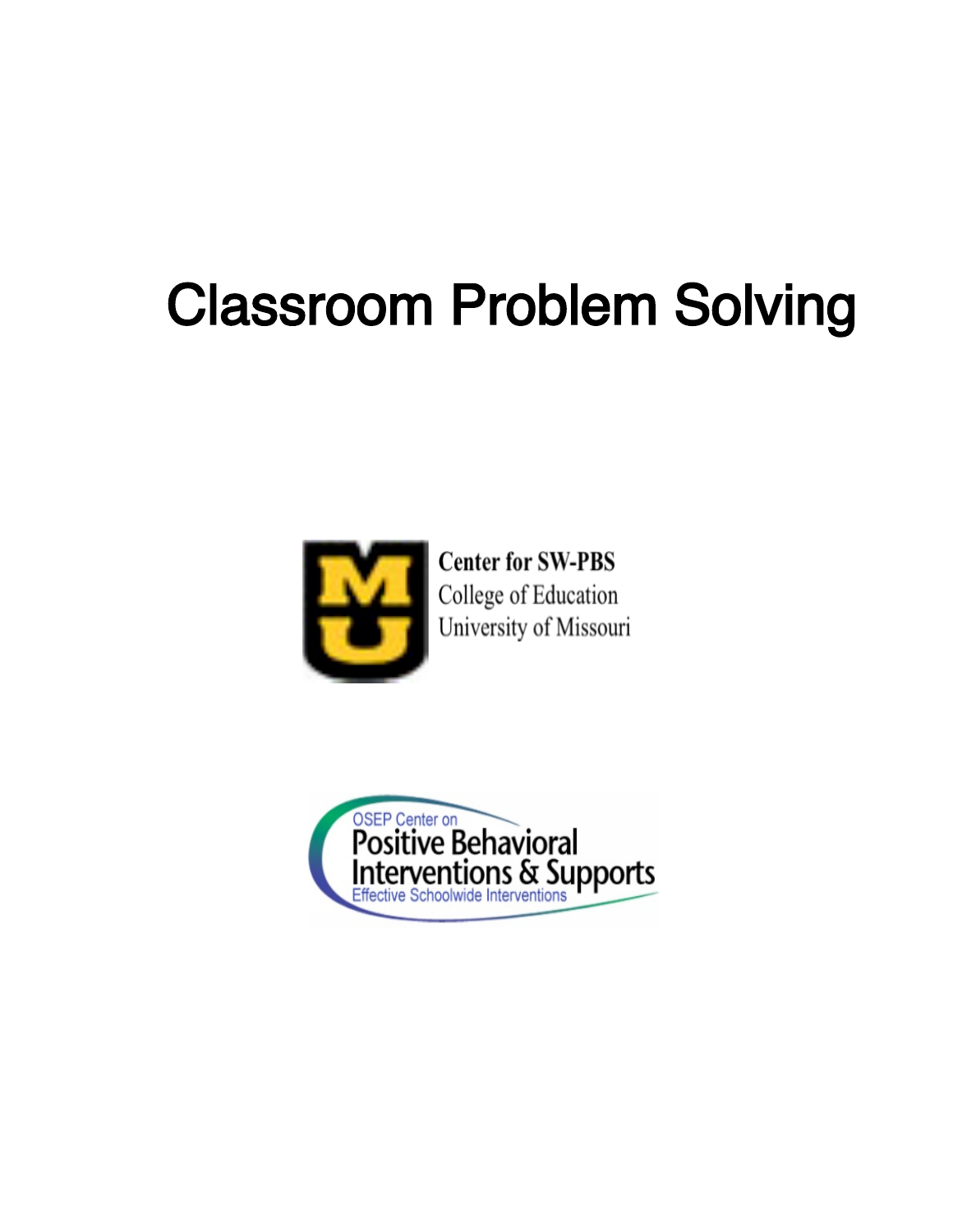# Classroom Problem Solving



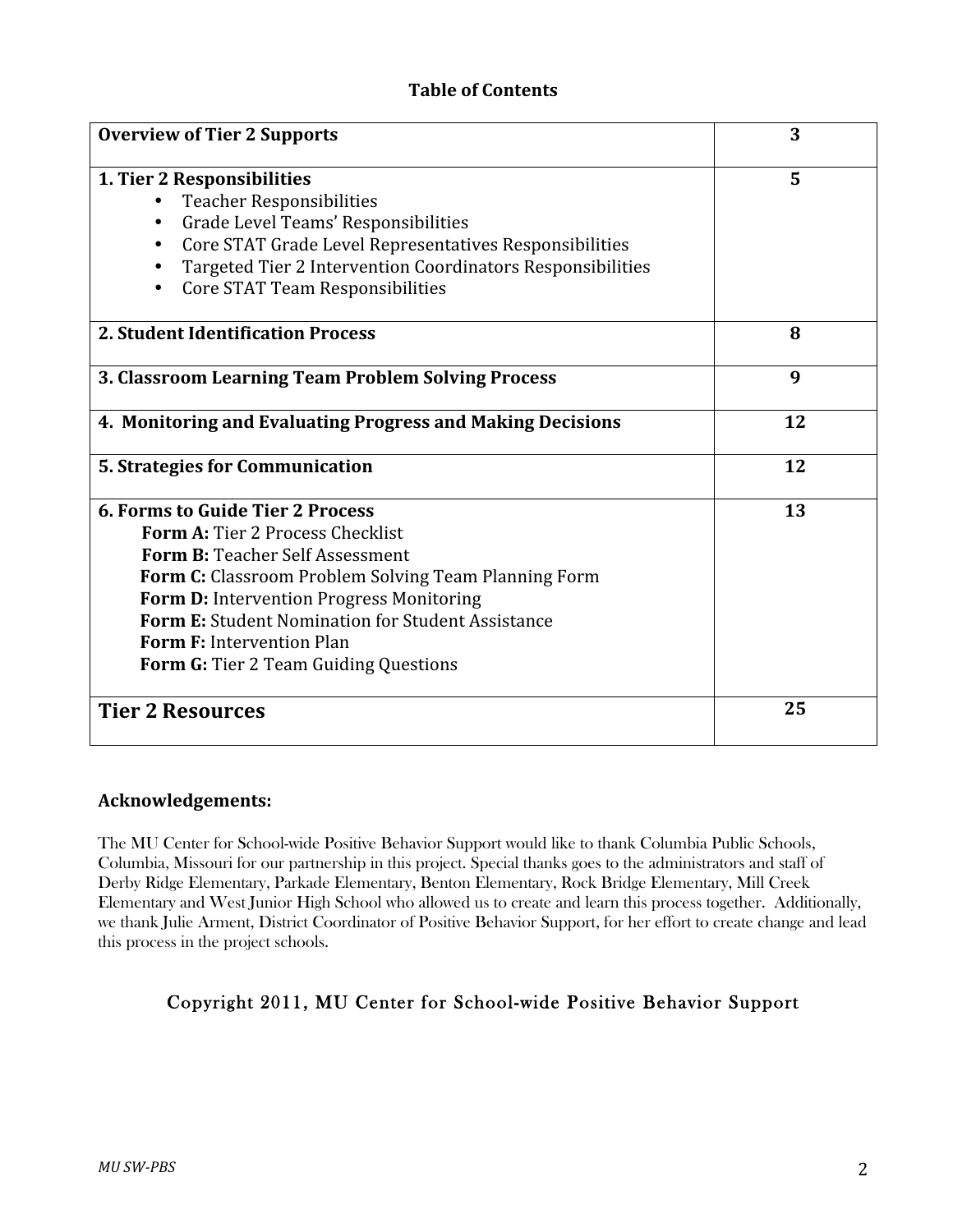#### **Table
of
Contents**

| <b>Overview of Tier 2 Supports</b>                                                                                                                                                                                                                                                                                                                                 | 3  |
|--------------------------------------------------------------------------------------------------------------------------------------------------------------------------------------------------------------------------------------------------------------------------------------------------------------------------------------------------------------------|----|
| 1. Tier 2 Responsibilities<br><b>Teacher Responsibilities</b><br>Grade Level Teams' Responsibilities<br>$\bullet$<br>Core STAT Grade Level Representatives Responsibilities<br>Targeted Tier 2 Intervention Coordinators Responsibilities<br>٠<br>Core STAT Team Responsibilities                                                                                  | 5  |
| <b>2. Student Identification Process</b>                                                                                                                                                                                                                                                                                                                           | 8  |
| 3. Classroom Learning Team Problem Solving Process                                                                                                                                                                                                                                                                                                                 | 9  |
| 4. Monitoring and Evaluating Progress and Making Decisions                                                                                                                                                                                                                                                                                                         | 12 |
| <b>5. Strategies for Communication</b>                                                                                                                                                                                                                                                                                                                             | 12 |
| <b>6. Forms to Guide Tier 2 Process</b><br>Form A: Tier 2 Process Checklist<br><b>Form B: Teacher Self Assessment</b><br>Form C: Classroom Problem Solving Team Planning Form<br>Form D: Intervention Progress Monitoring<br>Form E: Student Nomination for Student Assistance<br><b>Form F: Intervention Plan</b><br><b>Form G:</b> Tier 2 Team Guiding Questions | 13 |
| <b>Tier 2 Resources</b>                                                                                                                                                                                                                                                                                                                                            | 25 |

#### **Acknowledgements:**

The MU Center for School-wide Positive Behavior Support would like to thank Columbia Public Schools, Columbia, Missouri for our partnership in this project. Special thanks goes to the administrators and staff of Derby Ridge Elementary, Parkade Elementary, Benton Elementary, Rock Bridge Elementary, Mill Creek Elementary and West Junior High School who allowed us to create and learn this process together. Additionally, we thank Julie Arment, District Coordinator of Positive Behavior Support, for her effort to create change and lead this process in the project schools.

#### Copyright 2011, MU Center for School-wide Positive Behavior Support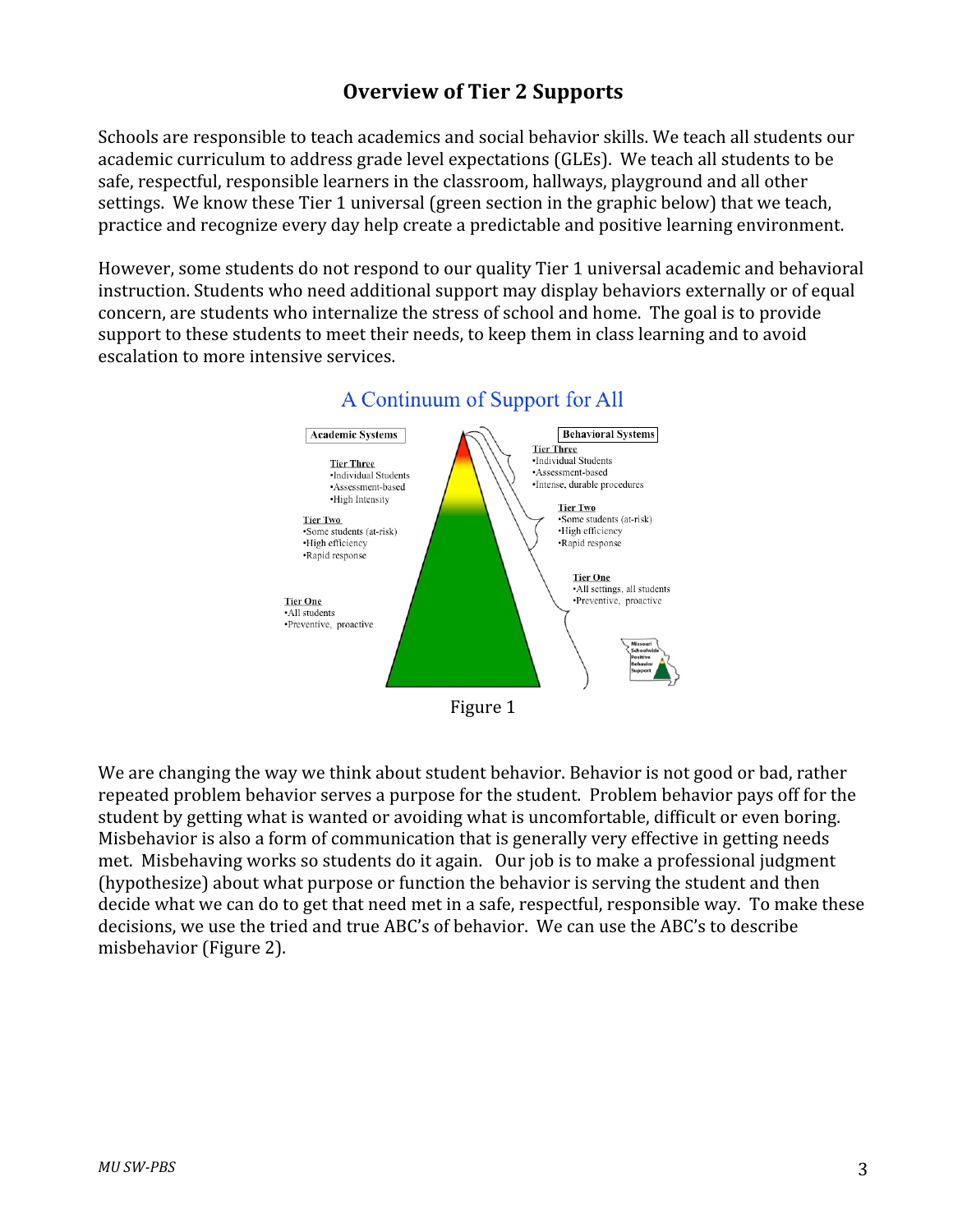# **Overview
of
Tier
2
Supports**

Schools are responsible to teach academics and social behavior skills. We teach all students our academic curriculum to address grade level expectations (GLEs). We teach all students to be safe, respectful, responsible learners in the classroom, hallways, playground and all other settings. We know these Tier 1 universal (green section in the graphic below) that we teach, practice and recognize every day help create a predictable and positive learning environment.

However, some students do not respond to our quality Tier 1 universal academic and behavioral instruction. Students who need additional support may display behaviors externally or of equal concern,
are
students
who
internalize
the
stress
of
school
and
home.

The
goal
is
to
provide support to these students to meet their needs, to keep them in class learning and to avoid escalation
to
more
intensive
services.



# A Continuum of Support for All

We are changing the way we think about student behavior. Behavior is not good or bad, rather repeated problem behavior serves a purpose for the student. Problem behavior pays off for the student by getting what is wanted or avoiding what is uncomfortable, difficult or even boring. Misbehavior is also a form of communication that is generally very effective in getting needs met. Misbehaving works so students do it again. Our job is to make a professional judgment (hypothesize) about what purpose or function the behavior is serving the student and then decide what we can do to get that need met in a safe, respectful, responsible way. To make these decisions, we use the tried and true ABC's of behavior. We can use the ABC's to describe misbehavior
(Figure
2).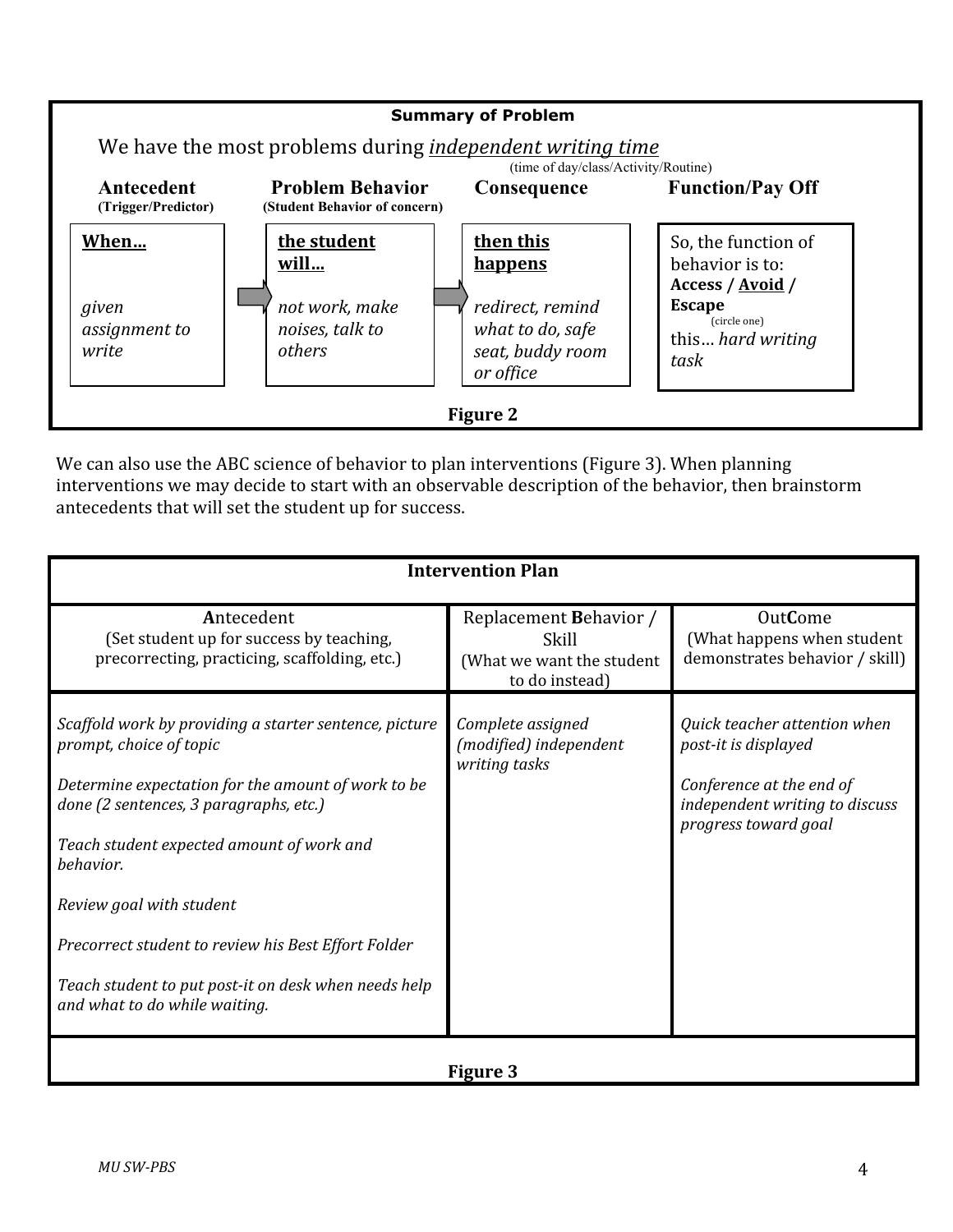

We can also use the ABC science of behavior to plan interventions (Figure 3). When planning interventions we may decide to start with an observable description of the behavior, then brainstorm antecedents
that
will
set
the
student
up
for
success.

|                                                                                                                                                                                                                                                                                                                                                                                                                         | <b>Intervention Plan</b>                                                       |                                                                                                                                            |  |  |  |  |
|-------------------------------------------------------------------------------------------------------------------------------------------------------------------------------------------------------------------------------------------------------------------------------------------------------------------------------------------------------------------------------------------------------------------------|--------------------------------------------------------------------------------|--------------------------------------------------------------------------------------------------------------------------------------------|--|--|--|--|
| Antecedent<br>(Set student up for success by teaching,<br>precorrecting, practicing, scaffolding, etc.)                                                                                                                                                                                                                                                                                                                 | Replacement Behavior /<br>Skill<br>(What we want the student<br>to do instead) | <b>OutCome</b><br>(What happens when student<br>demonstrates behavior / skill)                                                             |  |  |  |  |
| Scaffold work by providing a starter sentence, picture<br>prompt, choice of topic<br>Determine expectation for the amount of work to be<br>done (2 sentences, 3 paragraphs, etc.)<br>Teach student expected amount of work and<br>behavior.<br>Review goal with student<br>Precorrect student to review his Best Effort Folder<br>Teach student to put post-it on desk when needs help<br>and what to do while waiting. | Complete assigned<br>(modified) independent<br>writing tasks                   | Quick teacher attention when<br>post-it is displayed<br>Conference at the end of<br>independent writing to discuss<br>progress toward goal |  |  |  |  |
| Figure 3                                                                                                                                                                                                                                                                                                                                                                                                                |                                                                                |                                                                                                                                            |  |  |  |  |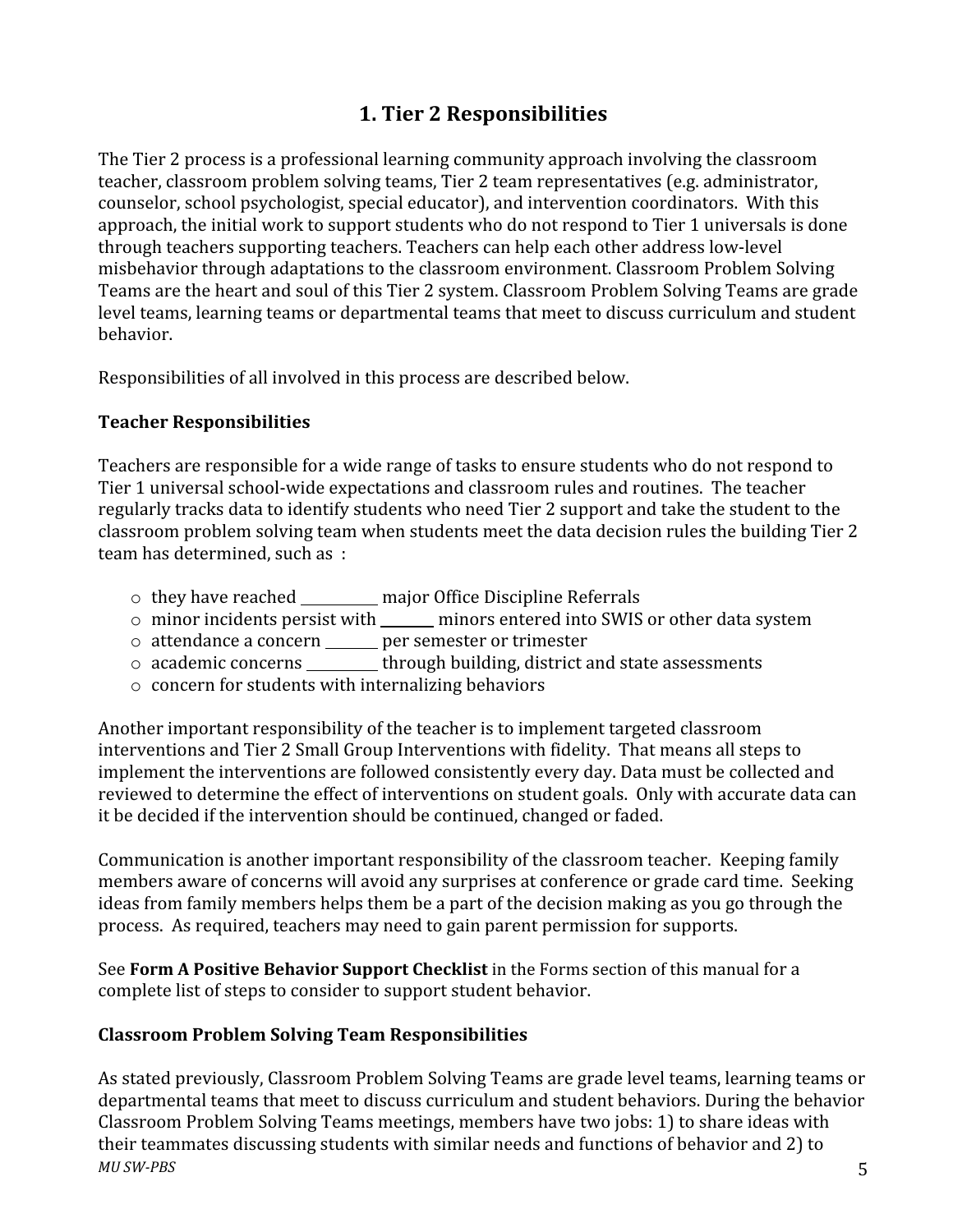# **1.
Tier
2
Responsibilities**

The
Tier
2
process
is
a
professional
learning
community
approach
involving
the
classroom teacher, classroom problem solving teams, Tier 2 team representatives (e.g. administrator, counselor,
school
psychologist,
special
educator),
and
intervention
coordinators.

With
this approach, the initial work to support students who do not respond to Tier 1 universals is done through
teachers
supporting
teachers.
Teachers
can
help
each
other
address
low‐level misbehavior
through
adaptations
to
the
classroom
environment.
Classroom
Problem
Solving Teams are the heart and soul of this Tier 2 system. Classroom Problem Solving Teams are grade level teams, learning teams or departmental teams that meet to discuss curriculum and student behavior.

Responsibilities of all involved in this process are described below.

#### **Teacher
Responsibilities**

Teachers are responsible for a wide range of tasks to ensure students who do not respond to Tier 1 universal school-wide expectations and classroom rules and routines. The teacher regularly tracks data to identify students who need Tier 2 support and take the student to the classroom
problem
solving
team
when
students
meet
the
data
decision
rules
the
building
Tier
2 team
has
determined,
such
as

:

- o they
have
reached major
Office
Discipline
Referrals
- o minor
incidents
persist
with minors
entered
into
SWIS
or
other
data
system
- o attendance
a
concern per
semester
or
trimester
- o academic
concerns through
building,
district
and
state
assessments
- o concern
for
students
with
internalizing
behaviors

Another important responsibility of the teacher is to implement targeted classroom interventions
and
Tier
2
Small
Group
Interventions
with
fidelity.

That
means
all
steps
to implement the interventions are followed consistently every day. Data must be collected and reviewed to determine the effect of interventions on student goals. Only with accurate data can it
be
decided
if
the
intervention
should
be
continued,
changed
or
faded.

Communication is another important responsibility of the classroom teacher. Keeping family members
aware
of
concerns
will
avoid
any
surprises
at
conference
or
grade
card
time.

Seeking ideas from family members helps them be a part of the decision making as you go through the process.

As
required,
teachers
may
need
to
gain
parent
permission
for
supports.

See **Form A Positive Behavior Support Checklist** in the Forms section of this manual for a complete
list
of
steps
to
consider
to
support
student
behavior.

#### **Classroom
Problem
Solving
Team
Responsibilities**

*MU
SWPBS* 5 As stated previously, Classroom Problem Solving Teams are grade level teams, learning teams or departmental teams that meet to discuss curriculum and student behaviors. During the behavior Classroom
Problem
Solving
Teams
meetings,
members
have
two
jobs:
1)
to
share
ideas
with their
teammates
discussing
students
with
similar
needs
and
functions
of
behavior
and
2)
to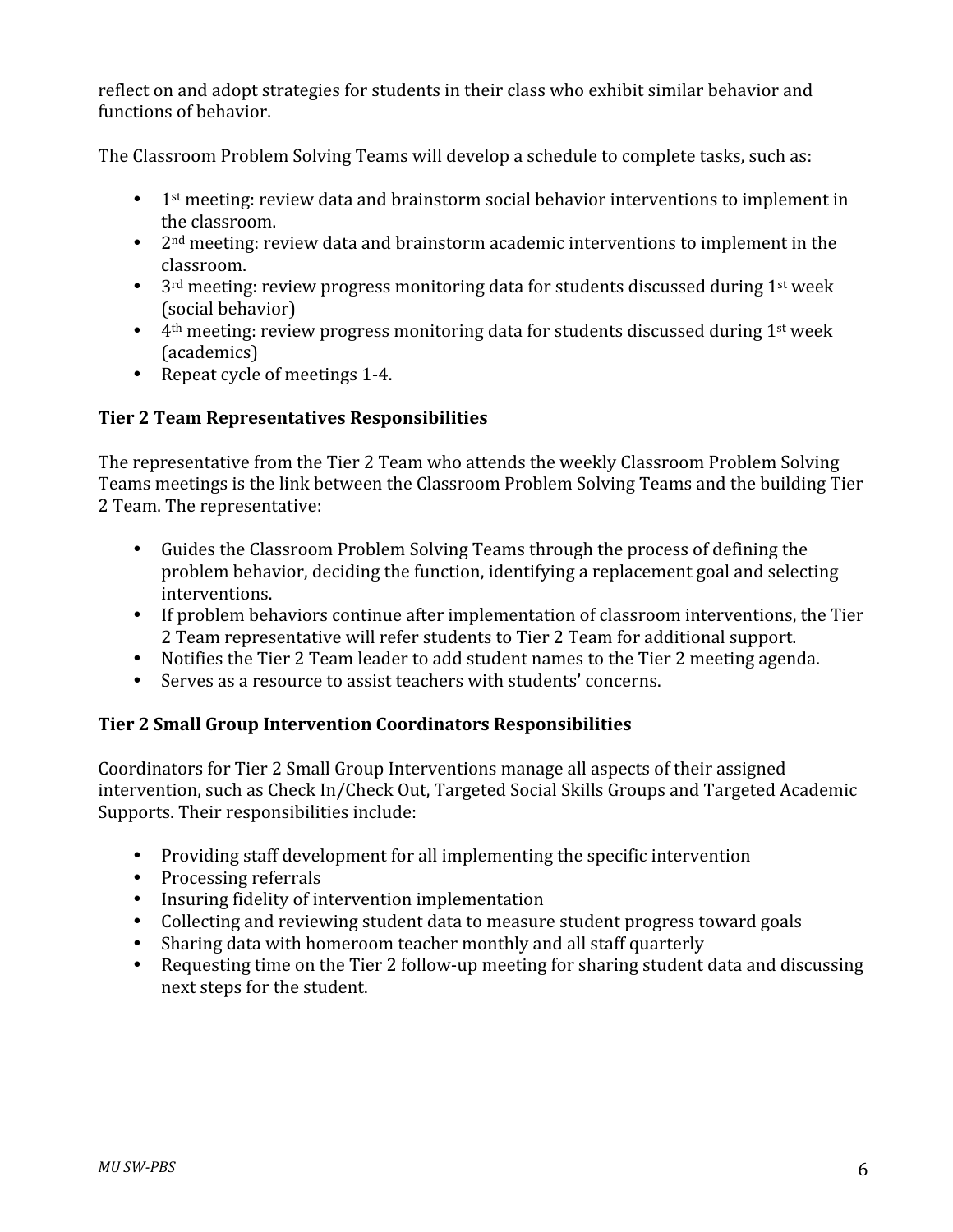reflect on and adopt strategies for students in their class who exhibit similar behavior and functions
of
behavior.

The Classroom Problem Solving Teams will develop a schedule to complete tasks, such as:

- 1<sup>st</sup> meeting: review data and brainstorm social behavior interventions to implement in the
classroom.
- 2<sup>nd</sup> meeting: review data and brainstorm academic interventions to implement in the classroom.
- 3<sup>rd</sup> meeting: review progress monitoring data for students discussed during 1<sup>st</sup> week (social
behavior)
- 4<sup>th</sup> meeting: review progress monitoring data for students discussed during 1<sup>st</sup> week (academics)
- Repeat cycle of meetings 1-4.

#### **Tier
2
Team
Representatives
Responsibilities**

The representative from the Tier 2 Team who attends the weekly Classroom Problem Solving Teams
meetings
is
the
link
between
the
Classroom
Problem
Solving
Teams
and
the
building
Tier 2
Team.
The
representative:

- Guides the Classroom Problem Solving Teams through the process of defining the problem
behavior,
deciding
the
function,
identifying
a
replacement
goal
and
selecting interventions.
- If problem behaviors continue after implementation of classroom interventions, the Tier 2 Team representative will refer students to Tier 2 Team for additional support.
- Notifies
the
Tier
2
Team
leader
to
add
student
names
to
the
Tier
2
meeting
agenda.
- Serves as a resource to assist teachers with students' concerns.

#### **Tier
2
Small
Group
Intervention
Coordinators
Responsibilities**

Coordinators
for
Tier
2
Small
Group
Interventions
manage
all
aspects
of
their
assigned intervention,
such
as
Check
In/Check
Out,
Targeted
Social
Skills
Groups
and
Targeted
Academic Supports.
Their
responsibilities
include:

- Providing staff development for all implementing the specific intervention
- Processing referrals
- Insuring fidelity of intervention implementation
- Collecting
and
reviewing
student
data
to
measure
student
progress
toward
goals
- Sharing
data
with
homeroom
teacher
monthly
and
all
staff
quarterly
- Requesting time on the Tier 2 follow-up meeting for sharing student data and discussing next
steps
for
the
student.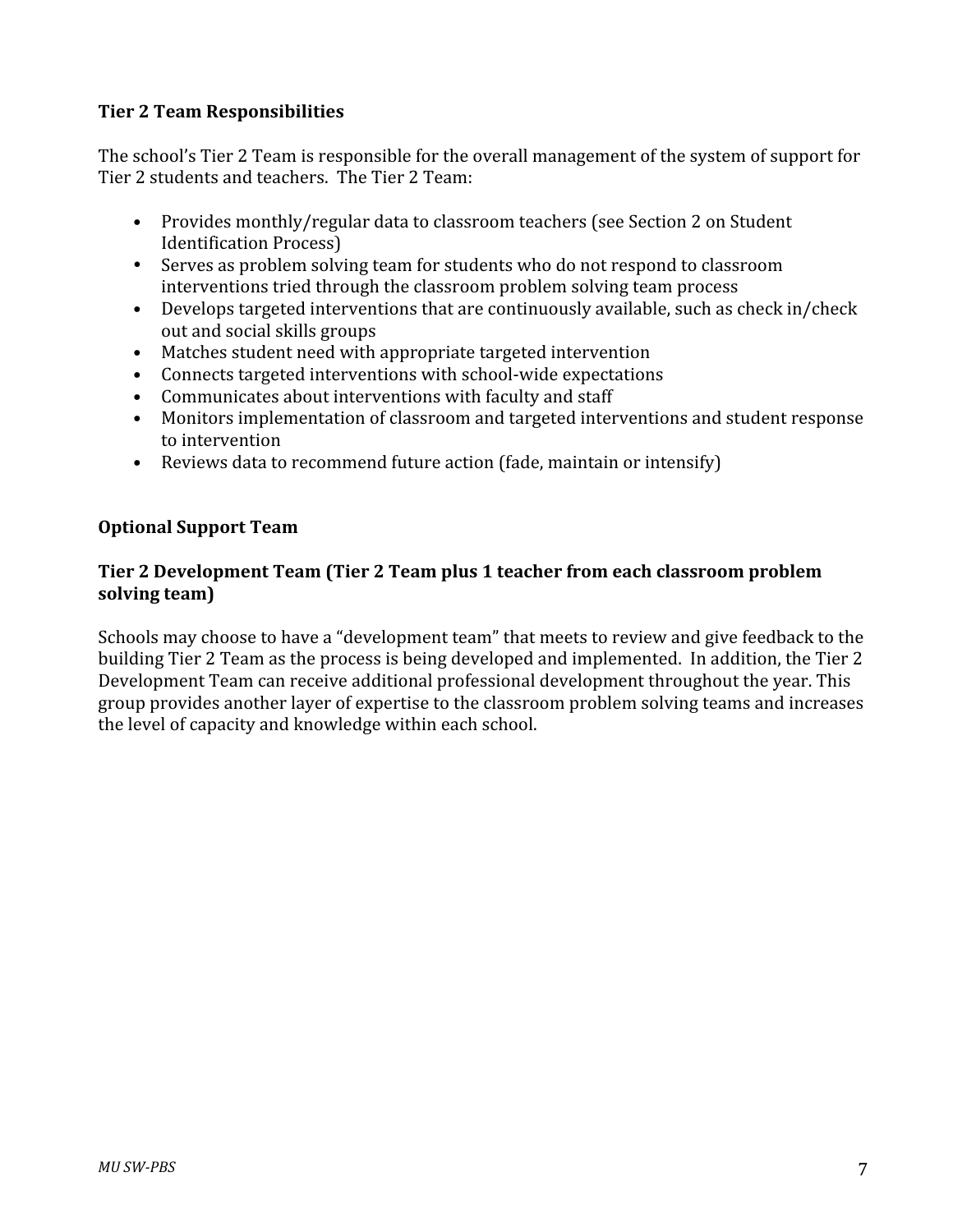#### **Tier
2
Team
Responsibilities**

The school's Tier 2 Team is responsible for the overall management of the system of support for Tier 2 students and teachers. The Tier 2 Team:

- Provides monthly/regular data to classroom teachers (see Section 2 on Student) Identification
Process)
- Serves as problem solving team for students who do not respond to classroom interventions
tried
through
the
classroom
problem
solving
team
process
- Develops targeted interventions that are continuously available, such as check in/check out
and
social
skills
groups
- Matches student need with appropriate targeted intervention
- Connects targeted interventions with school-wide expectations
- Communicates about interventions with faculty and staff
- Monitors implementation of classroom and targeted interventions and student response to
intervention
- Reviews data to recommend future action (fade, maintain or intensify)

#### **Optional
Support
Team**

#### Tier 2 Development Team (Tier 2 Team plus 1 teacher from each classroom problem **solving
team)**

Schools may choose to have a "development team" that meets to review and give feedback to the building Tier 2 Team as the process is being developed and implemented. In addition, the Tier 2 Development Team can receive additional professional development throughout the year. This group provides another layer of expertise to the classroom problem solving teams and increases the
level
of
capacity
and
knowledge
within
each
school.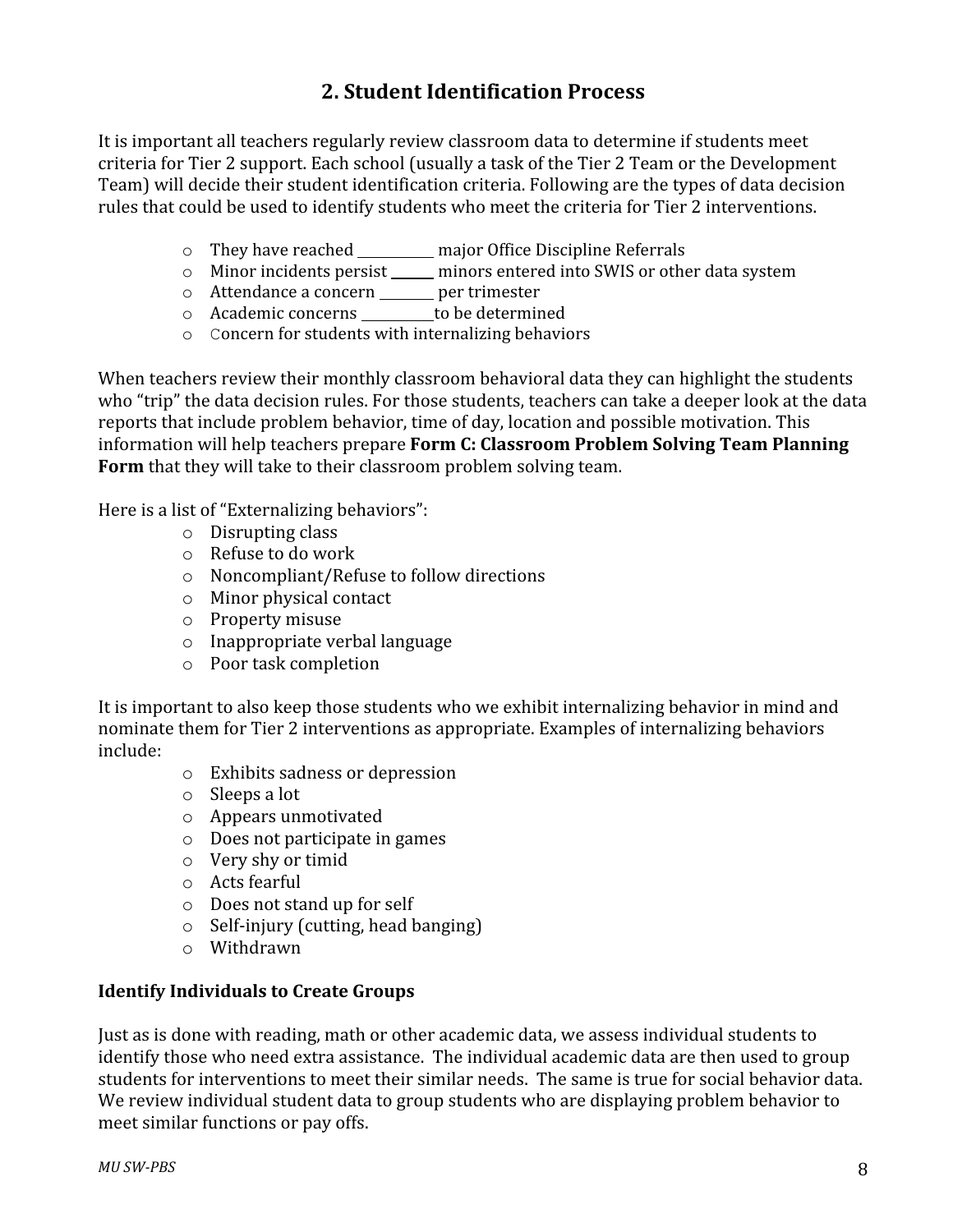# **2.
Student
Identification
Process**

It is important all teachers regularly review classroom data to determine if students meet criteria
for
Tier
2
support.
Each
school
(usually
a
task
of
the
Tier
2
Team
or
the
Development Team) will decide their student identification criteria. Following are the types of data decision rules that could be used to identify students who meet the criteria for Tier 2 interventions.

- o They have reached \_\_\_\_\_\_\_ major Office Discipline Referrals
- o Minor incidents persist \_\_\_\_\_ minors entered into SWIS or other data system
- o Attendance a concern \_\_\_\_\_ per trimester
- o Academic concerns \_\_\_\_\_\_\_\_ to be determined
- o Concern for
students with internalizing behaviors

When teachers review their monthly classroom behavioral data they can highlight the students who "trip" the data decision rules. For those students, teachers can take a deeper look at the data reports that include problem behavior, time of day, location and possible motivation. This information will help teachers prepare Form C: Classroom Problem Solving Team Planning Form that they will take to their classroom problem solving team.

Here
is
a
list
of
"Externalizing
behaviors":

- o Disrupting
class
- o Refuse
to
do
work
- o Noncompliant/Refuse
to
follow
directions
- o Minor
physical
contact
- o Property
misuse
- o Inappropriate
verbal
language
- o Poor
task
completion

It is important to also keep those students who we exhibit internalizing behavior in mind and nominate them for Tier 2 interventions as appropriate. Examples of internalizing behaviors include:

- o Exhibits
sadness
or
depression
- o Sleeps
a
lot
- o Appears
unmotivated
- o Does
not
participate
in
games
- o Very
shy
or
timid
- o Acts
fearful
- o Does
not
stand
up
for
self
- o Self‐injury
(cutting,
head
banging)
- o Withdrawn

#### **Identify
Individuals
to
Create
Groups**

Just as is done with reading, math or other academic data, we assess individual students to identify those who need extra assistance. The individual academic data are then used to group students for interventions to meet their similar needs. The same is true for social behavior data. We review individual student data to group students who are displaying problem behavior to meet
similar
functions
or
pay
offs.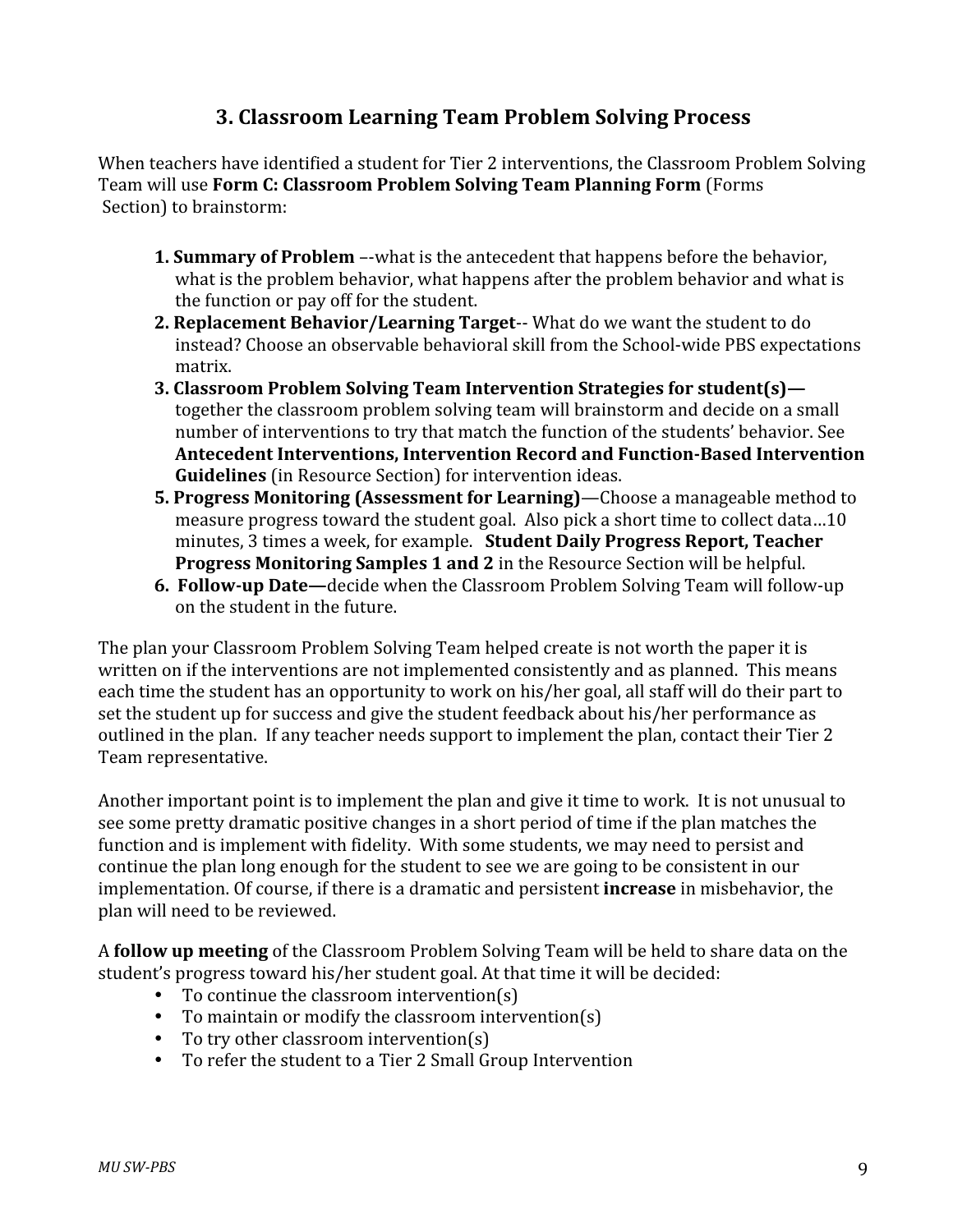## **3.
Classroom
Learning
Team
Problem
Solving
Process**

When teachers have identified a student for Tier 2 interventions, the Classroom Problem Solving Team will use **Form C: Classroom Problem Solving Team Planning Form** (Forms Section)
to
brainstorm:

- **1. Summary of Problem** --what is the antecedent that happens before the behavior, what is the problem behavior, what happens after the problem behavior and what is the
function
or
pay
off
for
the
student.
- **2. Replacement Behavior/Learning Target--** What do we want the student to do instead?
Choose
an
observable
behavioral
skill
from
the
School‐wide
PBS
expectations matrix.
- **3.
Classroom
Problem
Solving
Team
Intervention
Strategies
for
student(s)** together the classroom problem solving team will brainstorm and decide on a small number
of
interventions
to
try
that
match
the
function
of
the
students'
behavior.
See Antecedent Interventions, Intervention Record and Function-Based Intervention **Guidelines** (in Resource Section) for intervention ideas.
- **5. Progress Monitoring (Assessment for Learning)—Choose a manageable method to** measure
progress
toward
the
student
goal.

Also
pick
a
short
time
to
collect
data…10 minutes,
3
times
a
week,
for
example. **Student
Daily
Progress
Report,
Teacher Progress Monitoring Samples 1 and 2** in the Resource Section will be helpful.
- **6. Follow-up Date**—decide when the Classroom Problem Solving Team will follow-up on
the
student
in
the
future.

The plan your Classroom Problem Solving Team helped create is not worth the paper it is written on if the interventions are not implemented consistently and as planned. This means each time the student has an opportunity to work on his/her goal, all staff will do their part to set the student up for success and give the student feedback about his/her performance as outlined in the plan. If any teacher needs support to implement the plan, contact their Tier 2 Team
representative.

Another important point is to implement the plan and give it time to work. It is not unusual to see some pretty dramatic positive changes in a short period of time if the plan matches the function and is implement with fidelity. With some students, we may need to persist and continue
the
plan
long
enough
for
the
student
to
see
we
are
going
to
be
consistent
in
our implementation. Of course, if there is a dramatic and persistent **increase** in misbehavior, the plan
will
need
to
be
reviewed.

A **follow up meeting** of the Classroom Problem Solving Team will be held to share data on the student's progress toward his/her student goal. At that time it will be decided:

- To continue the classroom intervention(s)
- To maintain or modify the classroom intervention(s)
- To try other classroom intervention(s)
- To refer the student to a Tier 2 Small Group Intervention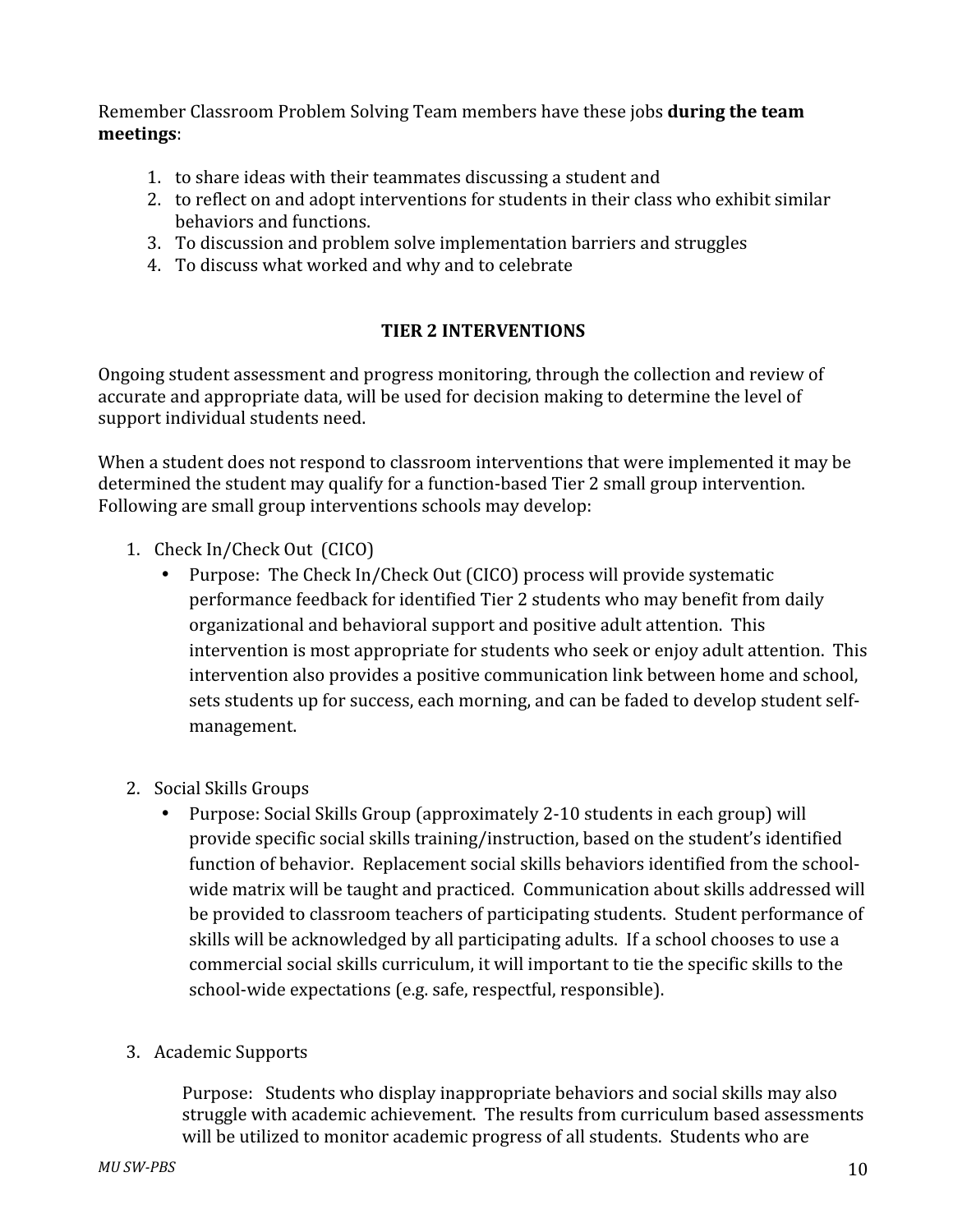Remember Classroom Problem Solving Team members have these jobs **during the team meetings**:

- 1. to
share
ideas
with
their
teammates
discussing
a
student
and
- 2. to
reflect
on
and
adopt
interventions
for
students
in
their
class
who
exhibit
similar behaviors
and
functions.
- 3. To
discussion
and
problem
solve
implementation
barriers
and
struggles
- 4. To
discuss
what
worked
and
why
and
to
celebrate

#### **TIER
2
INTERVENTIONS**

Ongoing student assessment and progress monitoring, through the collection and review of accurate and appropriate data, will be used for decision making to determine the level of support
individual
students
need.

When a student does not respond to classroom interventions that were implemented it may be determined the student may qualify for a function-based Tier 2 small group intervention. Following
are
small
group
interventions
schools
may
develop:

- 1. Check
In/Check
Out

(CICO)
	- Purpose: The Check In/Check Out (CICO) process will provide systematic performance feedback for identified Tier 2 students who may benefit from daily organizational
	and
	behavioral
	support
	and
	positive
	adult
	attention.
	
	This intervention is most appropriate for students who seek or enjoy adult attention. This intervention
	also
	provides
	a
	positive
	communication
	link
	between
	home
	and
	school, sets students up for success, each morning, and can be faded to develop student selfmanagement.
- 2. Social
Skills
Groups
	- Purpose: Social Skills Group (approximately 2-10 students in each group) will provide
	specific
	social
	skills
	training/instruction,
	based
	on
	the
	student's
	identified function of behavior. Replacement social skills behaviors identified from the schoolwide matrix will be taught and practiced. Communication about skills addressed will be provided to classroom teachers of participating students. Student performance of skills will be acknowledged by all participating adults. If a school chooses to use a commercial
	social
	skills
	curriculum,
	it
	will
	important
	to
	tie
	the
	specific
	skills
	to
	the school‐wide
	expectations
	(e.g.
	safe,
	respectful,
	responsible).
- 3. Academic
Supports

Purpose: Students who display inappropriate behaviors and social skills may also struggle
with
academic
achievement.

The
results
from
curriculum
based
assessments will be utilized to monitor academic progress of all students. Students who are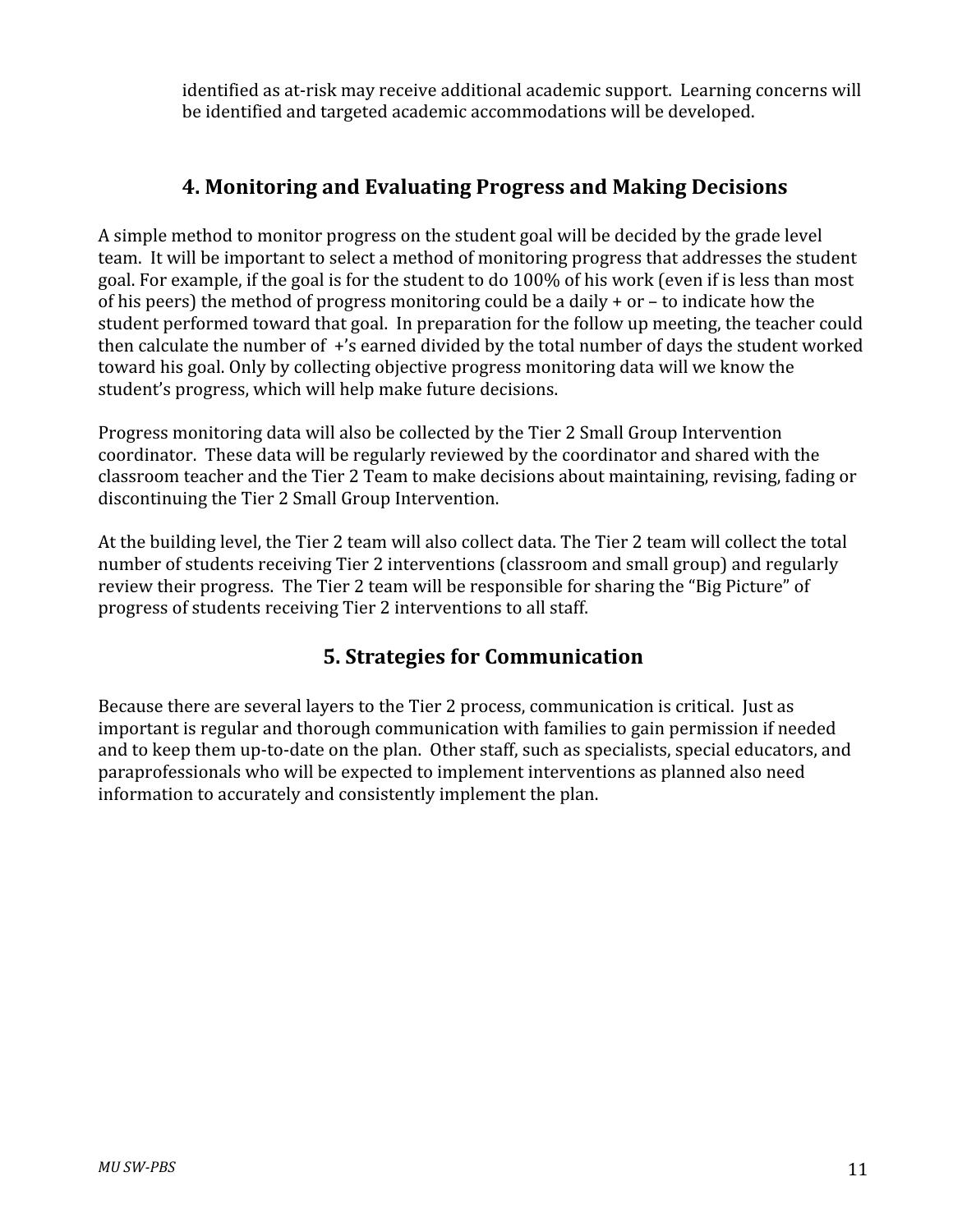identified as at-risk may receive additional academic support. Learning concerns will be
identified
and
targeted
academic
accommodations
will
be
developed.

# **4.
Monitoring
and
Evaluating
Progress
and
Making
Decisions**

A simple method to monitor progress on the student goal will be decided by the grade level team. It will be important to select a method of monitoring progress that addresses the student goal. For example, if the goal is for the student to do 100% of his work (even if is less than most of his peers) the method of progress monitoring could be a daily  $+$  or  $-$  to indicate how the student performed toward that goal. In preparation for the follow up meeting, the teacher could then calculate the number of +'s earned divided by the total number of days the student worked toward his goal. Only by collecting objective progress monitoring data will we know the student's
progress,
which
will
help
make
future
decisions.

Progress
monitoring
data
will
also
be
collected
by
the
Tier
2
Small
Group
Intervention coordinator.

These
data
will
be
regularly
reviewed
by
the
coordinator
and
shared
with
the classroom teacher and the Tier 2 Team to make decisions about maintaining, revising, fading or discontinuing
the
Tier
2
Small
Group
Intervention.

At the building level, the Tier 2 team will also collect data. The Tier 2 team will collect the total number of students receiving Tier 2 interventions (classroom and small group) and regularly review their progress. The Tier 2 team will be responsible for sharing the "Big Picture" of progress
of
students
receiving
Tier
2
interventions
to
all
staff.

# **5.
Strategies
for
Communication**

Because there are several layers to the Tier 2 process, communication is critical. Just as important is regular and thorough communication with families to gain permission if needed and to keep them up-to-date on the plan. Other staff, such as specialists, special educators, and paraprofessionals
who
will
be
expected
to
implement
interventions
as
planned
also
need information
to
accurately
and
consistently
implement
the
plan.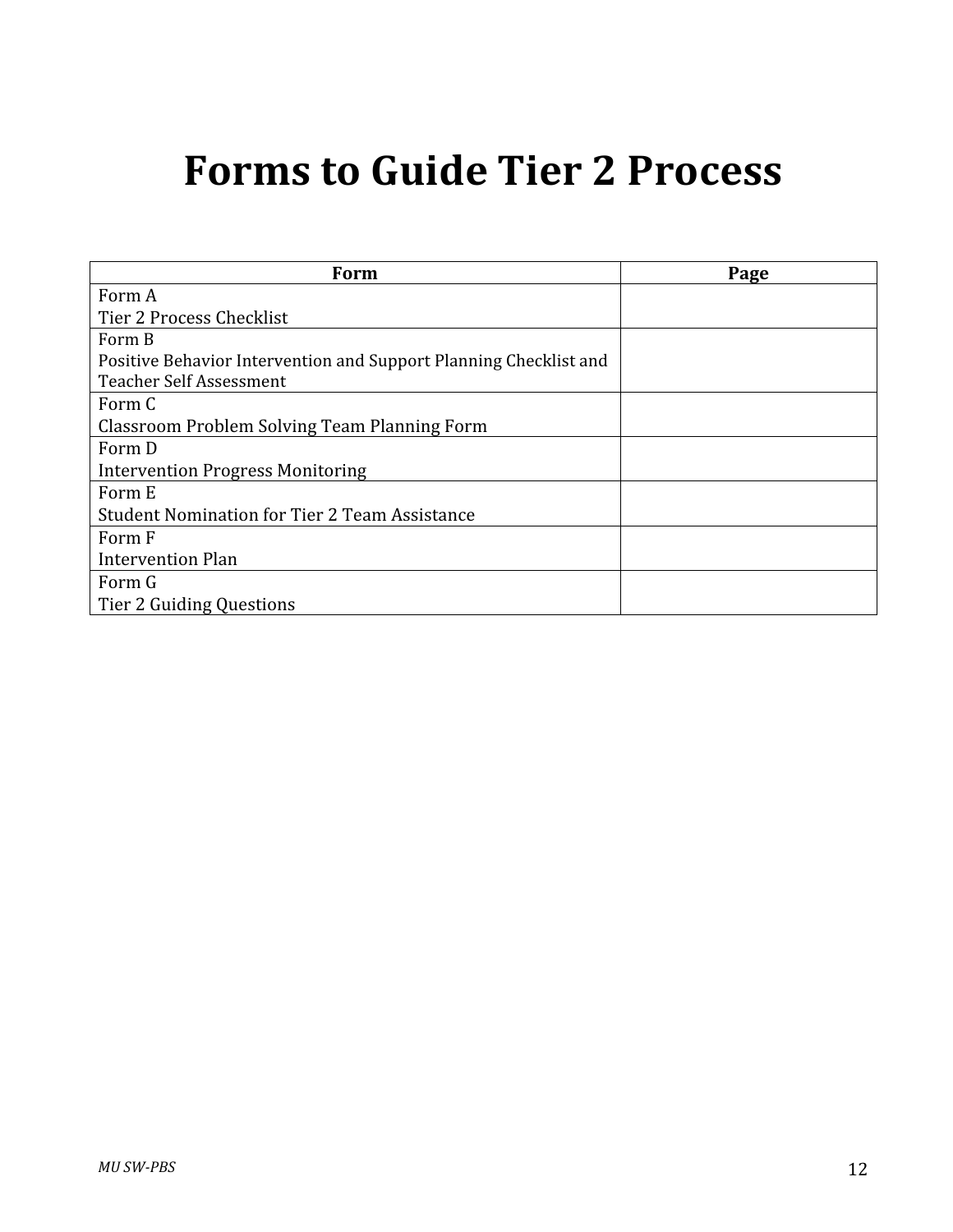# **Forms
to
Guide
Tier
2
Process**

| Form                                                              | Page |
|-------------------------------------------------------------------|------|
| Form A                                                            |      |
| Tier 2 Process Checklist                                          |      |
| Form B                                                            |      |
| Positive Behavior Intervention and Support Planning Checklist and |      |
| <b>Teacher Self Assessment</b>                                    |      |
| Form C                                                            |      |
| Classroom Problem Solving Team Planning Form                      |      |
| Form D                                                            |      |
| <b>Intervention Progress Monitoring</b>                           |      |
| Form E                                                            |      |
| <b>Student Nomination for Tier 2 Team Assistance</b>              |      |
| Form F                                                            |      |
| Intervention Plan                                                 |      |
| Form G                                                            |      |
| Tier 2 Guiding Questions                                          |      |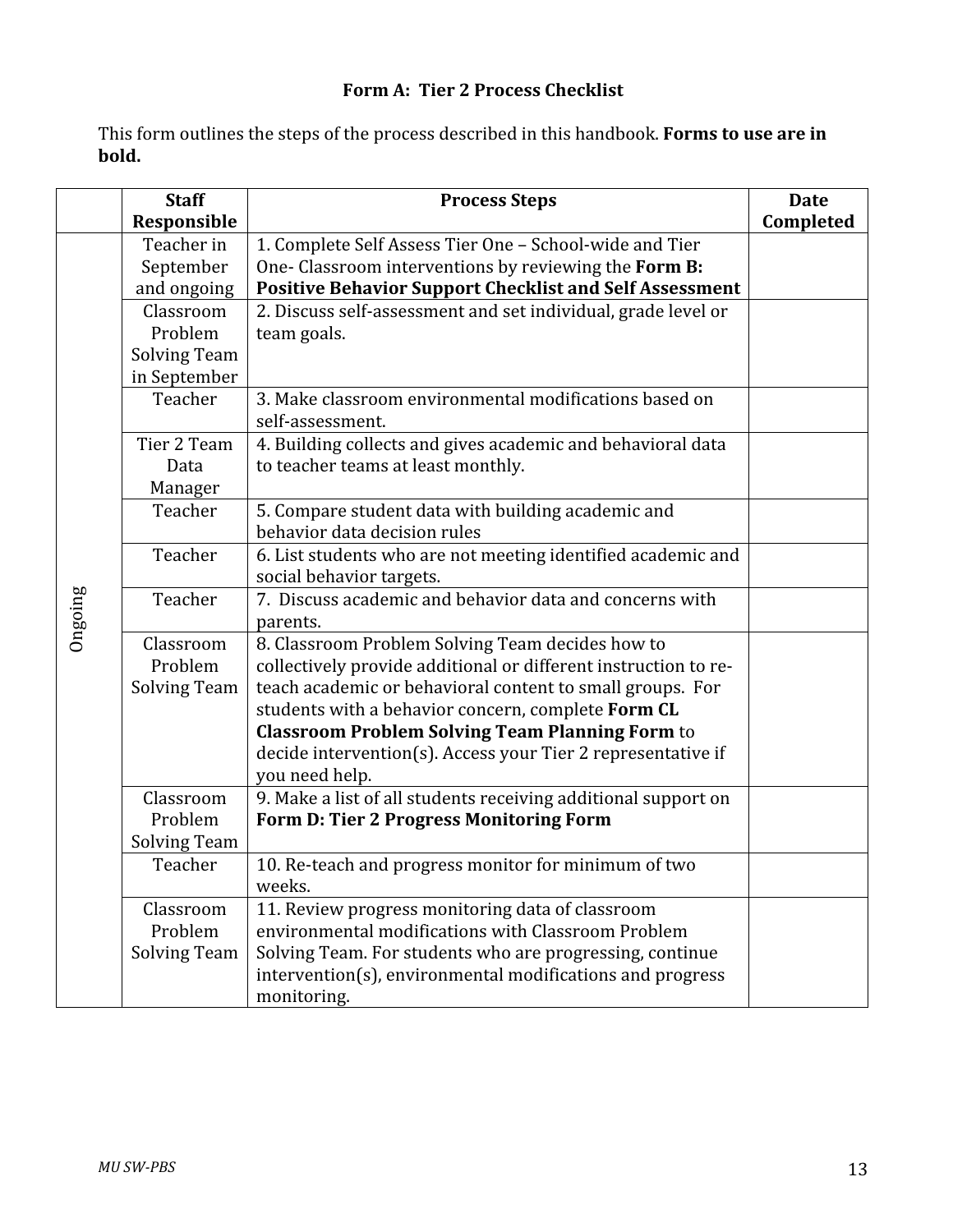## **Form
A:

Tier
2
Process
Checklist**

This form outlines the steps of the process described in this handbook. Forms to use are in **bold.**

|         | <b>Staff</b><br>Responsible                                                    | <b>Process Steps</b>                                                       | <b>Date</b><br>Completed |  |  |
|---------|--------------------------------------------------------------------------------|----------------------------------------------------------------------------|--------------------------|--|--|
|         | Teacher in                                                                     | 1. Complete Self Assess Tier One - School-wide and Tier                    |                          |  |  |
|         | September                                                                      | One-Classroom interventions by reviewing the Form B:                       |                          |  |  |
|         | and ongoing                                                                    | <b>Positive Behavior Support Checklist and Self Assessment</b>             |                          |  |  |
|         | Classroom                                                                      | 2. Discuss self-assessment and set individual, grade level or              |                          |  |  |
|         | Problem                                                                        | team goals.                                                                |                          |  |  |
|         | <b>Solving Team</b>                                                            |                                                                            |                          |  |  |
|         | in September                                                                   |                                                                            |                          |  |  |
|         | Teacher                                                                        | 3. Make classroom environmental modifications based on<br>self-assessment. |                          |  |  |
|         | Tier 2 Team                                                                    | 4. Building collects and gives academic and behavioral data                |                          |  |  |
|         | Data                                                                           | to teacher teams at least monthly.                                         |                          |  |  |
|         | Manager                                                                        |                                                                            |                          |  |  |
|         | Teacher                                                                        | 5. Compare student data with building academic and                         |                          |  |  |
|         |                                                                                | behavior data decision rules                                               |                          |  |  |
|         | Teacher<br>6. List students who are not meeting identified academic and        |                                                                            |                          |  |  |
|         | social behavior targets.                                                       |                                                                            |                          |  |  |
| Ongoing | 7. Discuss academic and behavior data and concerns with<br>Teacher<br>parents. |                                                                            |                          |  |  |
|         | Classroom                                                                      | 8. Classroom Problem Solving Team decides how to                           |                          |  |  |
|         | Problem                                                                        | collectively provide additional or different instruction to re-            |                          |  |  |
|         | <b>Solving Team</b>                                                            | teach academic or behavioral content to small groups. For                  |                          |  |  |
|         |                                                                                | students with a behavior concern, complete Form CL                         |                          |  |  |
|         |                                                                                | <b>Classroom Problem Solving Team Planning Form to</b>                     |                          |  |  |
|         |                                                                                | decide intervention(s). Access your Tier 2 representative if               |                          |  |  |
|         |                                                                                | you need help.                                                             |                          |  |  |
|         | Classroom                                                                      | 9. Make a list of all students receiving additional support on             |                          |  |  |
|         | Problem                                                                        | Form D: Tier 2 Progress Monitoring Form                                    |                          |  |  |
|         | <b>Solving Team</b>                                                            |                                                                            |                          |  |  |
|         | Teacher                                                                        | 10. Re-teach and progress monitor for minimum of two<br>weeks.             |                          |  |  |
|         | Classroom                                                                      | 11. Review progress monitoring data of classroom                           |                          |  |  |
|         | Problem                                                                        | environmental modifications with Classroom Problem                         |                          |  |  |
|         | <b>Solving Team</b>                                                            | Solving Team. For students who are progressing, continue                   |                          |  |  |
|         |                                                                                | intervention(s), environmental modifications and progress                  |                          |  |  |
|         |                                                                                | monitoring.                                                                |                          |  |  |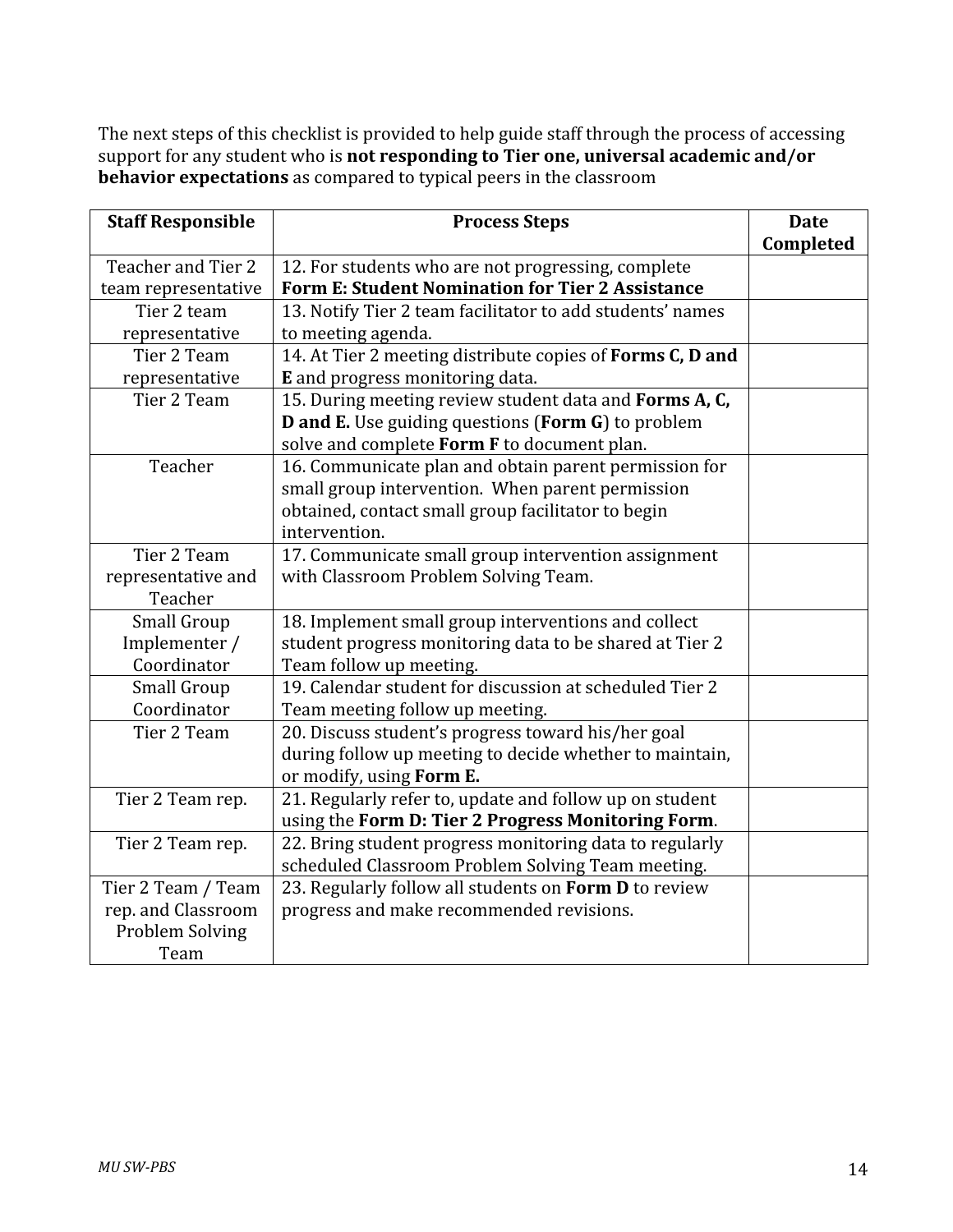The next steps of this checklist is provided to help guide staff through the process of accessing support for any student who is **not responding to Tier one, universal academic and/or behavior expectations** as compared to typical peers in the classroom

| <b>Staff Responsible</b> | <b>Process Steps</b>                                      | <b>Date</b> |
|--------------------------|-----------------------------------------------------------|-------------|
|                          |                                                           | Completed   |
| Teacher and Tier 2       | 12. For students who are not progressing, complete        |             |
| team representative      | <b>Form E: Student Nomination for Tier 2 Assistance</b>   |             |
| Tier 2 team              | 13. Notify Tier 2 team facilitator to add students' names |             |
| representative           | to meeting agenda.                                        |             |
| Tier 2 Team              | 14. At Tier 2 meeting distribute copies of Forms C, D and |             |
| representative           | E and progress monitoring data.                           |             |
| Tier 2 Team              | 15. During meeting review student data and Forms A, C,    |             |
|                          | <b>D</b> and E. Use guiding questions (Form G) to problem |             |
|                          | solve and complete Form F to document plan.               |             |
| Teacher                  | 16. Communicate plan and obtain parent permission for     |             |
|                          | small group intervention. When parent permission          |             |
|                          | obtained, contact small group facilitator to begin        |             |
|                          | intervention.                                             |             |
| Tier 2 Team              | 17. Communicate small group intervention assignment       |             |
| representative and       | with Classroom Problem Solving Team.                      |             |
| Teacher                  |                                                           |             |
| <b>Small Group</b>       | 18. Implement small group interventions and collect       |             |
| Implementer /            | student progress monitoring data to be shared at Tier 2   |             |
| Coordinator              | Team follow up meeting.                                   |             |
| Small Group              | 19. Calendar student for discussion at scheduled Tier 2   |             |
| Coordinator              | Team meeting follow up meeting.                           |             |
| Tier 2 Team              | 20. Discuss student's progress toward his/her goal        |             |
|                          | during follow up meeting to decide whether to maintain,   |             |
|                          | or modify, using Form E.                                  |             |
| Tier 2 Team rep.         | 21. Regularly refer to, update and follow up on student   |             |
|                          | using the Form D: Tier 2 Progress Monitoring Form.        |             |
| Tier 2 Team rep.         | 22. Bring student progress monitoring data to regularly   |             |
|                          | scheduled Classroom Problem Solving Team meeting.         |             |
| Tier 2 Team / Team       | 23. Regularly follow all students on Form D to review     |             |
| rep. and Classroom       | progress and make recommended revisions.                  |             |
| <b>Problem Solving</b>   |                                                           |             |
| Team                     |                                                           |             |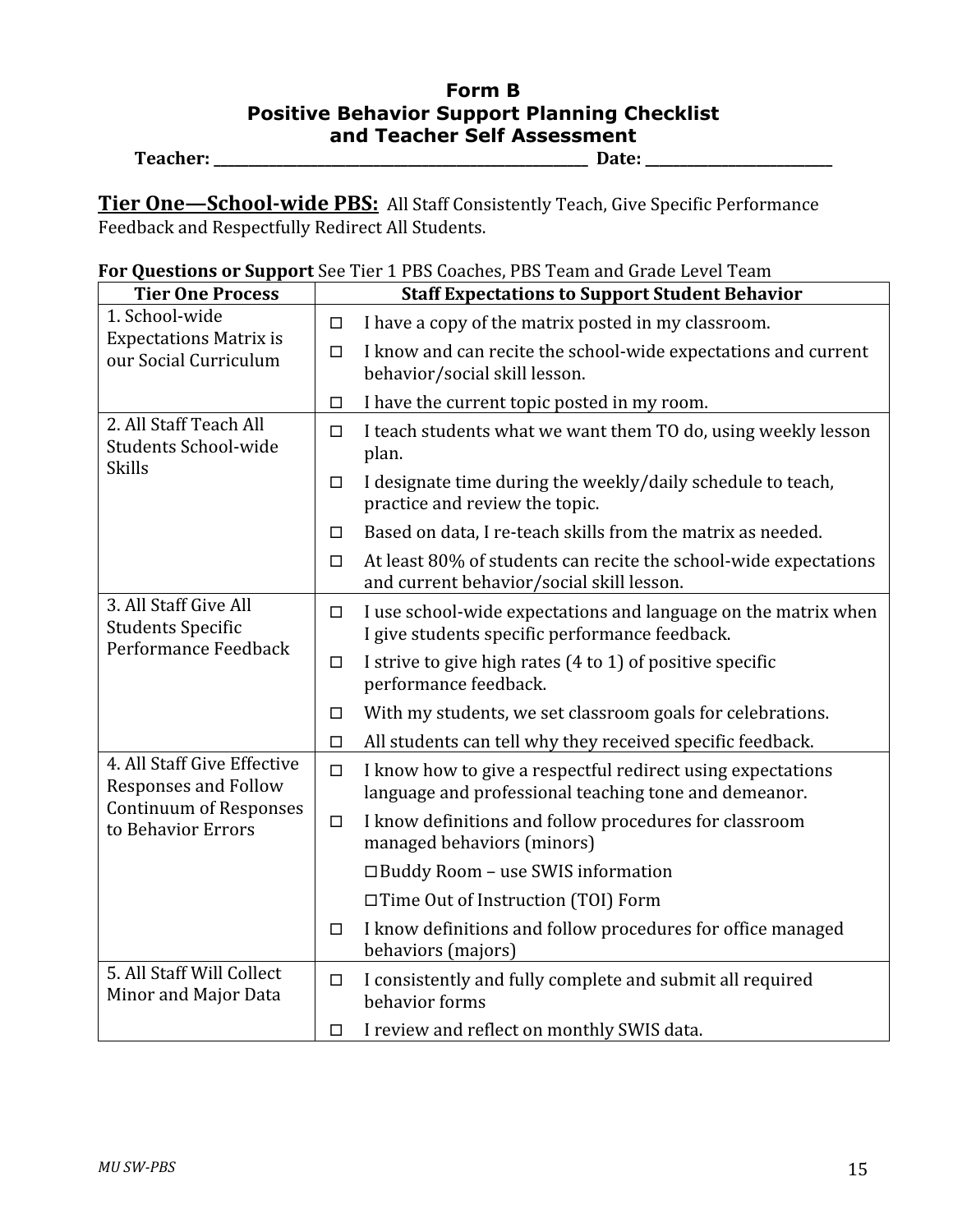### **Form B Positive Behavior Support Planning Checklist and Teacher Self Assessment Teacher:
\_\_\_\_\_\_\_\_\_\_\_\_\_\_\_\_\_\_\_\_\_\_\_\_\_\_\_\_\_\_\_\_\_\_\_\_\_\_\_\_\_\_\_\_\_\_\_\_\_\_\_\_\_\_

Date:
\_\_\_\_\_\_\_\_\_\_\_\_\_\_\_\_\_\_\_\_\_\_\_\_\_\_\_**

Tier One-School-wide PBS: All Staff Consistently Teach, Give Specific Performance Feedback
and
Respectfully
Redirect
All
Students.

|  |  | For Questions or Support See Tier 1 PBS Coaches, PBS Team and Grade Level Team |  |  |
|--|--|--------------------------------------------------------------------------------|--|--|
|  |  |                                                                                |  |  |

| <b>Tier One Process</b>                                                   |                                                                                                                            | <b>Staff Expectations to Support Student Behavior</b>                                                                |  |  |
|---------------------------------------------------------------------------|----------------------------------------------------------------------------------------------------------------------------|----------------------------------------------------------------------------------------------------------------------|--|--|
| 1. School-wide                                                            | $\Box$                                                                                                                     | I have a copy of the matrix posted in my classroom.                                                                  |  |  |
| <b>Expectations Matrix is</b><br>our Social Curriculum                    | $\Box$                                                                                                                     | I know and can recite the school-wide expectations and current<br>behavior/social skill lesson.                      |  |  |
|                                                                           | $\Box$                                                                                                                     | I have the current topic posted in my room.                                                                          |  |  |
| 2. All Staff Teach All<br><b>Students School-wide</b>                     | $\Box$                                                                                                                     | I teach students what we want them TO do, using weekly lesson<br>plan.                                               |  |  |
| <b>Skills</b>                                                             | $\Box$                                                                                                                     | I designate time during the weekly/daily schedule to teach,<br>practice and review the topic.                        |  |  |
|                                                                           | □                                                                                                                          | Based on data, I re-teach skills from the matrix as needed.                                                          |  |  |
|                                                                           | $\Box$                                                                                                                     | At least 80% of students can recite the school-wide expectations<br>and current behavior/social skill lesson.        |  |  |
| 3. All Staff Give All<br><b>Students Specific</b><br>Performance Feedback | I use school-wide expectations and language on the matrix when<br>$\Box$<br>I give students specific performance feedback. |                                                                                                                      |  |  |
|                                                                           | $\Box$                                                                                                                     | I strive to give high rates (4 to 1) of positive specific<br>performance feedback.                                   |  |  |
|                                                                           | $\Box$                                                                                                                     | With my students, we set classroom goals for celebrations.                                                           |  |  |
|                                                                           | $\Box$                                                                                                                     | All students can tell why they received specific feedback.                                                           |  |  |
| 4. All Staff Give Effective<br><b>Responses and Follow</b>                | $\Box$                                                                                                                     | I know how to give a respectful redirect using expectations<br>language and professional teaching tone and demeanor. |  |  |
| <b>Continuum of Responses</b><br>to Behavior Errors                       | $\Box$                                                                                                                     | I know definitions and follow procedures for classroom<br>managed behaviors (minors)                                 |  |  |
|                                                                           |                                                                                                                            | $\Box$ Buddy Room – use SWIS information                                                                             |  |  |
|                                                                           |                                                                                                                            | □ Time Out of Instruction (TOI) Form                                                                                 |  |  |
|                                                                           | $\Box$                                                                                                                     | I know definitions and follow procedures for office managed<br>behaviors (majors)                                    |  |  |
| 5. All Staff Will Collect<br>Minor and Major Data                         | $\Box$                                                                                                                     | I consistently and fully complete and submit all required<br>behavior forms                                          |  |  |
|                                                                           | □                                                                                                                          | I review and reflect on monthly SWIS data.                                                                           |  |  |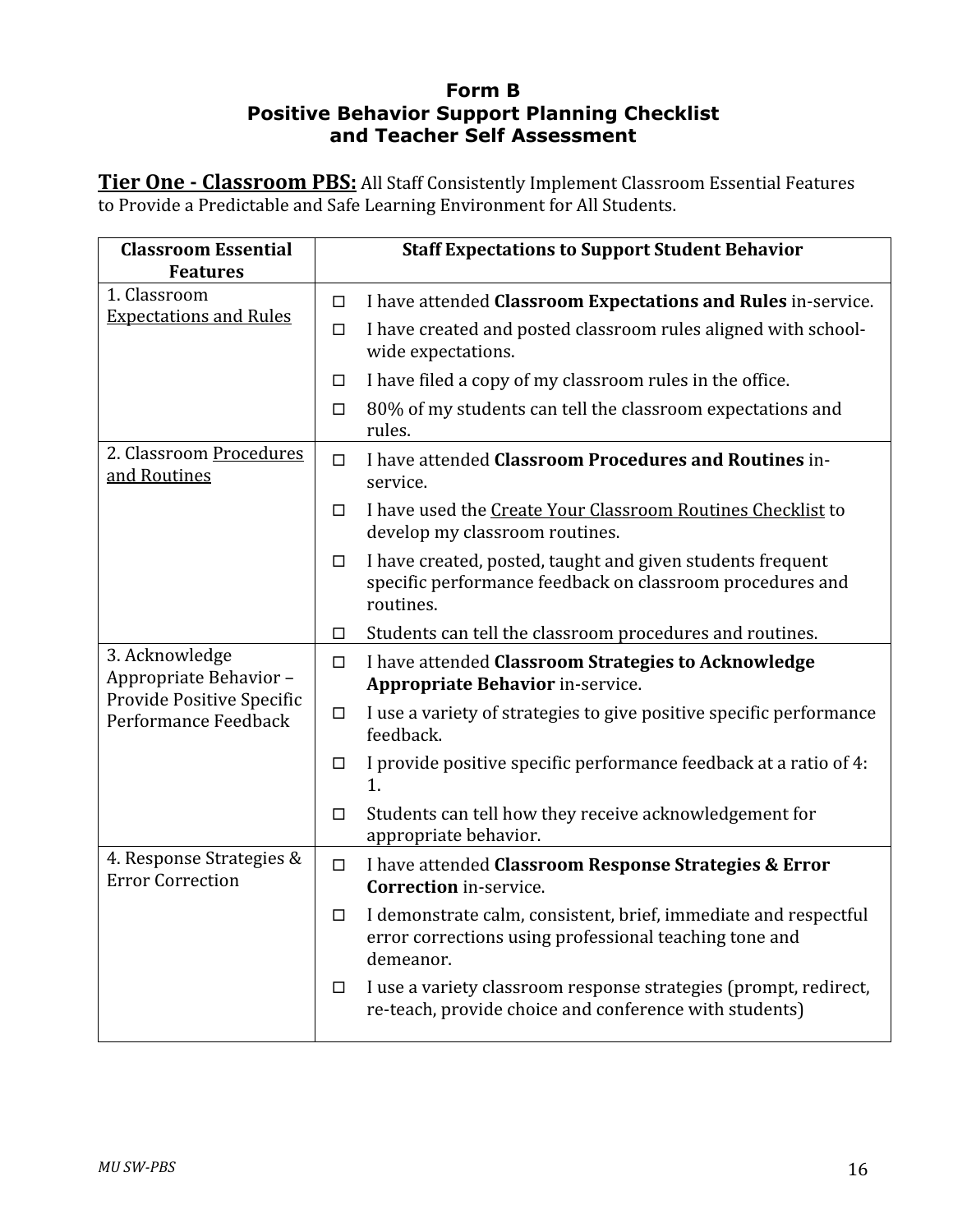### **Form B Positive Behavior Support Planning Checklist and Teacher Self Assessment**

Tier One - Classroom PBS: All Staff Consistently Implement Classroom Essential Features to Provide a Predictable and Safe Learning Environment for All Students.

| <b>Classroom Essential</b><br><b>Features</b>       |        | <b>Staff Expectations to Support Student Behavior</b>                                                                                  |
|-----------------------------------------------------|--------|----------------------------------------------------------------------------------------------------------------------------------------|
| 1. Classroom                                        | □      | I have attended Classroom Expectations and Rules in-service.                                                                           |
| <b>Expectations and Rules</b>                       | □      | I have created and posted classroom rules aligned with school-<br>wide expectations.                                                   |
|                                                     | □      | I have filed a copy of my classroom rules in the office.                                                                               |
|                                                     | □      | 80% of my students can tell the classroom expectations and<br>rules.                                                                   |
| 2. Classroom Procedures<br>and Routines             | $\Box$ | I have attended Classroom Procedures and Routines in-<br>service.                                                                      |
|                                                     | □      | I have used the Create Your Classroom Routines Checklist to<br>develop my classroom routines.                                          |
|                                                     | □      | I have created, posted, taught and given students frequent<br>specific performance feedback on classroom procedures and<br>routines.   |
|                                                     | □      | Students can tell the classroom procedures and routines.                                                                               |
| 3. Acknowledge<br>Appropriate Behavior-             | $\Box$ | I have attended Classroom Strategies to Acknowledge<br><b>Appropriate Behavior in-service.</b>                                         |
| Provide Positive Specific<br>Performance Feedback   | $\Box$ | I use a variety of strategies to give positive specific performance<br>feedback.                                                       |
|                                                     | □      | I provide positive specific performance feedback at a ratio of 4:<br>1.                                                                |
|                                                     | $\Box$ | Students can tell how they receive acknowledgement for<br>appropriate behavior.                                                        |
| 4. Response Strategies &<br><b>Error Correction</b> | $\Box$ | I have attended Classroom Response Strategies & Error<br><b>Correction</b> in-service.                                                 |
|                                                     | □      | I demonstrate calm, consistent, brief, immediate and respectful<br>error corrections using professional teaching tone and<br>demeanor. |
|                                                     | $\Box$ | I use a variety classroom response strategies (prompt, redirect,<br>re-teach, provide choice and conference with students)             |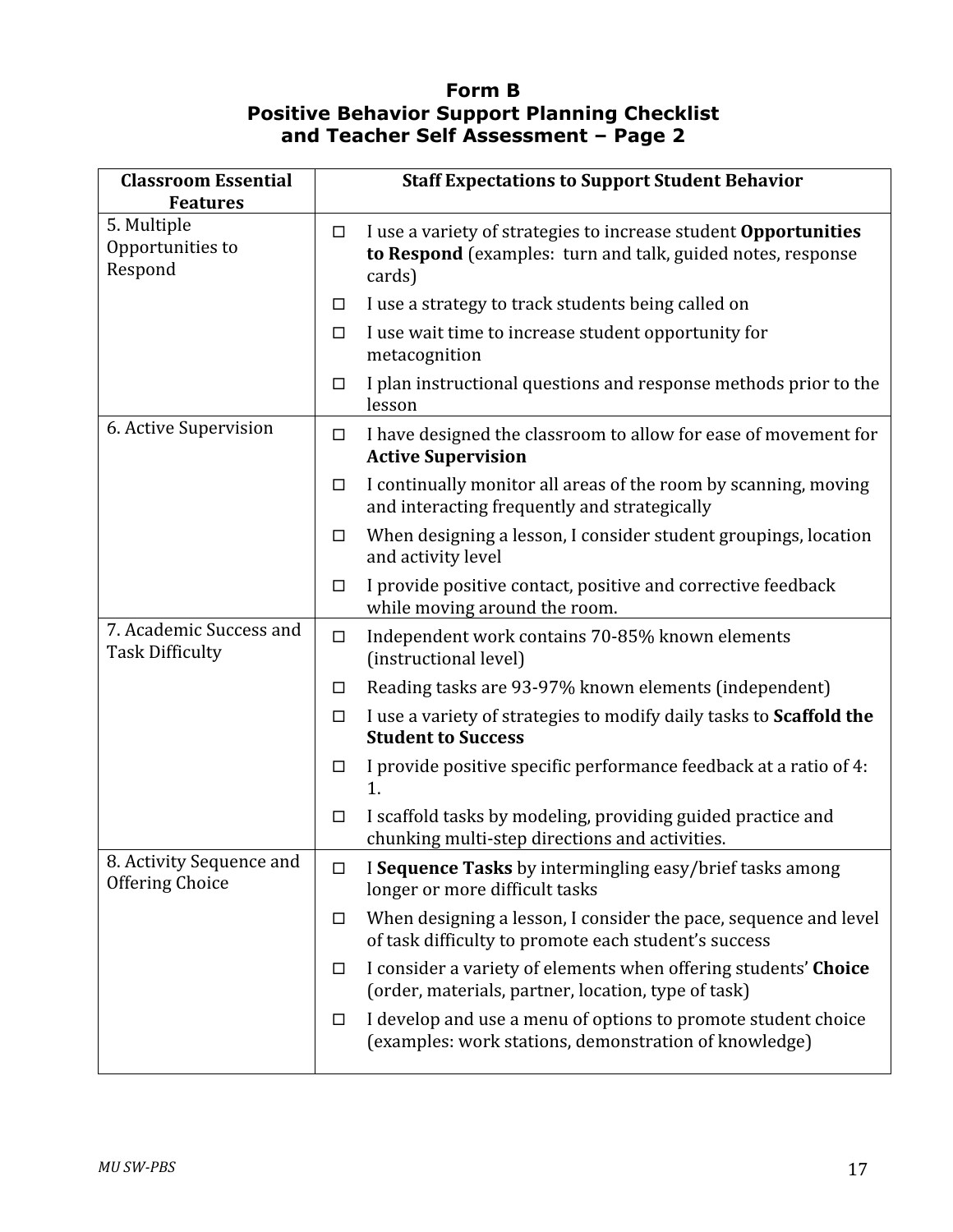#### **Form B Positive Behavior Support Planning Checklist and Teacher Self Assessment – Page 2**

| <b>Classroom Essential</b><br><b>Features</b>      |        | <b>Staff Expectations to Support Student Behavior</b>                                                                                           |
|----------------------------------------------------|--------|-------------------------------------------------------------------------------------------------------------------------------------------------|
| 5. Multiple<br>Opportunities to<br>Respond         | $\Box$ | I use a variety of strategies to increase student <b>Opportunities</b><br>to Respond (examples: turn and talk, guided notes, response<br>cards) |
|                                                    | □      | I use a strategy to track students being called on                                                                                              |
|                                                    | $\Box$ | I use wait time to increase student opportunity for<br>metacognition                                                                            |
|                                                    | $\Box$ | I plan instructional questions and response methods prior to the<br>lesson                                                                      |
| 6. Active Supervision                              | $\Box$ | I have designed the classroom to allow for ease of movement for<br><b>Active Supervision</b>                                                    |
|                                                    | $\Box$ | I continually monitor all areas of the room by scanning, moving<br>and interacting frequently and strategically                                 |
|                                                    | $\Box$ | When designing a lesson, I consider student groupings, location<br>and activity level                                                           |
|                                                    | $\Box$ | I provide positive contact, positive and corrective feedback<br>while moving around the room.                                                   |
| 7. Academic Success and<br><b>Task Difficulty</b>  | $\Box$ | Independent work contains 70-85% known elements<br>(instructional level)                                                                        |
|                                                    | ш      | Reading tasks are 93-97% known elements (independent)                                                                                           |
|                                                    | $\Box$ | I use a variety of strategies to modify daily tasks to Scaffold the<br><b>Student to Success</b>                                                |
|                                                    | □      | I provide positive specific performance feedback at a ratio of 4:<br>1.                                                                         |
|                                                    | $\Box$ | I scaffold tasks by modeling, providing guided practice and<br>chunking multi-step directions and activities.                                   |
| 8. Activity Sequence and<br><b>Offering Choice</b> | $\Box$ | I Sequence Tasks by intermingling easy/brief tasks among<br>longer or more difficult tasks                                                      |
|                                                    | $\Box$ | When designing a lesson, I consider the pace, sequence and level<br>of task difficulty to promote each student's success                        |
|                                                    | □      | I consider a variety of elements when offering students' Choice<br>(order, materials, partner, location, type of task)                          |
|                                                    | $\Box$ | I develop and use a menu of options to promote student choice<br>(examples: work stations, demonstration of knowledge)                          |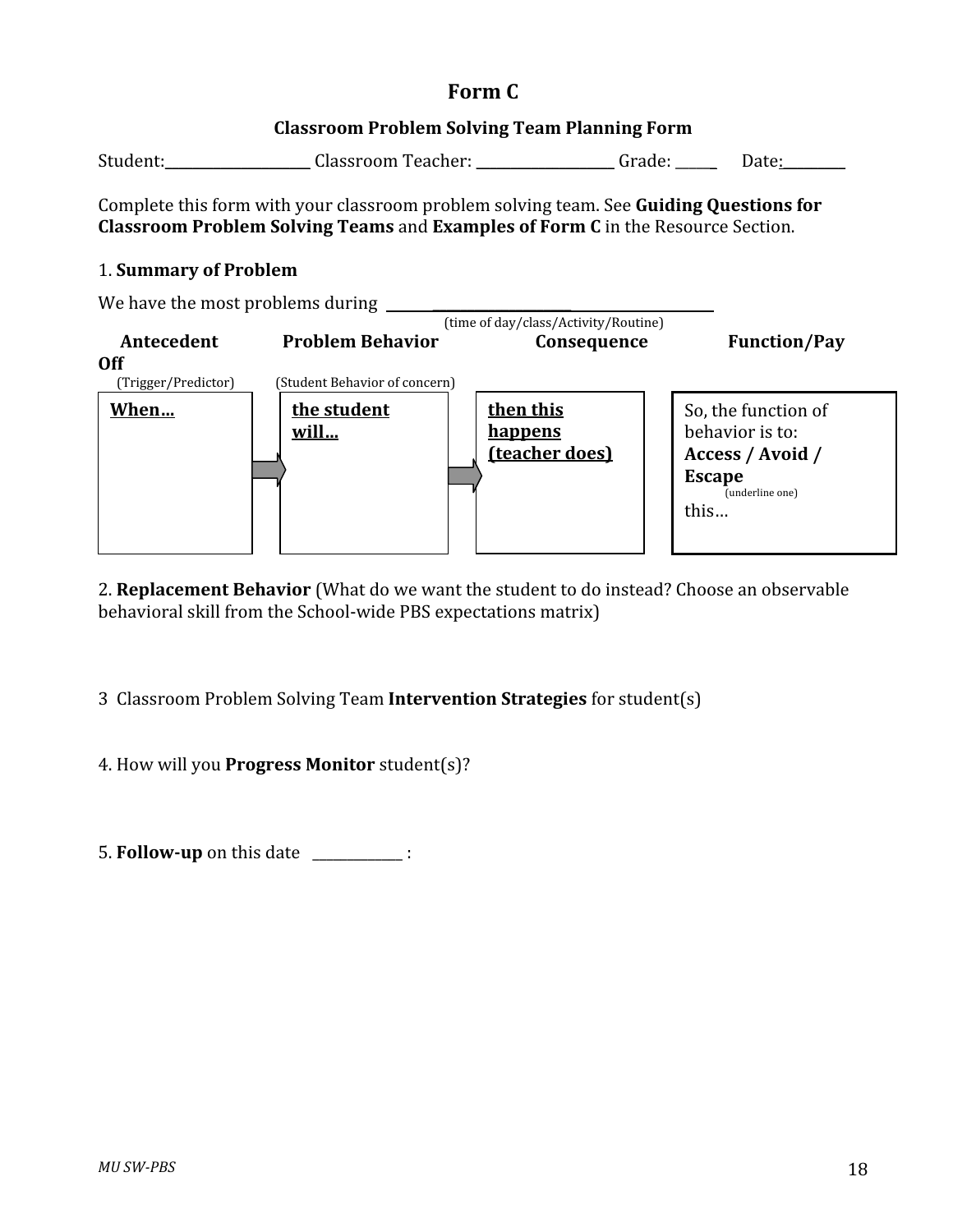#### **Classroom
Problem
Solving
Team
Planning
Form**

| Student: | Classroom Teacher: | urade: | Date: |
|----------|--------------------|--------|-------|
|          |                    |        |       |

Complete this form with your classroom problem solving team. See Guiding Questions for **Classroom
Problem
Solving
Teams** and**Examples
of
Form
C** in
the
Resource
Section.

#### 1.**Summary
of
Problem**



2. Replacement Behavior (What do we want the student to do instead? Choose an observable behavioral
skill
from
the
School‐wide
PBS
expectations
matrix)

3Classroom
Problem
Solving
Team**Intervention
Strategies** for
student(s)

4.
How
will
you **Progress
Monitor** student(s)?

5. **Follow-up** on this date \_\_\_\_\_\_\_\_\_\_\_\_\_: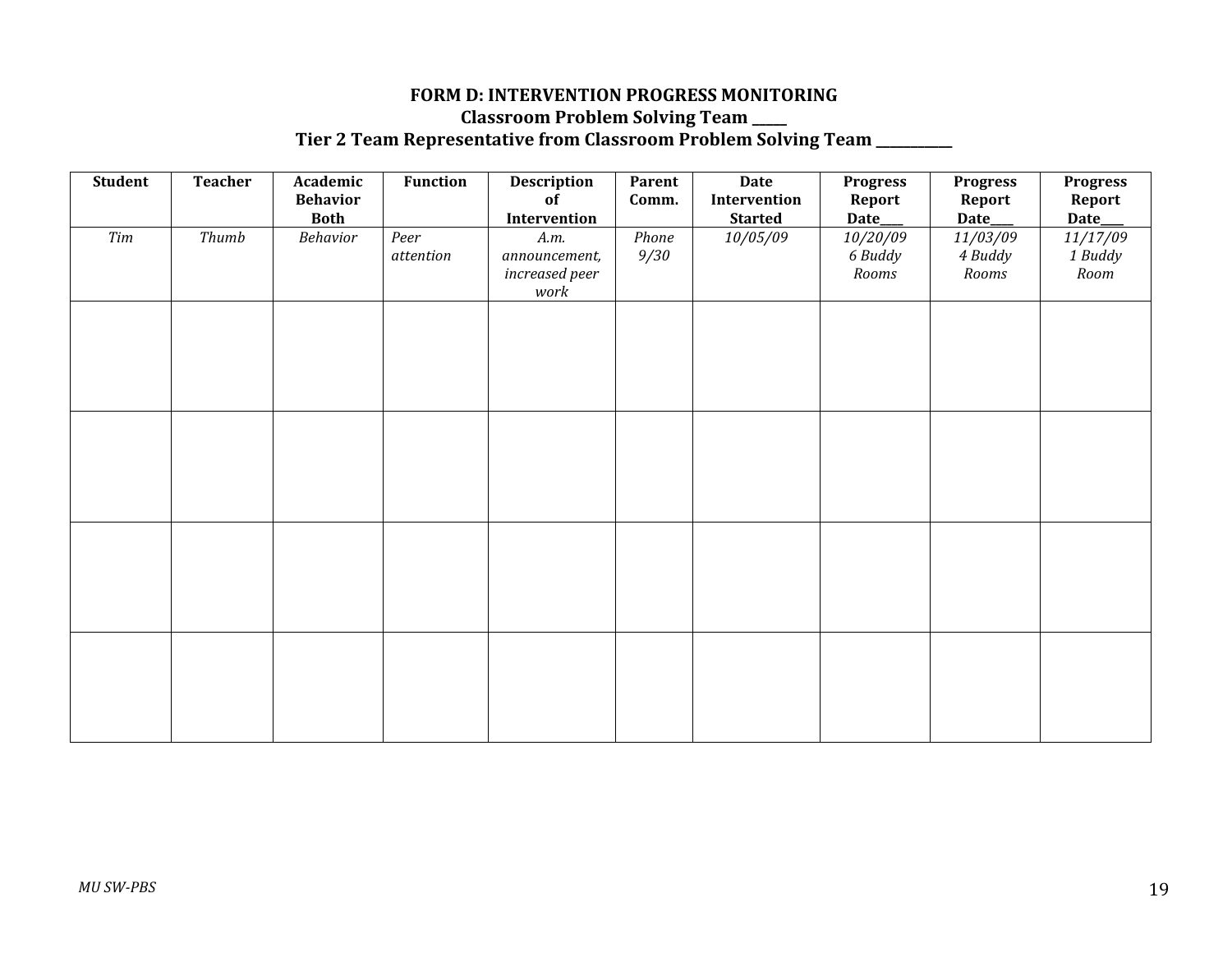#### FORM D: INTERVENTION PROGRESS MONITORING **Classroom
Problem
Solving
Team
\_\_\_\_\_** Tier 2 Team Representative from Classroom Problem Solving Team **\_\_\_\_\_\_\_**\_

| Student   | <b>Teacher</b> | Academic<br><b>Behavior</b><br><b>Both</b> | <b>Function</b>   | Description<br>of<br>Intervention               | Parent<br>Comm. | <b>Date</b><br>Intervention<br><b>Started</b> | <b>Progress</b><br>Report<br>Date_ | <b>Progress</b><br>Report<br>Date___ | <b>Progress</b><br>Report<br>Date_ |
|-----------|----------------|--------------------------------------------|-------------------|-------------------------------------------------|-----------------|-----------------------------------------------|------------------------------------|--------------------------------------|------------------------------------|
| $\it Tim$ | Thumb          | Behavior                                   | Peer<br>attention | A.m.<br>announcement,<br>increased peer<br>work | Phone<br>9/30   | 10/05/09                                      | 10/20/09<br>6 Buddy<br>Rooms       | 11/03/09<br>4 Buddy<br>$\it Rooms$   | 11/17/09<br>1 Buddy<br>Room        |
|           |                |                                            |                   |                                                 |                 |                                               |                                    |                                      |                                    |
|           |                |                                            |                   |                                                 |                 |                                               |                                    |                                      |                                    |
|           |                |                                            |                   |                                                 |                 |                                               |                                    |                                      |                                    |
|           |                |                                            |                   |                                                 |                 |                                               |                                    |                                      |                                    |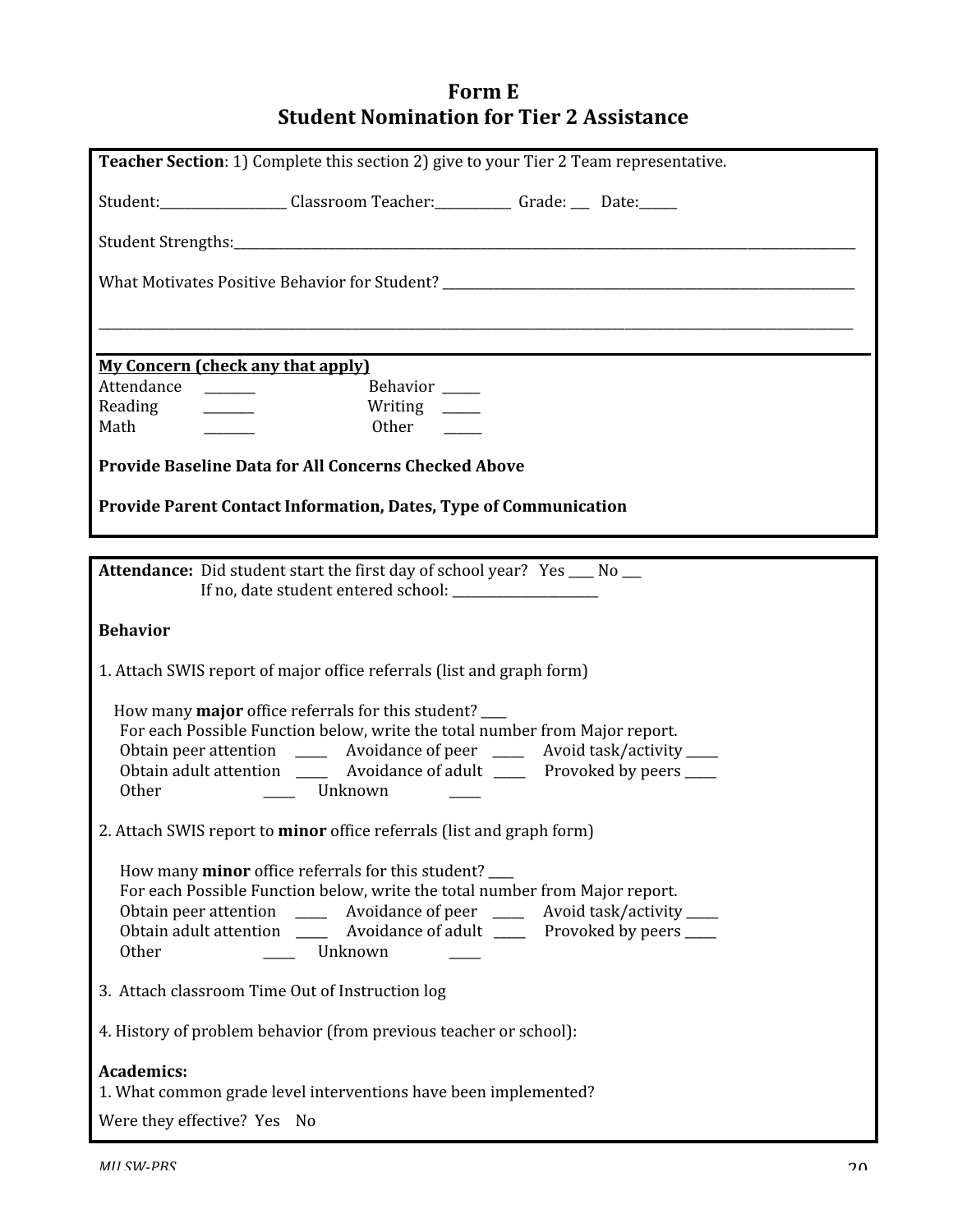# **Form
E Student
Nomination
for
Tier
2
Assistance**

| <b>Teacher Section: 1)</b> Complete this section 2) give to your Tier 2 Team representative.                                                                                                                |
|-------------------------------------------------------------------------------------------------------------------------------------------------------------------------------------------------------------|
| Student: Classroom Teacher: Grade: Date: Date:                                                                                                                                                              |
|                                                                                                                                                                                                             |
|                                                                                                                                                                                                             |
|                                                                                                                                                                                                             |
|                                                                                                                                                                                                             |
| <b>My Concern (check any that apply)</b><br>Attendance<br>Behavior ____                                                                                                                                     |
| Reading<br>Writing $\frac{1}{\sqrt{1-\frac{1}{2}}\sqrt{1-\frac{1}{2}}\sqrt{1-\frac{1}{2}}\sqrt{1-\frac{1}{2}}\sqrt{1-\frac{1}{2}}$<br>$\mathcal{L}^{\text{max}}(\mathcal{L}^{\text{max}})$<br>Math<br>Other |
| <b>Provide Baseline Data for All Concerns Checked Above</b>                                                                                                                                                 |
| <b>Provide Parent Contact Information, Dates, Type of Communication</b>                                                                                                                                     |
|                                                                                                                                                                                                             |
| <b>Attendance:</b> Did student start the first day of school year? Yes __ No __                                                                                                                             |
| If no, date student entered school:                                                                                                                                                                         |
| <b>Behavior</b>                                                                                                                                                                                             |
| 1. Attach SWIS report of major office referrals (list and graph form)                                                                                                                                       |
| How many <b>major</b> office referrals for this student?                                                                                                                                                    |
| For each Possible Function below, write the total number from Major report.<br>Obtain peer attention _______ Avoidance of peer ______ Avoid task/activity ____                                              |
| Obtain adult attention ________ Avoidance of adult ________ Provoked by peers ____<br><b>Other</b><br>Unknown                                                                                               |
|                                                                                                                                                                                                             |
| 2. Attach SWIS report to minor office referrals (list and graph form)                                                                                                                                       |
| How many <b>minor</b> office referrals for this student?<br>For each Possible Function below, write the total number from Major report.                                                                     |
| Obtain peer attention _______ Avoidance of peer ______ Avoid task/activity ____                                                                                                                             |
| Obtain adult attention Avoidance of adult Provoked by peers<br>Unknown<br>Other                                                                                                                             |
| 3. Attach classroom Time Out of Instruction log                                                                                                                                                             |
| 4. History of problem behavior (from previous teacher or school):                                                                                                                                           |
| <b>Academics:</b>                                                                                                                                                                                           |
| 1. What common grade level interventions have been implemented?                                                                                                                                             |
| Were they effective? Yes No                                                                                                                                                                                 |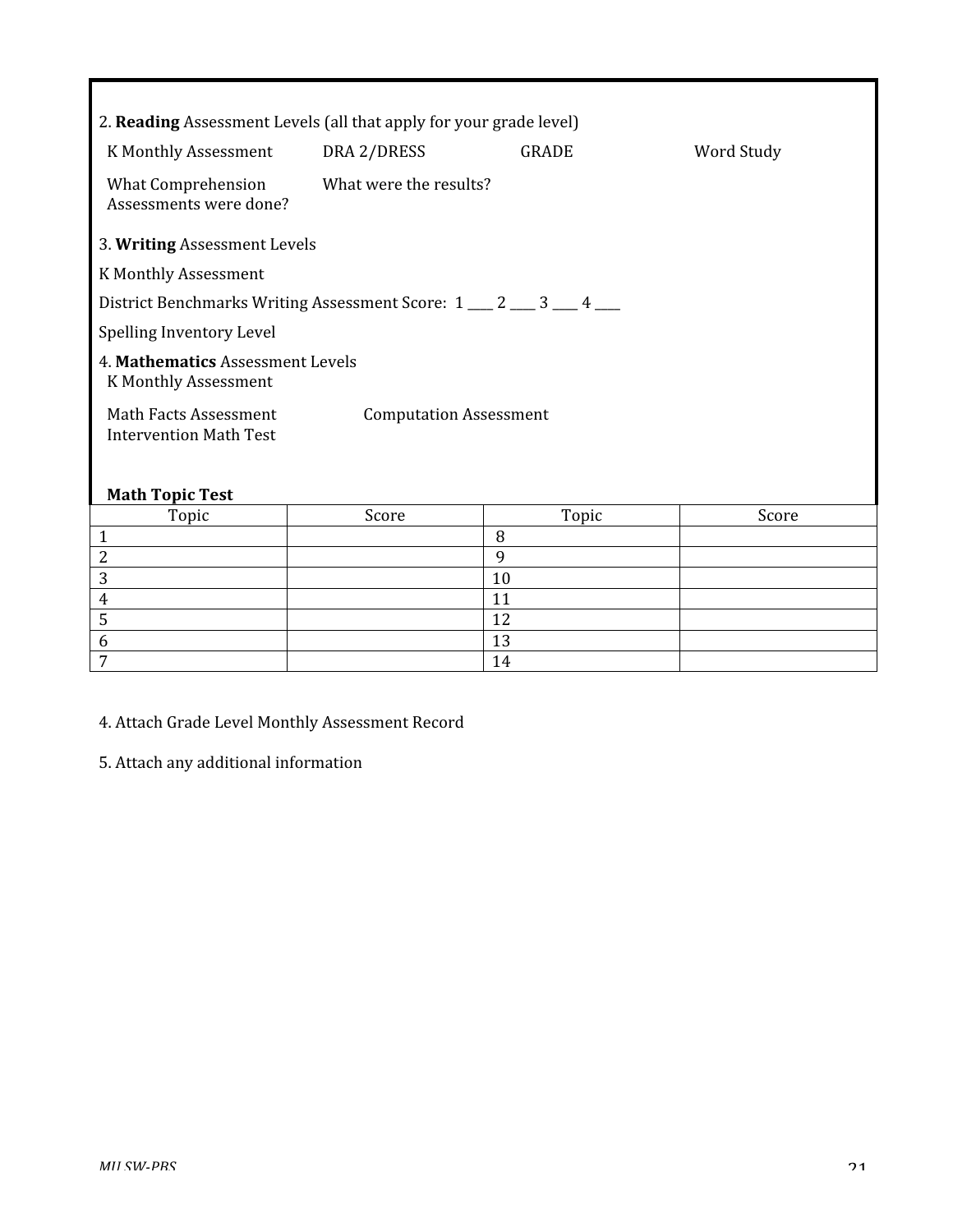| 2. Reading Assessment Levels (all that apply for your grade level)                      |                        |              |            |  |  |
|-----------------------------------------------------------------------------------------|------------------------|--------------|------------|--|--|
| K Monthly Assessment                                                                    | DRA 2/DRESS            | <b>GRADE</b> | Word Study |  |  |
| <b>What Comprehension</b><br>Assessments were done?                                     | What were the results? |              |            |  |  |
| 3. Writing Assessment Levels                                                            |                        |              |            |  |  |
| K Monthly Assessment                                                                    |                        |              |            |  |  |
| District Benchmarks Writing Assessment Score: 1 __ 2 __ 3 __ 4 __                       |                        |              |            |  |  |
| Spelling Inventory Level                                                                |                        |              |            |  |  |
| 4. Mathematics Assessment Levels<br>K Monthly Assessment                                |                        |              |            |  |  |
| Math Facts Assessment<br><b>Computation Assessment</b><br><b>Intervention Math Test</b> |                        |              |            |  |  |
| <b>Math Topic Test</b>                                                                  |                        |              |            |  |  |
| Topic                                                                                   | Score                  | Topic        | Score      |  |  |
| $\mathbf{1}$                                                                            |                        | 8            |            |  |  |
| 2                                                                                       |                        | 9            |            |  |  |
| 3                                                                                       |                        | 10           |            |  |  |

4.
Attach
Grade
Level
Monthly
Assessment
Record

4 11  $\frac{1}{2}$  12  $\sim$  13  $7$  14

5.
Attach
any
additional
information

Г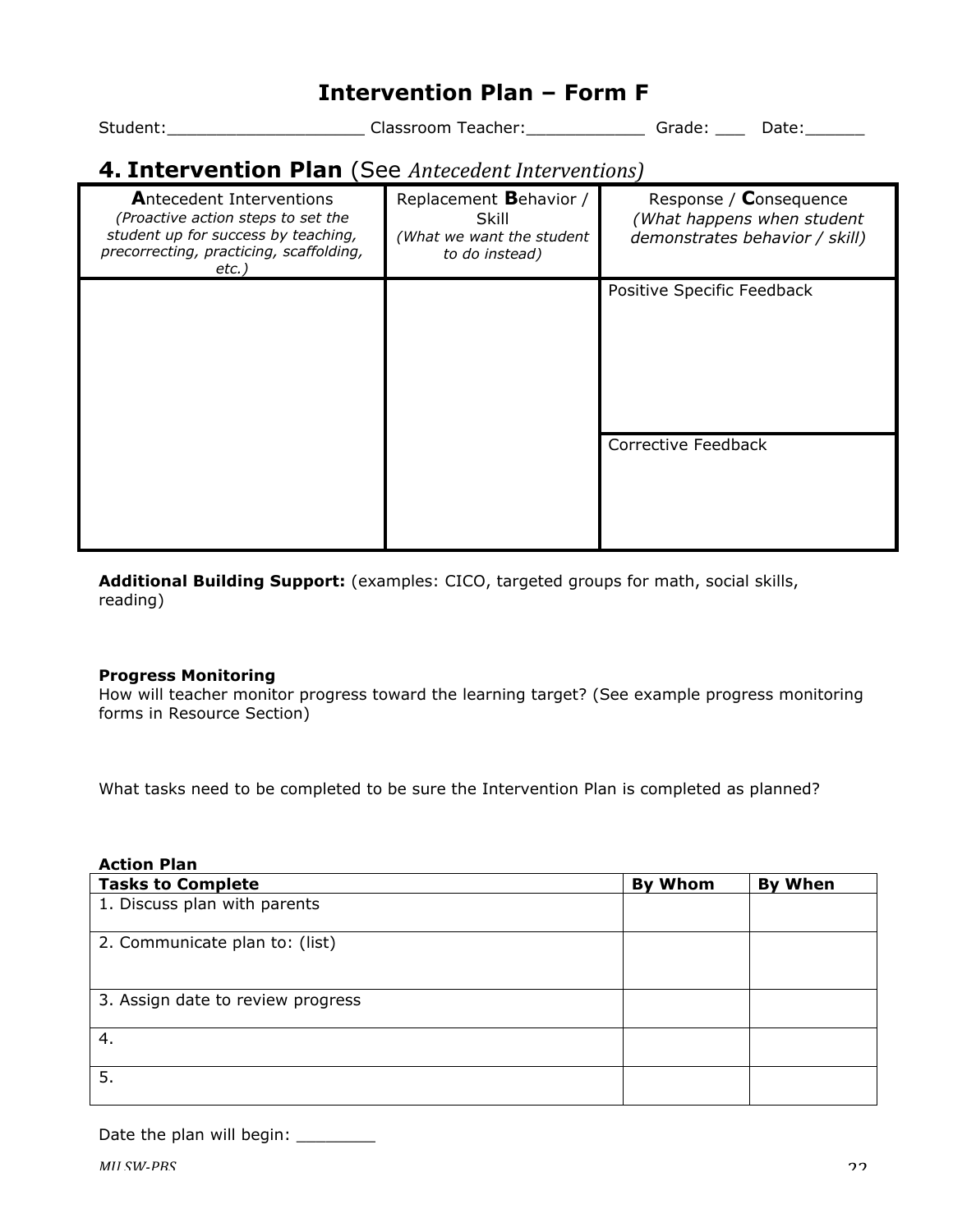# **Intervention Plan – Form F**

Student:\_\_\_\_\_\_\_\_\_\_\_\_\_\_\_\_\_\_\_\_\_\_\_\_\_\_\_Classroom Teacher:\_\_\_\_\_\_\_\_\_\_\_\_\_\_\_\_\_\_Grade: \_\_\_\_\_\_\_Date:\_\_\_\_\_\_\_\_\_

# **4. Intervention Plan** (See *Antecedent
Interventions)*

| <b>Antecedent Interventions</b><br>(Proactive action steps to set the<br>student up for success by teaching,<br>precorrecting, practicing, scaffolding,<br>etc.) | Replacement Behavior /<br>Skill<br>(What we want the student<br>to do instead) | Response / Consequence<br>(What happens when student<br>demonstrates behavior / skill) |
|------------------------------------------------------------------------------------------------------------------------------------------------------------------|--------------------------------------------------------------------------------|----------------------------------------------------------------------------------------|
|                                                                                                                                                                  |                                                                                | Positive Specific Feedback                                                             |
|                                                                                                                                                                  |                                                                                | Corrective Feedback                                                                    |

**Additional Building Support:** (examples: CICO, targeted groups for math, social skills, reading)

#### **Progress Monitoring**

How will teacher monitor progress toward the learning target? (See example progress monitoring forms in Resource Section)

What tasks need to be completed to be sure the Intervention Plan is completed as planned?

| <b>Action Plan</b>                |         |                |
|-----------------------------------|---------|----------------|
| <b>Tasks to Complete</b>          | By Whom | <b>By When</b> |
| 1. Discuss plan with parents      |         |                |
| 2. Communicate plan to: (list)    |         |                |
| 3. Assign date to review progress |         |                |
| 4.                                |         |                |
| 5.                                |         |                |

Date the plan will begin: \_\_\_\_\_\_\_\_\_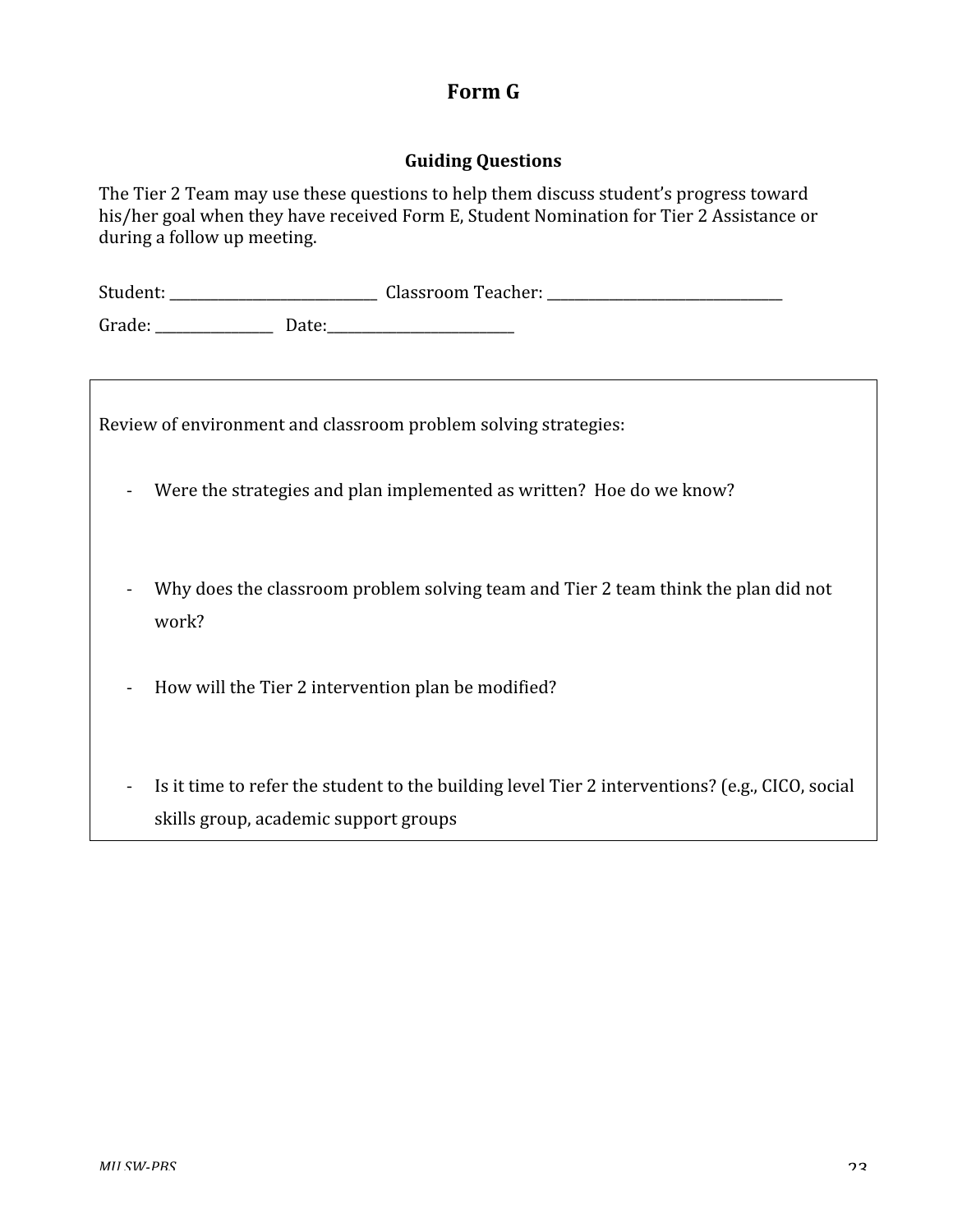### **Form
G**

#### **Guiding
Questions**

The Tier 2 Team may use these questions to help them discuss student's progress toward his/her goal when they have received Form E, Student Nomination for Tier 2 Assistance or during
a
follow
up
meeting.

| Student: | <b>Classroom Teacher:</b> |  |
|----------|---------------------------|--|
| $\sim$   |                           |  |

Grade:
\_\_\_\_\_\_\_\_\_\_\_\_\_\_\_\_\_

Date:\_\_\_\_\_\_\_\_\_\_\_\_\_\_\_\_\_\_\_\_\_\_\_\_\_\_\_

Review
of
environment
and
classroom
problem
solving
strategies:

- ‐ Were
the
strategies
and
plan
implemented
as
written?

Hoe
do
we
know?
- Why does the classroom problem solving team and Tier 2 team think the plan did not work?
- How will the Tier 2 intervention plan be modified?
- Is it time to refer the student to the building level Tier 2 interventions? (e.g., CICO, social skills
group,
academic
support
groups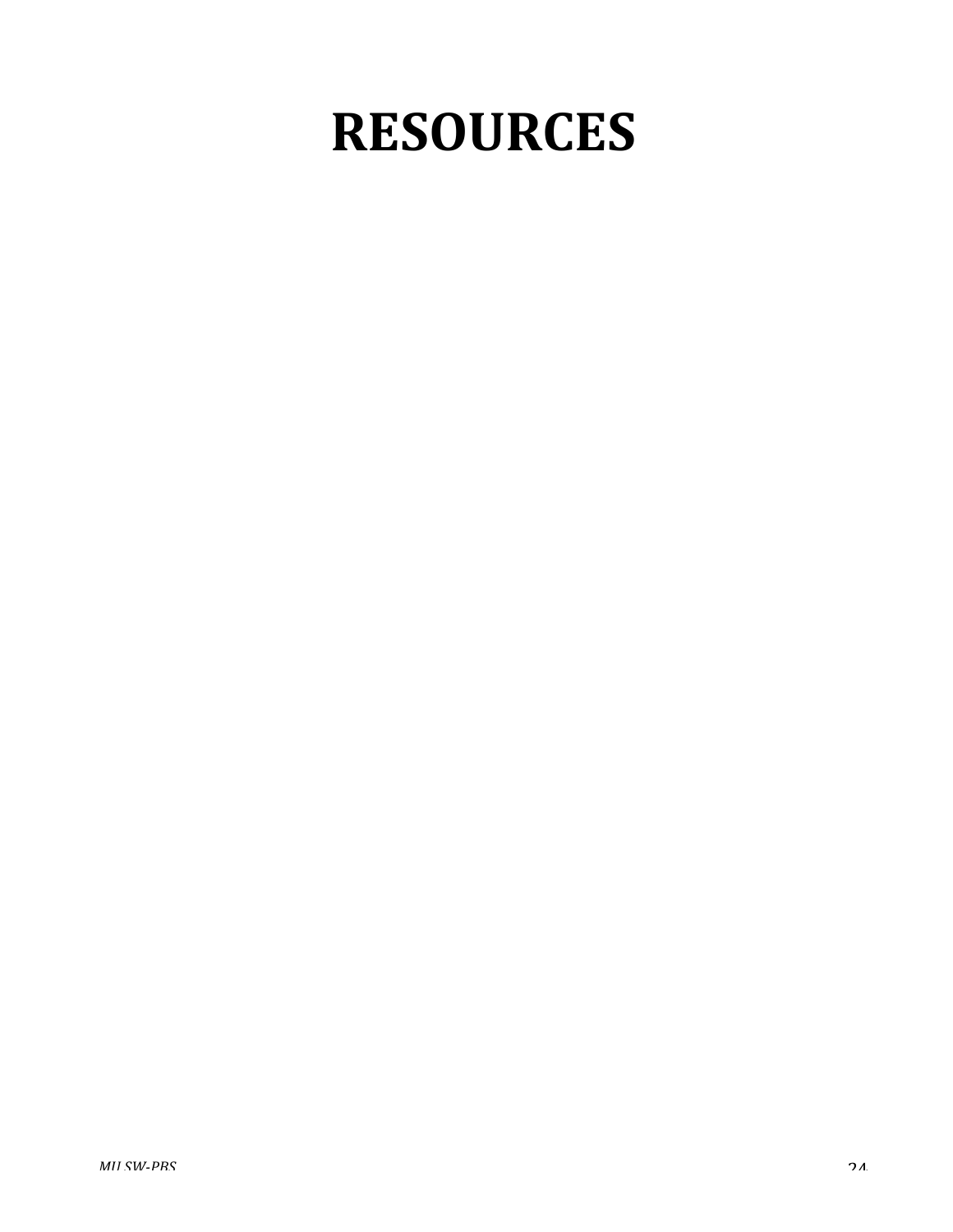# **RESOURCES**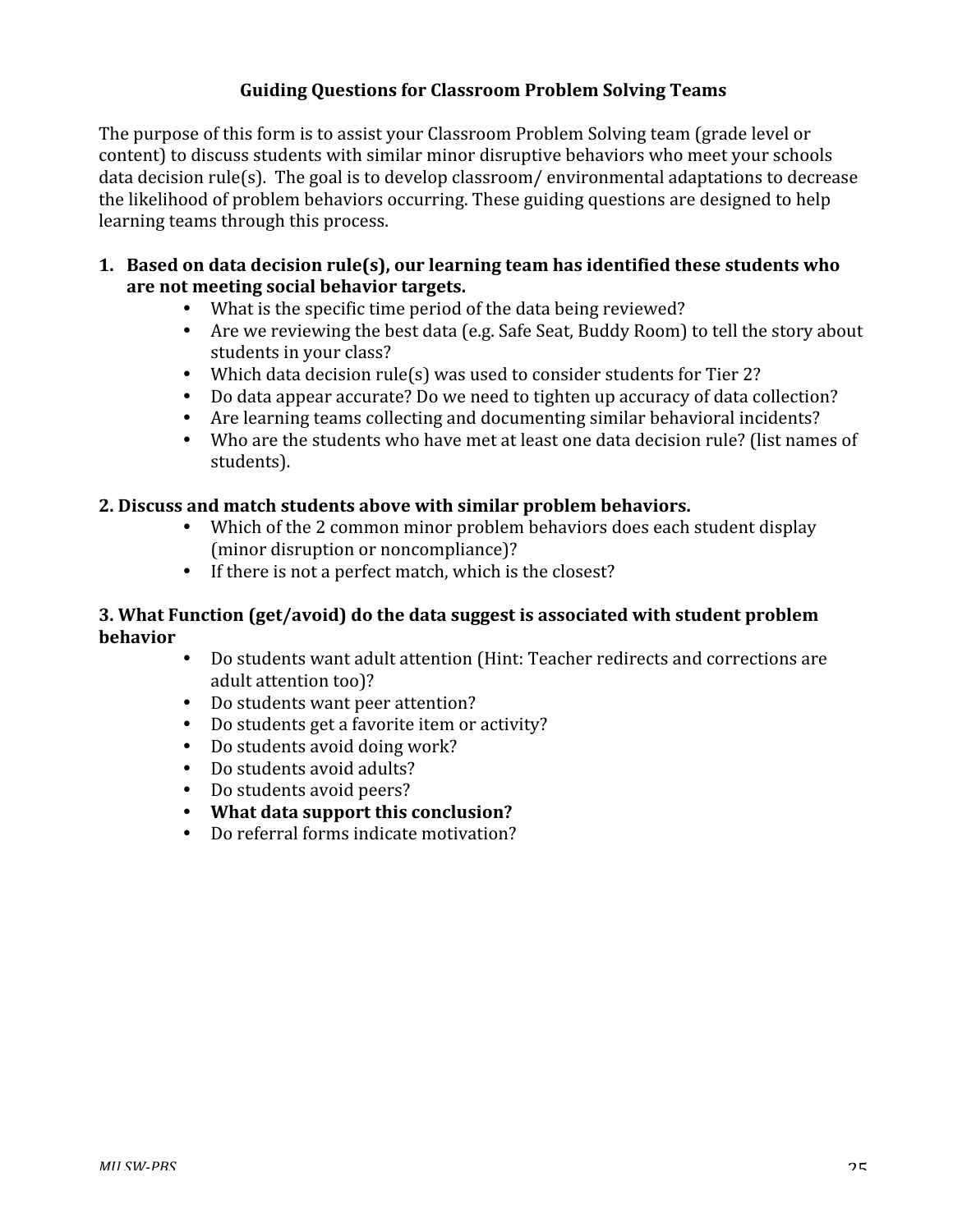#### **Guiding
Questions
for
Classroom
Problem
Solving
Teams**

The purpose of this form is to assist your Classroom Problem Solving team (grade level or content)
to
discuss
students
with
similar
minor
disruptive
behaviors
who
meet
your
schools data decision rule(s). The goal is to develop classroom/environmental adaptations to decrease the
likelihood
of
problem
behaviors
occurring.
These
guiding
questions
are
designed
to
help learning
teams
through
this
process.

- **1. Based
on
data
decision
rule(s),
our
learning
team
has
identified
these
students
who are
not
meeting
social
behavior
targets.**
	- What is the specific time period of the data being reviewed?
	- Are we reviewing the best data (e.g. Safe Seat, Buddy Room) to tell the story about students
	in
	your
	class?
	- Which data decision rule(s) was used to consider students for Tier 2?
	- Do data appear accurate? Do we need to tighten up accuracy of data collection?
	- Are learning teams collecting and documenting similar behavioral incidents?
	- Who are the students who have met at least one data decision rule? (list names of students).

#### **2.
Discuss
and
match
students
above
with
similar
problem
behaviors.**

- Which of the 2 common minor problem behaviors does each student display (minor disruption or noncompliance)?
- If there is not a perfect match, which is the closest?

#### **3. What
Function
(get/avoid)
do
the
data
suggest
is
associated
with
student
problem behavior**

- Do students want adult attention (Hint: Teacher redirects and corrections are adult
attention
too)?
- Do students want peer attention?
- Do students get a favorite item or activity?
- Do
students
avoid
doing
work?
- Do students avoid adults?
- Do students avoid peers?
- **What
data
support
this
conclusion?**
- Do referral forms indicate motivation?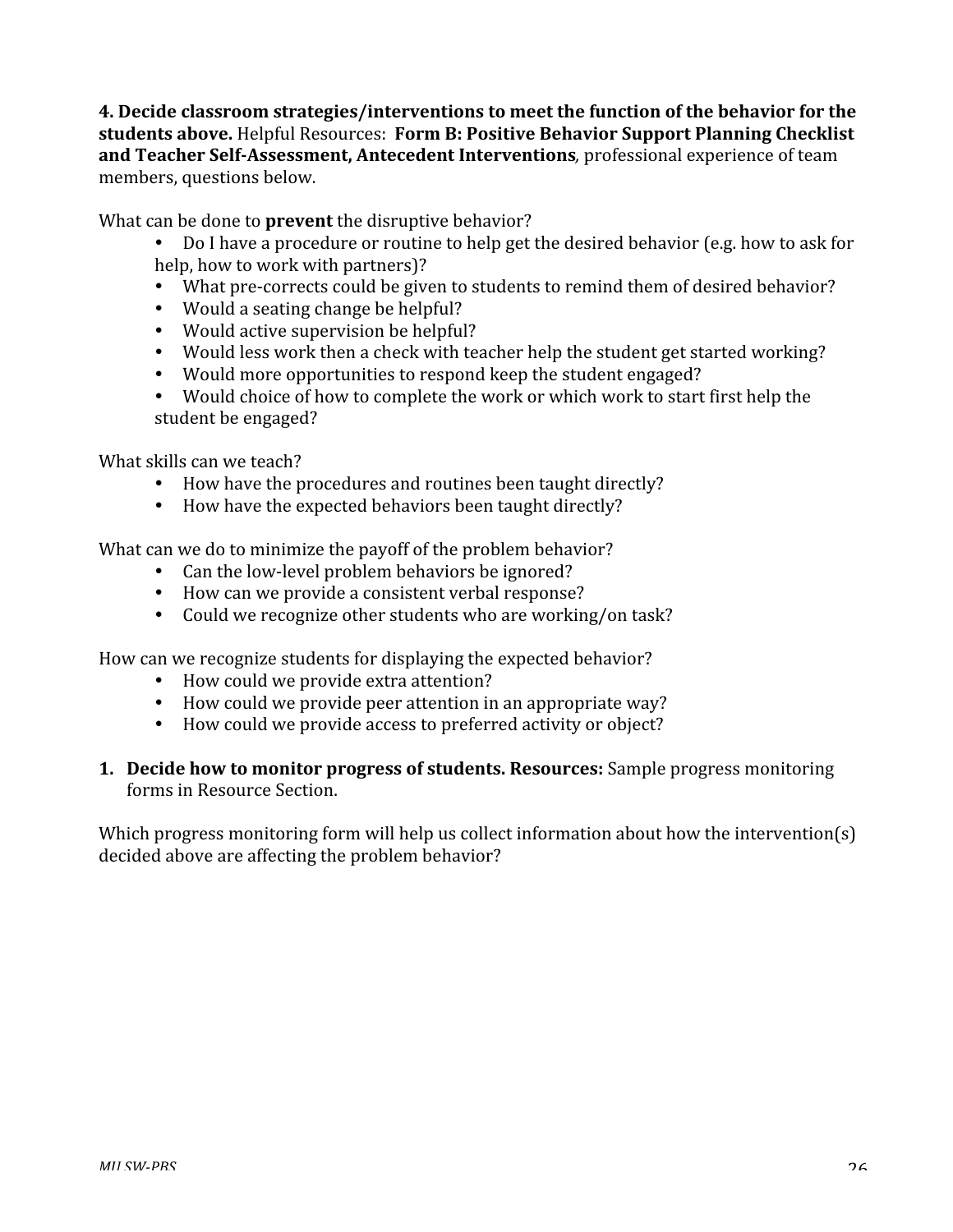**4.
Decide
classroom
strategies/interventions
to
meet
the
function
of
the
behavior
for
the**  students above. Helpful Resources: Form B: Positive Behavior Support Planning Checklist and Teacher Self-Assessment, Antecedent Interventions, professional experience of team members,
questions
below.

What can be done to **prevent** the disruptive behavior?

- Do I have a procedure or routine to help get the desired behavior (e.g. how to ask for help,
how
to
work
with
partners)?
- What pre-corrects could be given to students to remind them of desired behavior?
- Would a seating change be helpful?
- Would active supervision be helpful?
- Would less work then a check with teacher help the student get started working?
- Would more opportunities to respond keep the student engaged?
- Would choice of how to complete the work or which work to start first help the student
be
engaged?

What skills can we teach?

- How have the procedures and routines been taught directly?
- How have the expected behaviors been taught directly?

What can we do to minimize the payoff of the problem behavior?

- Can the low-level problem behaviors be ignored?
- How can we provide a consistent verbal response?
- Could we recognize other students who are working/on task?

How
can
we
recognize
students
for
displaying
the
expected
behavior?

- How could we provide extra attention?
- How could we provide peer attention in an appropriate way?
- How could we provide access to preferred activity or object?
- 1. Decide how to monitor progress of students. Resources: Sample progress monitoring forms
in
Resource
Section.

Which progress monitoring form will help us collect information about how the intervention(s) decided
above
are
affecting
the
problem
behavior?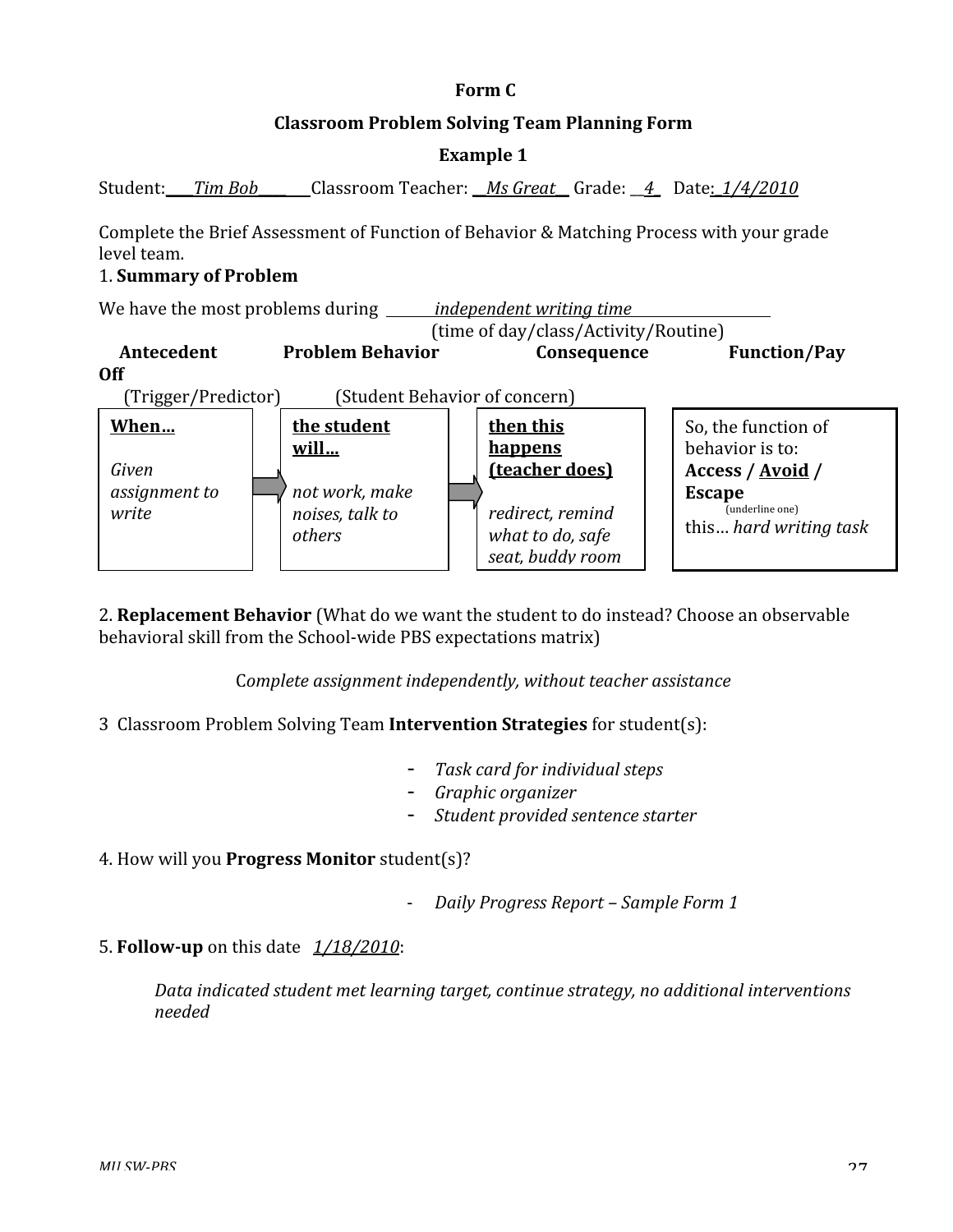#### **Classroom
Problem
Solving
Team
Planning
Form**

#### **Example
1**

Student: Tim Bob Classroom Teacher: Ms Great Grade: 4 Date: 1/4/2010

Complete the Brief Assessment of Function of Behavior & Matching Process with your grade level
team.

#### 1.**Summary
of
Problem**



2. Replacement Behavior (What do we want the student to do instead? Choose an observable behavioral
skill
from
the
School‐wide
PBS
expectations
matrix)

C*omplete
assignment
independently,
without
teacher
assistance*

3Classroom
Problem
Solving
Team**Intervention
Strategies** for
student(s):

- Task card for *individual* steps
- *Graphic
organizer*
- *Student
provided
sentence
starter*

4.
How
will
you **Progress
Monitor** student(s)?

- ‐ *Daily
Progress
Report
–
Sample
Form
1*
- **5. Follow-up** on this date  $\frac{1}{18/2010}$ :

Data indicated student met learning target, continue strategy, no additional interventions *needed*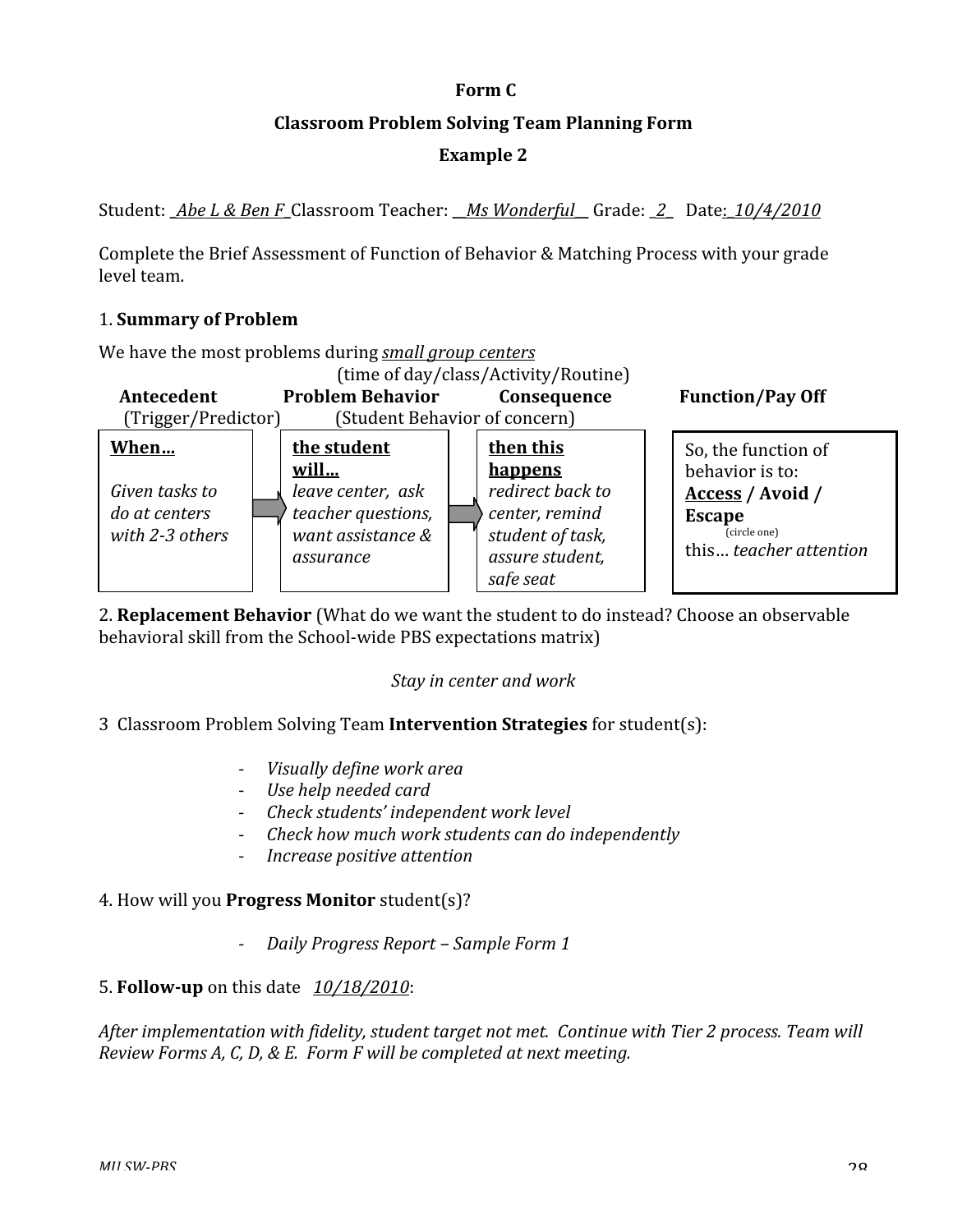#### **Classroom
Problem
Solving
Team
Planning
Form**

#### **Example
2**

Student: Abe L & Ben F Classroom Teacher: Ms Wonderful Grade: 2 Date: 10/4/2010

Complete the Brief Assessment of Function of Behavior & Matching Process with your grade level
team.

#### 1.**Summary
of
Problem**

We
have
the
most
problems
during *small
group
centers*



2. **Replacement Behavior** (What do we want the student to do instead? Choose an observable behavioral
skill
from
the
School‐wide
PBS
expectations
matrix)

#### *Stay
in
center
and
work*

#### 3Classroom
Problem
Solving
Team**Intervention
Strategies** for
student(s):

- ‐ *Visually
define
work
area*
- ‐ *Use
help
needed
card*
- ‐ *Check
students'
independent
work
level*
- ‐ *Check
how
much
work
students
can
do
independently*
- ‐ *Increase
positive
attention*

#### 4.
How
will
you **Progress
Monitor** student(s)?

‐ *Daily
Progress
Report
–
Sample
Form
1*

#### 5.**Followup** on
this
date *10/18/2010*:

After implementation with fidelity, student target not met. Continue with Tier 2 process. Team will *Review
Forms
A,
C,
D,
&
E.

Form
F
will
be
completed
at
next
meeting.*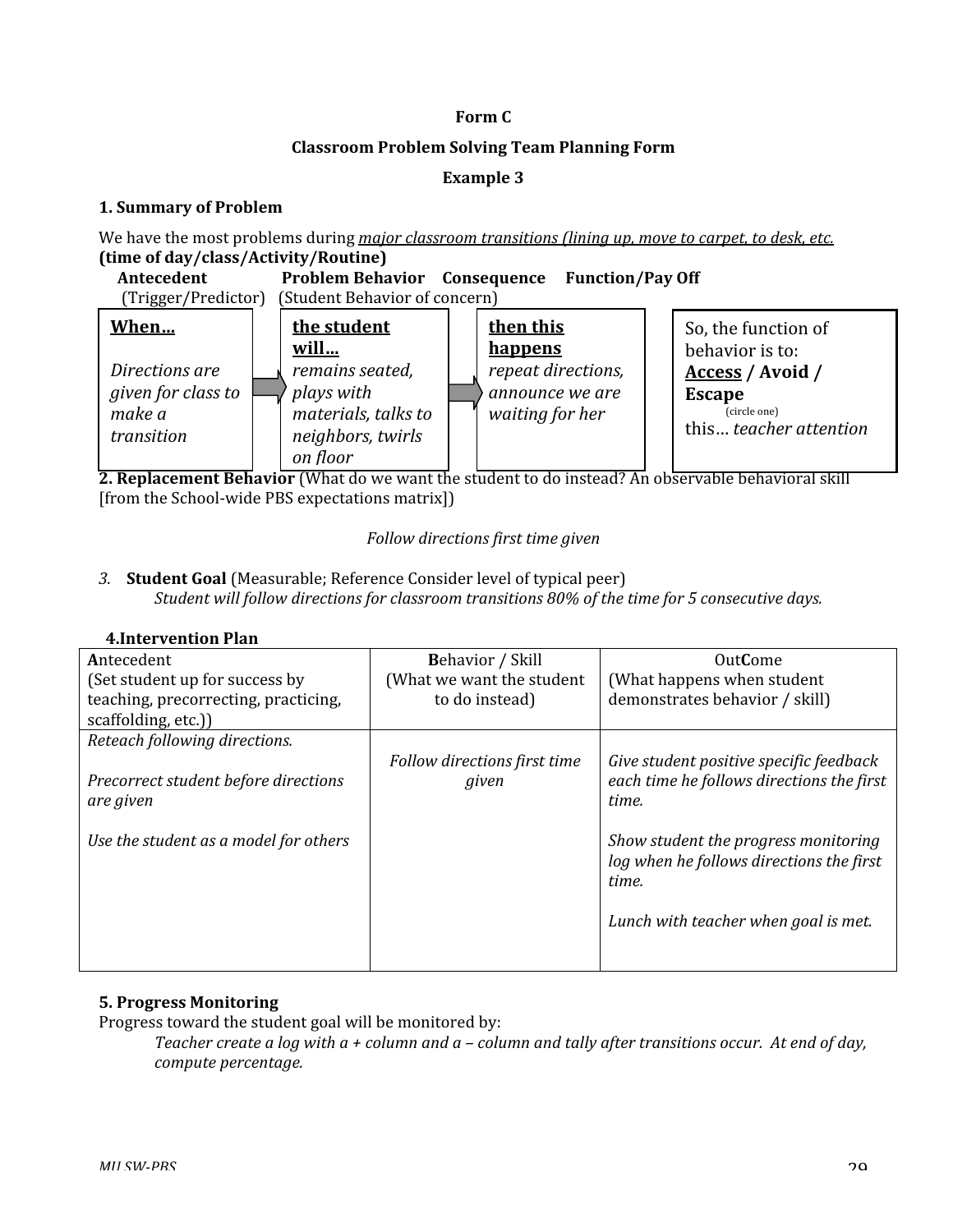#### **Classroom
Problem
Solving
Team
Planning
Form**

#### **Example
3**

#### **1.
Summary
of
Problem**

We have the most problems during *major classroom transitions (lining up, move to carpet, to desk, etc.*) **(time
of
day/class/Activity/Routine)**

| Antecedent<br><b>Problem Behavior</b> Consequence<br><b>Function/Pay Off</b><br>(Student Behavior of concern)<br>(Trigger/Predictor) |  |                                                                                       |  |                                                          |                                                                             |
|--------------------------------------------------------------------------------------------------------------------------------------|--|---------------------------------------------------------------------------------------|--|----------------------------------------------------------|-----------------------------------------------------------------------------|
| When                                                                                                                                 |  | the student<br>will                                                                   |  | then this<br><b>happens</b>                              | So, the function of<br>behavior is to:                                      |
| Directions are<br>given for class to<br>make a<br>transition                                                                         |  | remains seated,<br>plays with<br>materials, talks to<br>neighbors, twirls<br>on floor |  | repeat directions,<br>announce we are<br>waiting for her | Access / Avoid /<br><b>Escape</b><br>(circle one)<br>this teacher attention |

2. Replacement Behavior (What do we want the student to do instead? An observable behavioral skill [from the School-wide PBS expectations matrix]]

#### *Follow
directions
first
time
given*

3. **Student Goal** (Measurable; Reference Consider level of typical peer) *Student
will
follow
directions
for
classroom
transitions
80%
of
the
time
for
5
consecutive
days.*

| Antecedent                                        | <b>Behavior</b> / Skill               | <b>OutCome</b>                                                                                                                    |
|---------------------------------------------------|---------------------------------------|-----------------------------------------------------------------------------------------------------------------------------------|
| (Set student up for success by                    | (What we want the student             | (What happens when student                                                                                                        |
| teaching, precorrecting, practicing,              | to do instead)                        | demonstrates behavior / skill)                                                                                                    |
| scaffolding, etc.)                                |                                       |                                                                                                                                   |
| Reteach following directions.                     |                                       |                                                                                                                                   |
| Precorrect student before directions<br>are given | Follow directions first time<br>given | Give student positive specific feedback<br>each time he follows directions the first<br>time.                                     |
| Use the student as a model for others             |                                       | Show student the progress monitoring<br>log when he follows directions the first<br>time.<br>Lunch with teacher when goal is met. |

#### **4.Intervention
Plan**

#### **5. Progress
Monitoring**

Progress toward the student goal will be monitored by:

Teacher create a log with a + column and a - column and tally after transitions occur. At end of day, *compute
percentage.*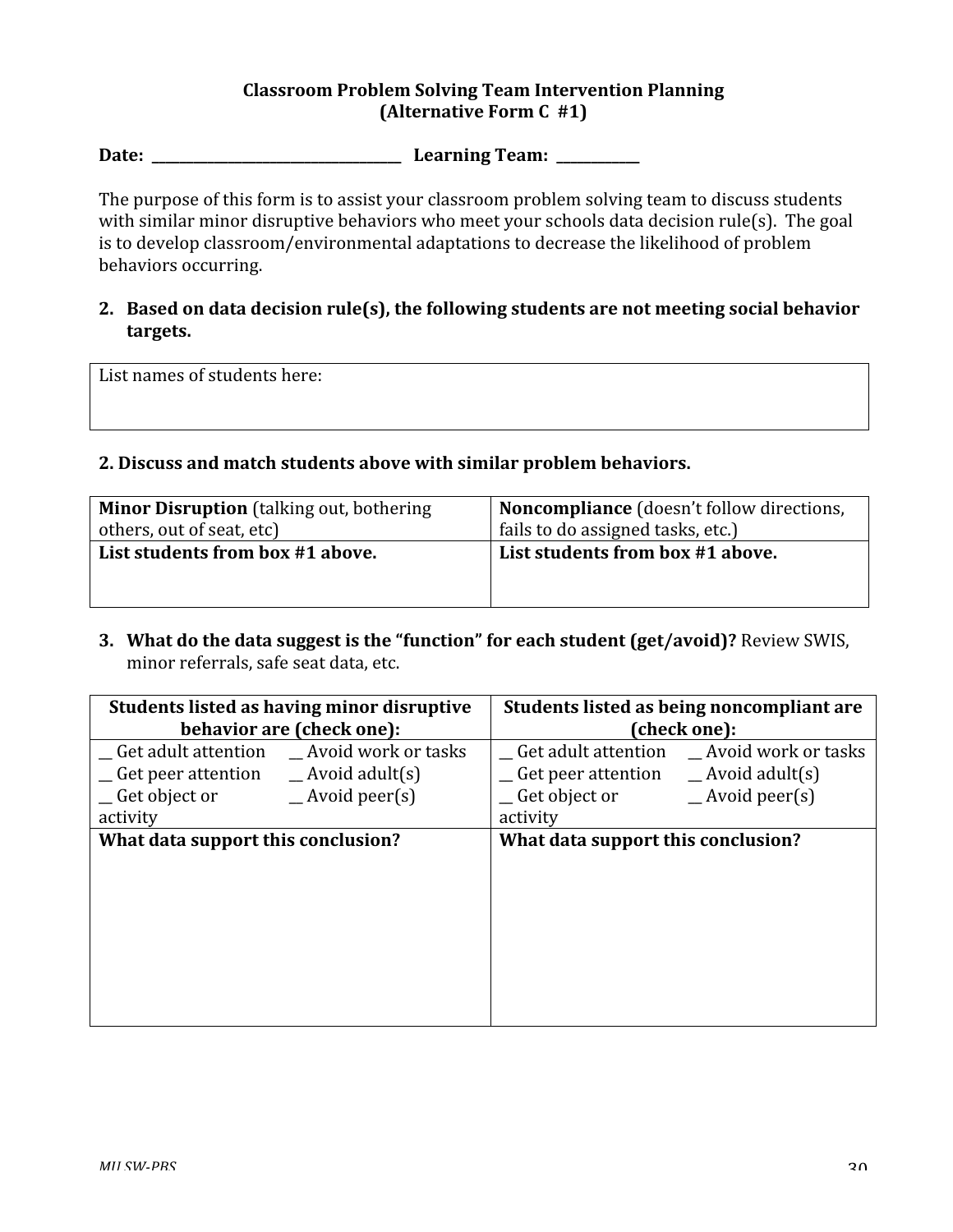#### **Classroom
Problem
Solving
Team
Intervention
Planning (Alternative Form C #1)**

**Date:

\_\_\_\_\_\_\_\_\_\_\_\_\_\_\_\_\_\_\_\_\_\_\_\_\_\_\_\_\_\_\_\_\_\_\_\_

Learning
Team:

\_\_\_\_\_\_\_\_\_\_\_\_**

The purpose of this form is to assist your classroom problem solving team to discuss students with similar minor disruptive behaviors who meet your schools data decision rule(s). The goal is to develop classroom/environmental adaptations to decrease the likelihood of problem behaviors
occurring.

#### 2. Based on data decision rule(s), the following students are not meeting social behavior **targets.**

List
names
of
students
here:

#### **2.
Discuss
and
match
students
above
with
similar
problem
behaviors.**

| <b>Minor Disruption</b> (talking out, bothering<br>others, out of seat, etc) | Noncompliance (doesn't follow directions,<br>fails to do assigned tasks, etc.) |  |
|------------------------------------------------------------------------------|--------------------------------------------------------------------------------|--|
| List students from box #1 above.                                             | List students from box #1 above.                                               |  |
|                                                                              |                                                                                |  |
|                                                                              |                                                                                |  |

**3. What
do
the
data
suggest
is
the
"function"
for
each
student
(get/avoid)?**Review
SWIS, minor
referrals,
safe
seat
data,
etc.

| Students listed as having minor disruptive       | Students listed as being noncompliant are           |  |
|--------------------------------------------------|-----------------------------------------------------|--|
| behavior are (check one):                        | (check one):                                        |  |
| _Get adult attention __Avoid work or tasks       | _Get adult attention __Avoid work or tasks          |  |
| _Get peer attention<br>$\qquad$ Avoid adult(s)   | $\equiv$ Get peer attention $\equiv$ Avoid adult(s) |  |
| $\equiv$ Avoid peer(s)<br>$\equiv$ Get object or | $\equiv$ Get object or<br>$\equiv$ Avoid peer(s)    |  |
| activity                                         | activity                                            |  |
| What data support this conclusion?               | What data support this conclusion?                  |  |
|                                                  |                                                     |  |
|                                                  |                                                     |  |
|                                                  |                                                     |  |
|                                                  |                                                     |  |
|                                                  |                                                     |  |
|                                                  |                                                     |  |
|                                                  |                                                     |  |
|                                                  |                                                     |  |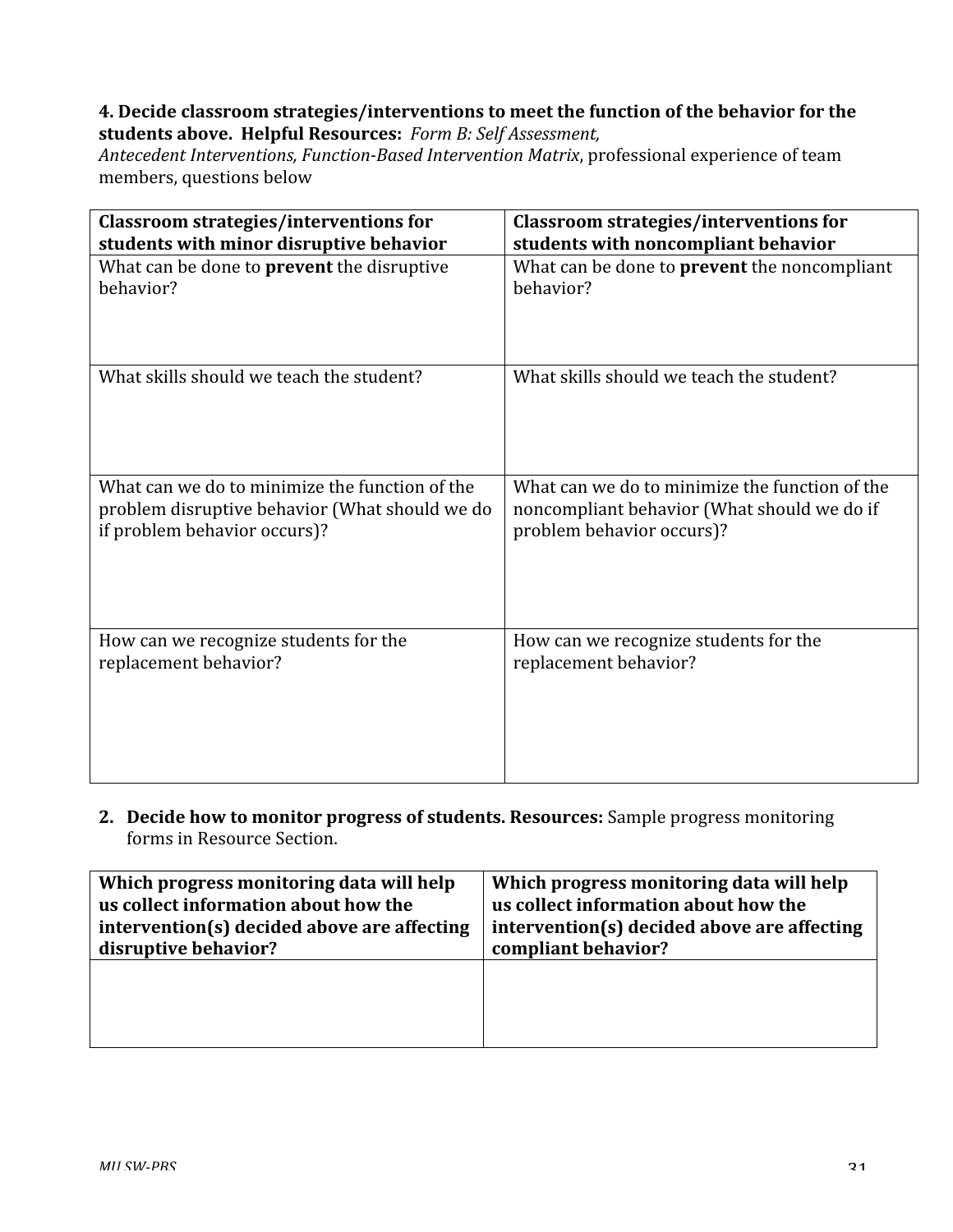#### **4.
Decide
classroom
strategies/interventions
to
meet
the
function
of
the
behavior
for
the students
above.

Helpful
Resources:** *Form
B:
Self
Assessment,*

Antecedent Interventions, Function-Based Intervention Matrix, professional experience of team members,
questions
below

| <b>Classroom strategies/interventions for</b>     | <b>Classroom strategies/interventions for</b>       |  |
|---------------------------------------------------|-----------------------------------------------------|--|
| students with minor disruptive behavior           | students with noncompliant behavior                 |  |
| What can be done to <b>prevent</b> the disruptive | What can be done to <b>prevent</b> the noncompliant |  |
| behavior?                                         | behavior?                                           |  |
| What skills should we teach the student?          | What skills should we teach the student?            |  |
| What can we do to minimize the function of the    | What can we do to minimize the function of the      |  |
| problem disruptive behavior (What should we do    | noncompliant behavior (What should we do if         |  |
| if problem behavior occurs)?                      | problem behavior occurs)?                           |  |
| How can we recognize students for the             | How can we recognize students for the               |  |
| replacement behavior?                             | replacement behavior?                               |  |

2. Decide how to monitor progress of students. Resources: Sample progress monitoring forms
in
Resource
Section.

| Which progress monitoring data will help    | Which progress monitoring data will help    |  |
|---------------------------------------------|---------------------------------------------|--|
| us collect information about how the        | us collect information about how the        |  |
| intervention(s) decided above are affecting | intervention(s) decided above are affecting |  |
| disruptive behavior?                        | compliant behavior?                         |  |
|                                             |                                             |  |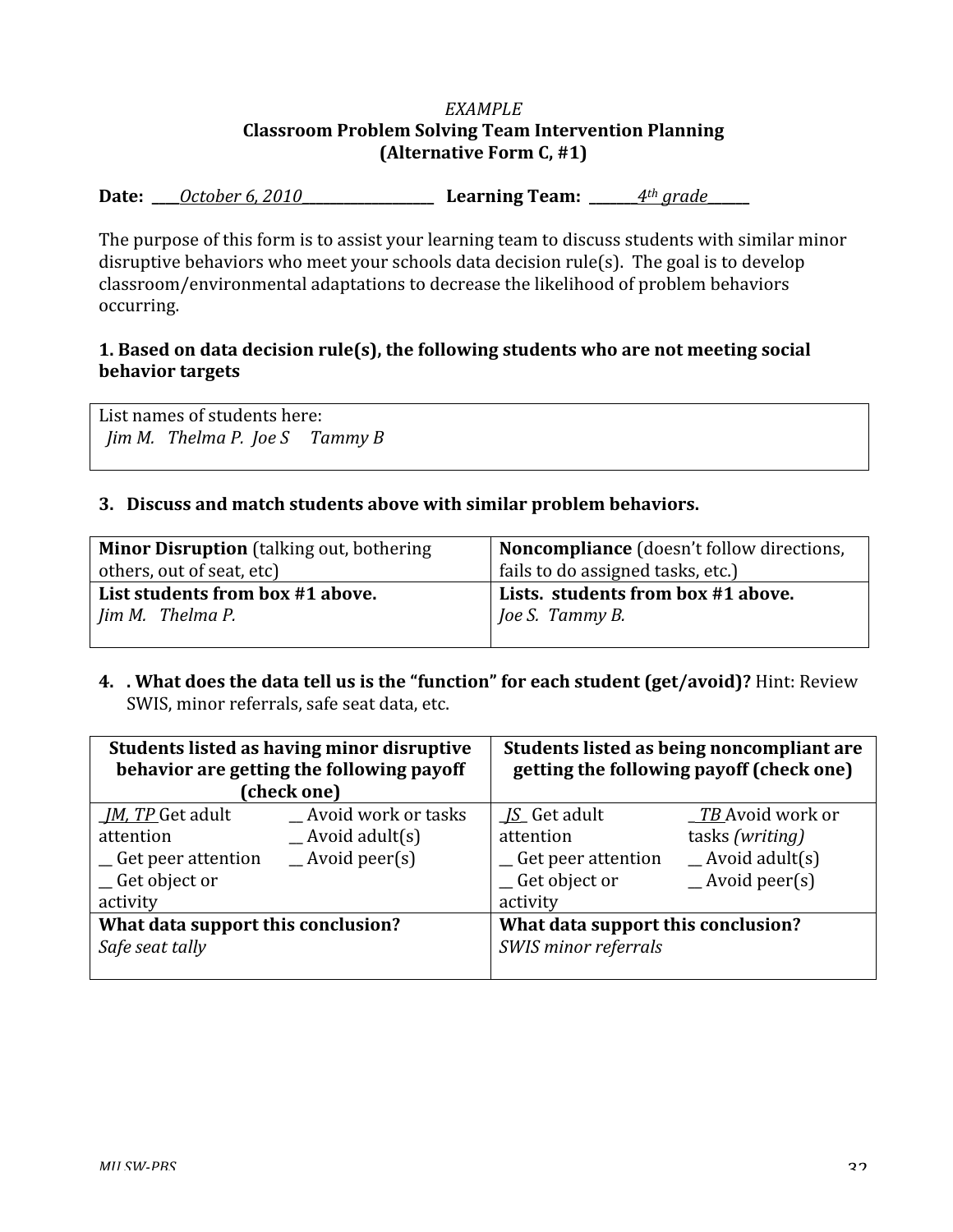#### *EXAMPLE* **Classroom
Problem
Solving
Team
Intervention
Planning (Alternative
Form
C,
#1)**

**Date:

\_\_\_\_***October
6,
2010***\_\_\_\_\_\_\_\_\_\_\_\_\_\_\_\_\_\_\_

Learning
Team:

\_\_\_\_\_\_\_***4th
grade***\_\_\_\_\_\_**

The purpose of this form is to assist your learning team to discuss students with similar minor disruptive behaviors who meet your schools data decision rule(s). The goal is to develop classroom/environmental
adaptations
to
decrease
the
likelihood
of
problem
behaviors occurring.

#### **1.
Based
on
data
decision
rule(s),
the
following
students
who
are
not
meeting
social behavior
targets**

List
names
of
students
here: *Jim M.* Thelma P. Joe S Tammy B

#### **3. Discuss
and
match
students
above
with
similar
problem
behaviors.**

| <b>Minor Disruption</b> (talking out, bothering | Noncompliance (doesn't follow directions, |  |
|-------------------------------------------------|-------------------------------------------|--|
| others, out of seat, etc)                       | fails to do assigned tasks, etc.)         |  |
| List students from box #1 above.                | Lists. students from box #1 above.        |  |
| Jim M. Thelma P.                                | Joe S. Tammy B.                           |  |
|                                                 |                                           |  |

4. . What does the data tell us is the "function" for each student (get/avoid)? Hint: Review SWIS, minor
referrals,
safe
seat
data,
etc.

| Students listed as having minor disruptive<br>behavior are getting the following payoff<br>(check one) |                         | Students listed as being noncompliant are<br>getting the following payoff (check one) |                         |
|--------------------------------------------------------------------------------------------------------|-------------------------|---------------------------------------------------------------------------------------|-------------------------|
| <i><u>IM, TP Get adult</u></i>                                                                         | Avoid work or tasks     | <i>IS</i> Get adult                                                                   | <i>TB</i> Avoid work or |
| attention                                                                                              | $\Delta$ Avoid adult(s) | attention                                                                             | tasks (writing)         |
| _Get peer attention                                                                                    | $\equiv$ Avoid peer(s)  | _Get peer attention                                                                   | $\Delta$ Avoid adult(s) |
| _Get object or                                                                                         |                         | $C$ Get object or                                                                     | $\equiv$ Avoid peer(s)  |
| activity                                                                                               |                         | activity                                                                              |                         |
| What data support this conclusion?                                                                     |                         | What data support this conclusion?                                                    |                         |
| Safe seat tally                                                                                        |                         | SWIS minor referrals                                                                  |                         |
|                                                                                                        |                         |                                                                                       |                         |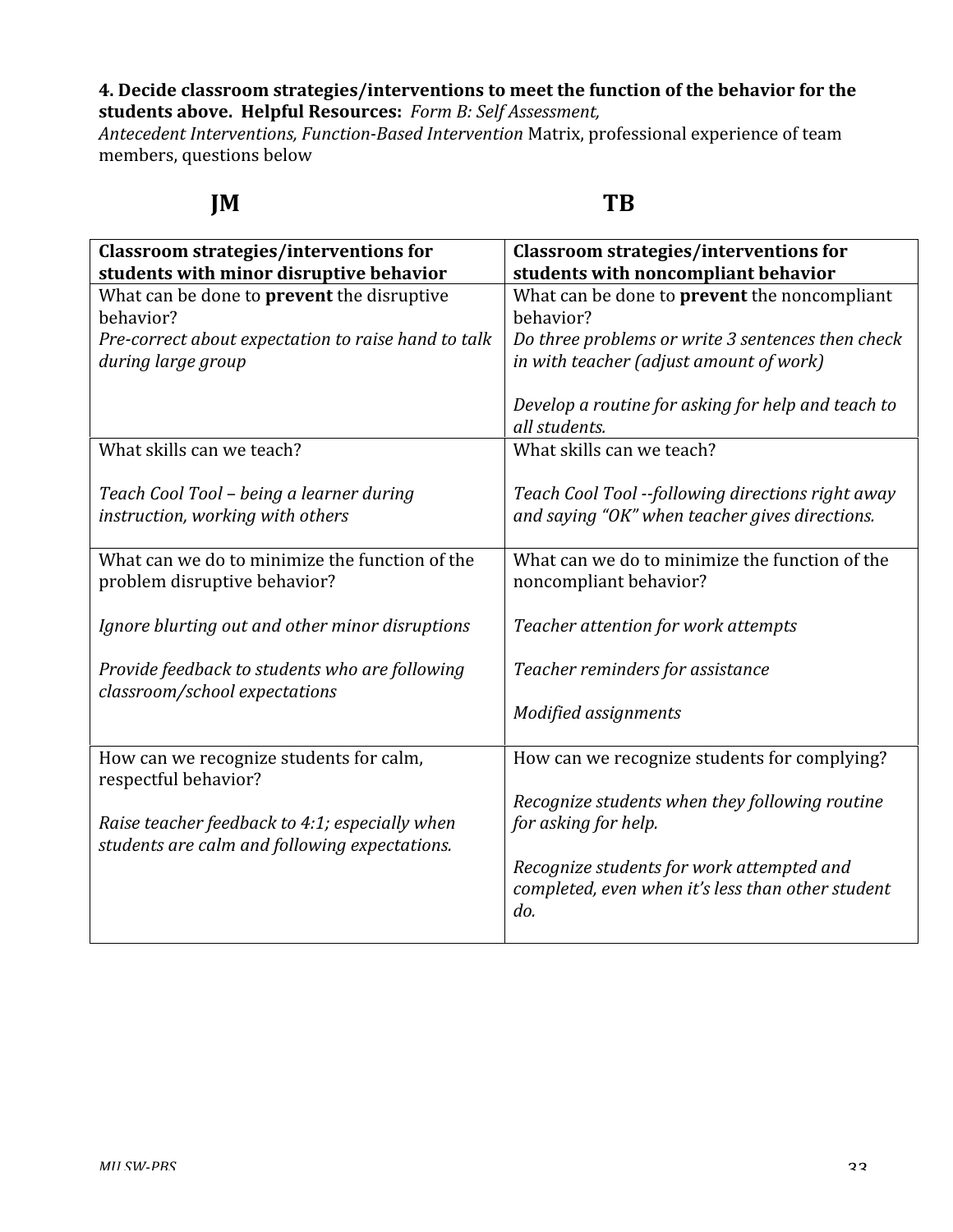### **4.
Decide
classroom
strategies/interventions
to
meet
the
function
of
the
behavior
for
the students
above.

Helpful
Resources:** *Form
B:
Self
Assessment,*

Antecedent Interventions, Function-Based Intervention Matrix, professional experience of team members,
questions
below

# **JM TB**

| <b>Classroom strategies/interventions for</b>                                                                  | <b>Classroom strategies/interventions for</b>                                                                         |
|----------------------------------------------------------------------------------------------------------------|-----------------------------------------------------------------------------------------------------------------------|
| students with minor disruptive behavior                                                                        | students with noncompliant behavior                                                                                   |
| What can be done to prevent the disruptive<br>behavior?<br>Pre-correct about expectation to raise hand to talk | What can be done to <b>prevent</b> the noncompliant<br>behavior?<br>Do three problems or write 3 sentences then check |
| during large group                                                                                             | in with teacher (adjust amount of work)<br>Develop a routine for asking for help and teach to<br>all students.        |
| What skills can we teach?                                                                                      | What skills can we teach?                                                                                             |
| Teach Cool Tool - being a learner during<br>instruction, working with others                                   | Teach Cool Tool --following directions right away<br>and saying "OK" when teacher gives directions.                   |
| What can we do to minimize the function of the<br>problem disruptive behavior?                                 | What can we do to minimize the function of the<br>noncompliant behavior?                                              |
| Ignore blurting out and other minor disruptions                                                                | Teacher attention for work attempts                                                                                   |
| Provide feedback to students who are following<br>classroom/school expectations                                | Teacher reminders for assistance                                                                                      |
|                                                                                                                | Modified assignments                                                                                                  |
| How can we recognize students for calm,<br>respectful behavior?                                                | How can we recognize students for complying?                                                                          |
| Raise teacher feedback to 4:1; especially when<br>students are calm and following expectations.                | Recognize students when they following routine<br>for asking for help.                                                |
|                                                                                                                | Recognize students for work attempted and<br>completed, even when it's less than other student<br>do.                 |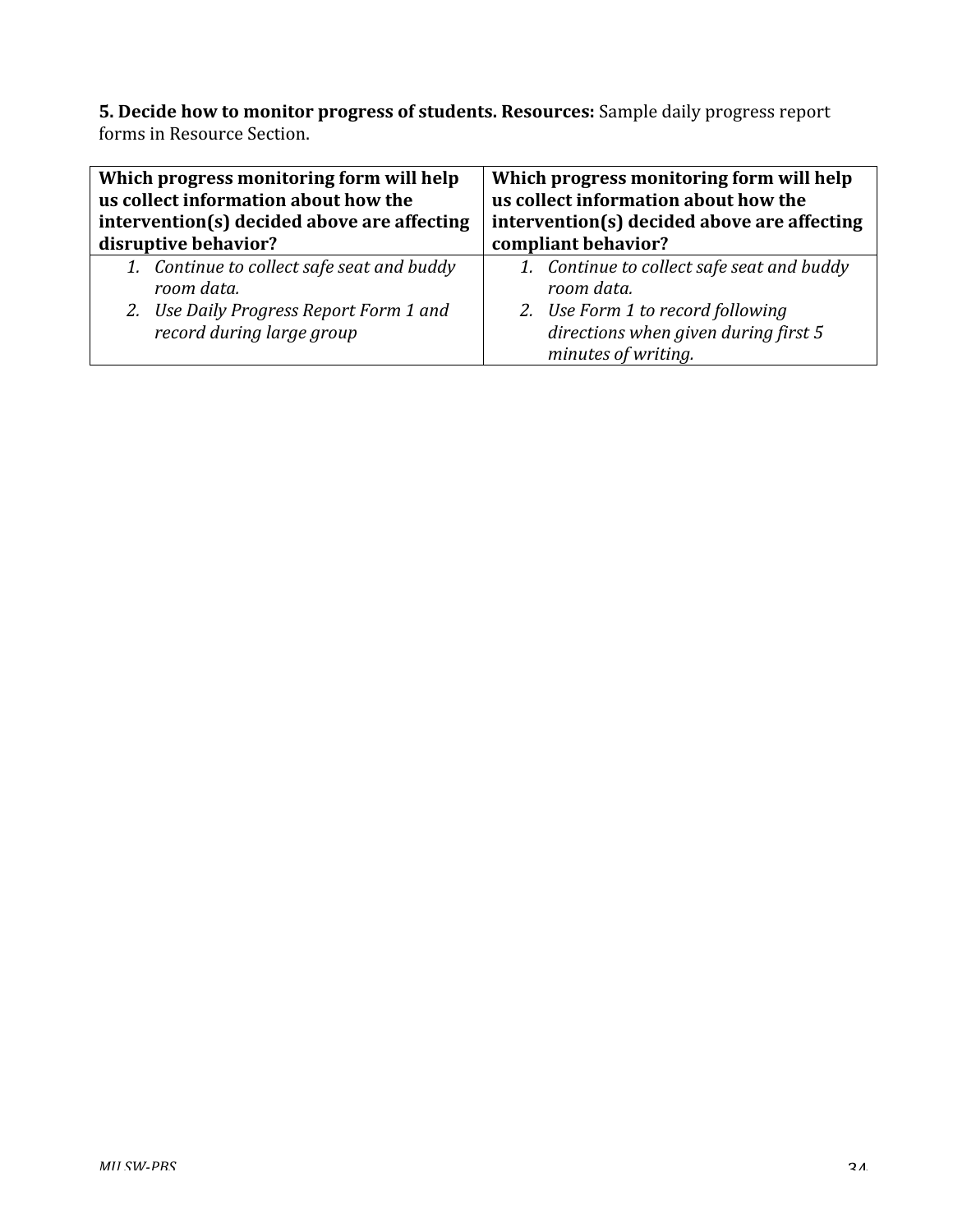5. Decide how to monitor progress of students. Resources: Sample daily progress report forms
in
Resource
Section.

| Which progress monitoring form will help                             | Which progress monitoring form will help                                                         |  |  |
|----------------------------------------------------------------------|--------------------------------------------------------------------------------------------------|--|--|
| us collect information about how the                                 | us collect information about how the                                                             |  |  |
| intervention(s) decided above are affecting                          | intervention(s) decided above are affecting                                                      |  |  |
| disruptive behavior?                                                 | compliant behavior?                                                                              |  |  |
| 1. Continue to collect safe seat and buddy                           | 1. Continue to collect safe seat and buddy                                                       |  |  |
| room data.                                                           | room data.                                                                                       |  |  |
| 2. Use Daily Progress Report Form 1 and<br>record during large group | 2. Use Form 1 to record following<br>directions when given during first 5<br>minutes of writing. |  |  |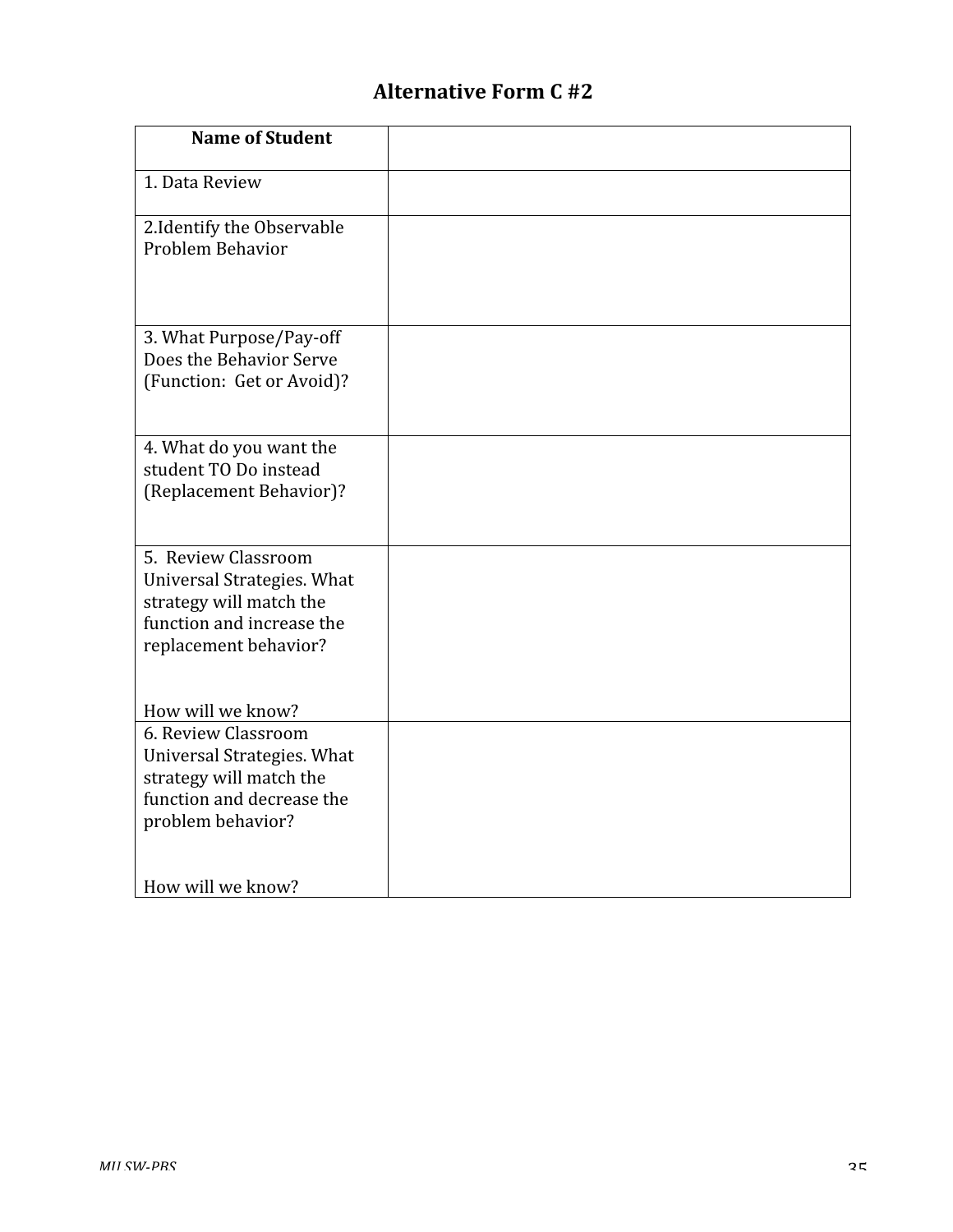# **Alternative
Form
C
#2**

| <b>Name of Student</b>                                                                                                             |  |
|------------------------------------------------------------------------------------------------------------------------------------|--|
| 1. Data Review                                                                                                                     |  |
| 2. Identify the Observable<br>Problem Behavior                                                                                     |  |
| 3. What Purpose/Pay-off<br>Does the Behavior Serve<br>(Function: Get or Avoid)?                                                    |  |
| 4. What do you want the<br>student TO Do instead<br>(Replacement Behavior)?                                                        |  |
| 5. Review Classroom<br>Universal Strategies. What<br>strategy will match the<br>function and increase the<br>replacement behavior? |  |
| How will we know?                                                                                                                  |  |
| 6. Review Classroom<br>Universal Strategies. What<br>strategy will match the<br>function and decrease the<br>problem behavior?     |  |
| How will we know?                                                                                                                  |  |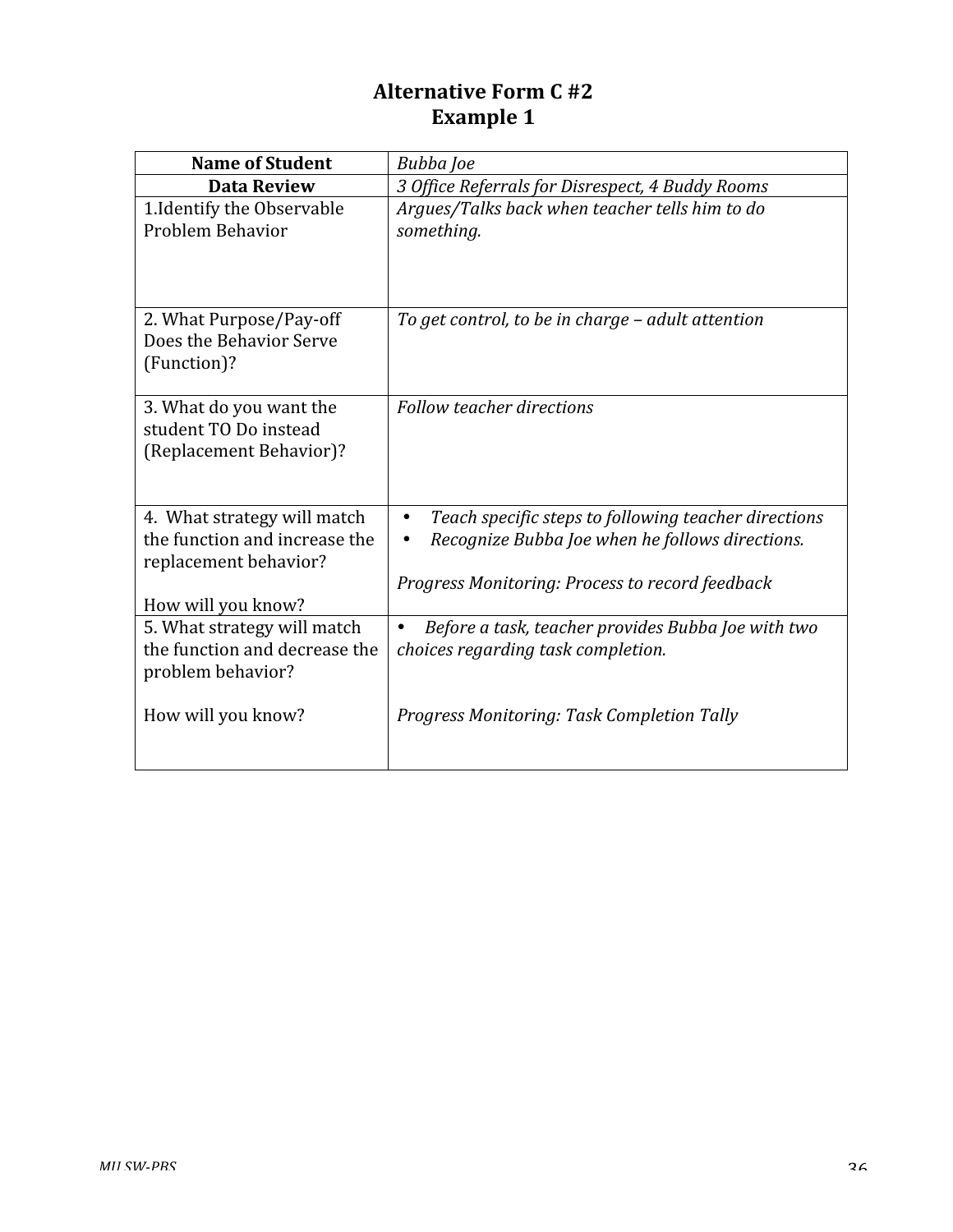# **Alternative
Form
C
#2 Example
1**

| <b>Name of Student</b>                                                                                      | Bubba Joe                                                                                                                                                               |  |
|-------------------------------------------------------------------------------------------------------------|-------------------------------------------------------------------------------------------------------------------------------------------------------------------------|--|
| <b>Data Review</b>                                                                                          | 3 Office Referrals for Disrespect, 4 Buddy Rooms                                                                                                                        |  |
| 1. Identify the Observable<br>Problem Behavior                                                              | Argues/Talks back when teacher tells him to do<br>something.                                                                                                            |  |
| 2. What Purpose/Pay-off<br>Does the Behavior Serve<br>(Function)?                                           | To get control, to be in charge - adult attention                                                                                                                       |  |
| 3. What do you want the<br>student TO Do instead<br>(Replacement Behavior)?                                 | <b>Follow teacher directions</b>                                                                                                                                        |  |
| 4. What strategy will match<br>the function and increase the<br>replacement behavior?<br>How will you know? | Teach specific steps to following teacher directions<br>$\bullet$<br>Recognize Bubba Joe when he follows directions.<br>Progress Monitoring: Process to record feedback |  |
| 5. What strategy will match<br>the function and decrease the<br>problem behavior?<br>How will you know?     | Before a task, teacher provides Bubba Joe with two<br>choices regarding task completion.<br>Progress Monitoring: Task Completion Tally                                  |  |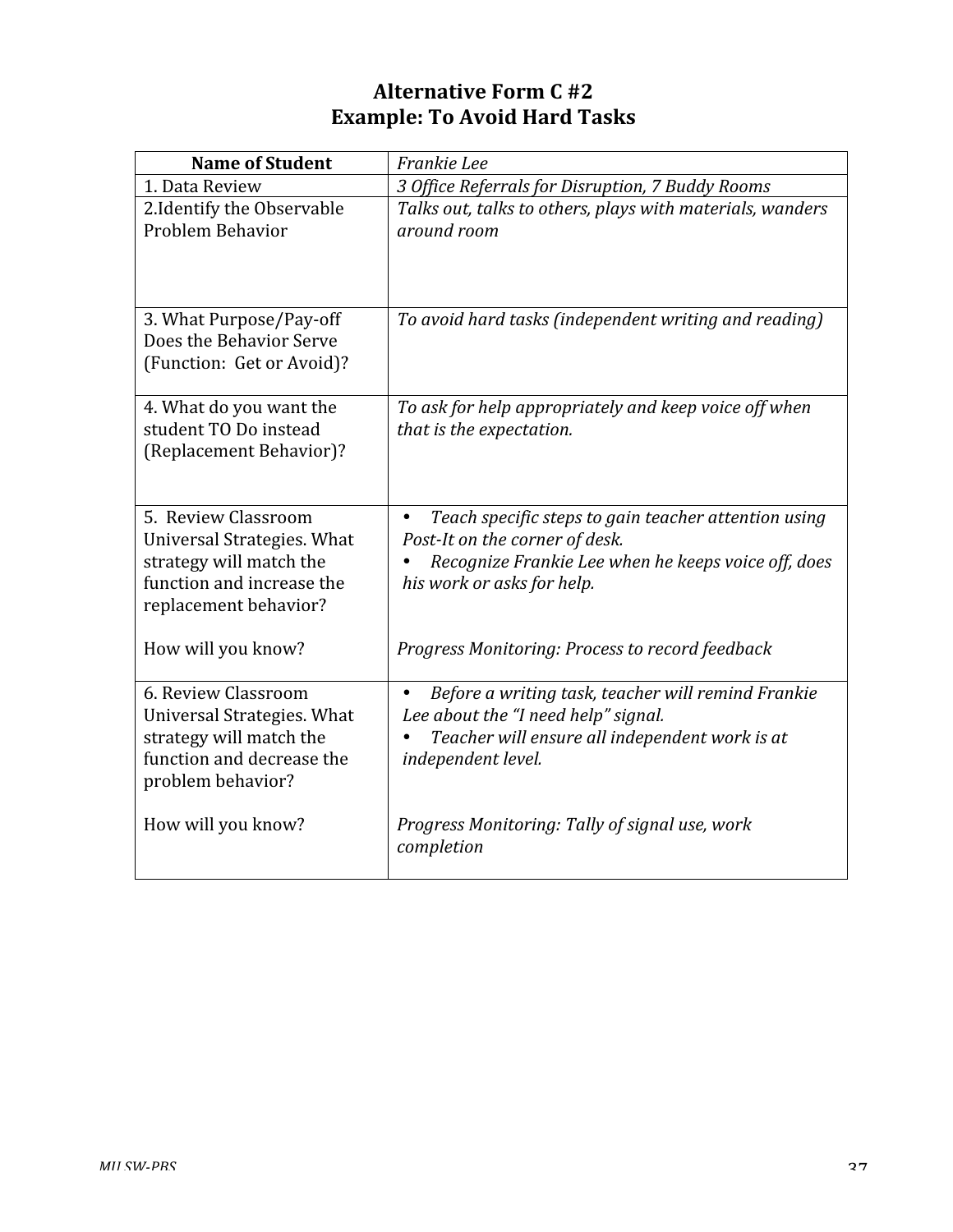# **Alternative
Form
C
#2 Example:
To
Avoid
Hard
Tasks**

| <b>Name of Student</b>                                                                                                             | Frankie Lee                                                                                                                                                                              |
|------------------------------------------------------------------------------------------------------------------------------------|------------------------------------------------------------------------------------------------------------------------------------------------------------------------------------------|
| 1. Data Review                                                                                                                     | 3 Office Referrals for Disruption, 7 Buddy Rooms                                                                                                                                         |
| 2. Identify the Observable<br>Problem Behavior                                                                                     | Talks out, talks to others, plays with materials, wanders<br>around room                                                                                                                 |
| 3. What Purpose/Pay-off<br>Does the Behavior Serve<br>(Function: Get or Avoid)?                                                    | To avoid hard tasks (independent writing and reading)                                                                                                                                    |
| 4. What do you want the<br>student TO Do instead<br>(Replacement Behavior)?                                                        | To ask for help appropriately and keep voice off when<br>that is the expectation.                                                                                                        |
| 5. Review Classroom<br>Universal Strategies. What<br>strategy will match the<br>function and increase the<br>replacement behavior? | Teach specific steps to gain teacher attention using<br>$\bullet$<br>Post-It on the corner of desk.<br>Recognize Frankie Lee when he keeps voice off, does<br>his work or asks for help. |
| How will you know?                                                                                                                 | Progress Monitoring: Process to record feedback                                                                                                                                          |
| 6. Review Classroom<br>Universal Strategies. What<br>strategy will match the<br>function and decrease the<br>problem behavior?     | Before a writing task, teacher will remind Frankie<br>Lee about the "I need help" signal.<br>Teacher will ensure all independent work is at<br>independent level.                        |
| How will you know?                                                                                                                 | Progress Monitoring: Tally of signal use, work<br>completion                                                                                                                             |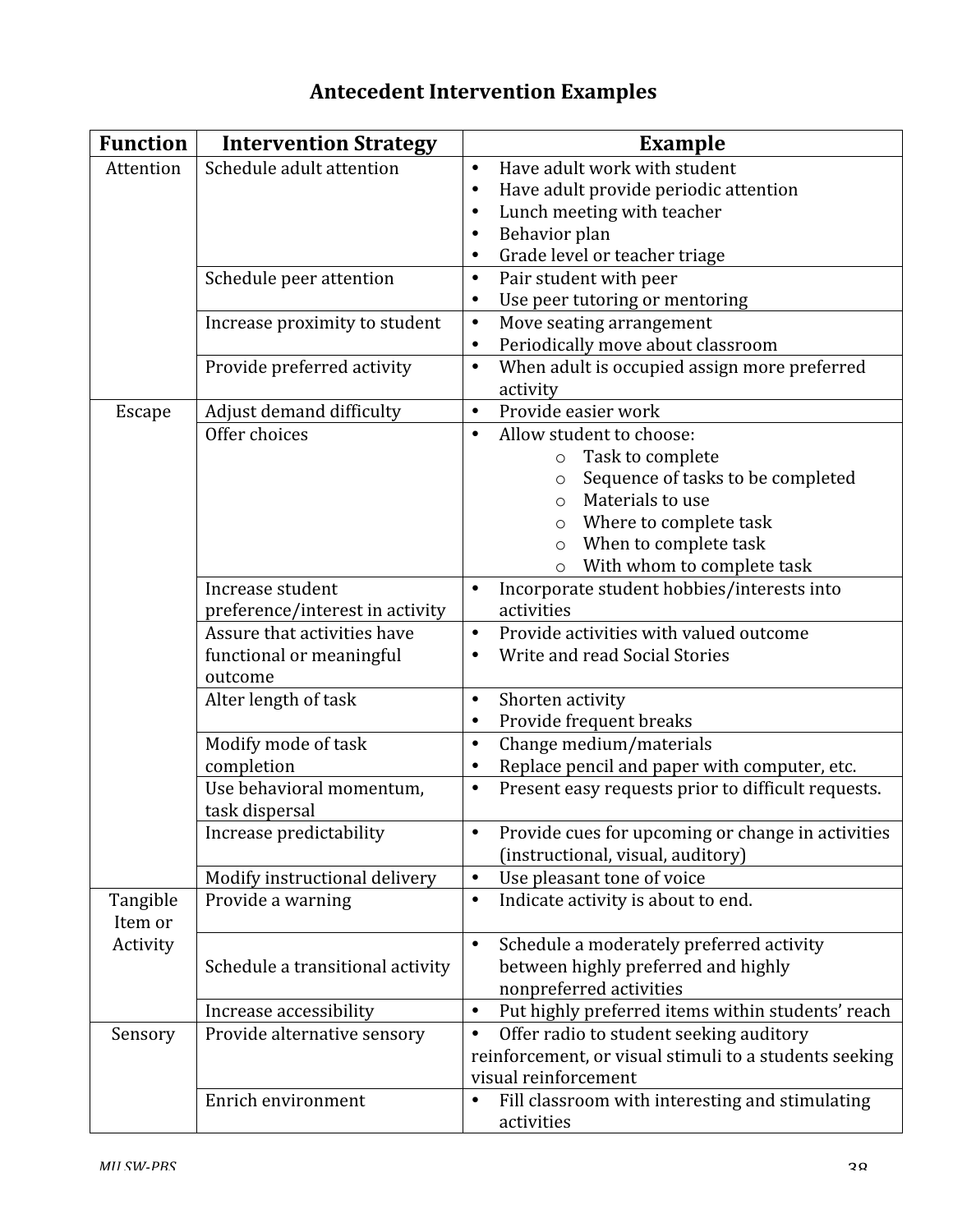# **Antecedent
Intervention
Examples**

| <b>Function</b> | <b>Intervention Strategy</b>     | <b>Example</b>                                                  |
|-----------------|----------------------------------|-----------------------------------------------------------------|
| Attention       | Schedule adult attention         | Have adult work with student<br>$\bullet$                       |
|                 |                                  | Have adult provide periodic attention<br>$\bullet$              |
|                 |                                  | Lunch meeting with teacher<br>$\bullet$                         |
|                 |                                  | Behavior plan<br>$\bullet$                                      |
|                 |                                  | Grade level or teacher triage<br>٠                              |
|                 | Schedule peer attention          | Pair student with peer<br>$\bullet$                             |
|                 |                                  | Use peer tutoring or mentoring<br>$\bullet$                     |
|                 | Increase proximity to student    | Move seating arrangement<br>$\bullet$                           |
|                 |                                  | Periodically move about classroom<br>$\bullet$                  |
|                 | Provide preferred activity       | When adult is occupied assign more preferred<br>$\bullet$       |
|                 |                                  | activity                                                        |
| <b>Escape</b>   | Adjust demand difficulty         | Provide easier work<br>$\bullet$                                |
|                 | Offer choices                    | Allow student to choose:<br>$\bullet$                           |
|                 |                                  | Task to complete<br>$\circ$                                     |
|                 |                                  | Sequence of tasks to be completed<br>$\circ$                    |
|                 |                                  | Materials to use<br>$\Omega$                                    |
|                 |                                  | Where to complete task<br>$\circ$                               |
|                 |                                  | When to complete task<br>$\circ$                                |
|                 |                                  | With whom to complete task<br>$\circ$                           |
|                 | Increase student                 | Incorporate student hobbies/interests into<br>$\bullet$         |
|                 | preference/interest in activity  | activities                                                      |
|                 | Assure that activities have      | Provide activities with valued outcome<br>$\bullet$             |
|                 | functional or meaningful         | Write and read Social Stories                                   |
|                 | outcome                          |                                                                 |
|                 | Alter length of task             | Shorten activity<br>$\bullet$                                   |
|                 |                                  | Provide frequent breaks<br>٠                                    |
|                 | Modify mode of task              | Change medium/materials<br>$\bullet$                            |
|                 | completion                       | Replace pencil and paper with computer, etc.<br>$\bullet$       |
|                 | Use behavioral momentum,         | Present easy requests prior to difficult requests.<br>$\bullet$ |
|                 | task dispersal                   |                                                                 |
|                 | Increase predictability          | Provide cues for upcoming or change in activities               |
|                 |                                  | (instructional, visual, auditory)                               |
|                 | Modify instructional delivery    | Use pleasant tone of voice<br>$\bullet$                         |
| Tangible        | Provide a warning                | Indicate activity is about to end.<br>$\bullet$                 |
| Item or         |                                  |                                                                 |
| Activity        |                                  | Schedule a moderately preferred activity<br>$\bullet$           |
|                 | Schedule a transitional activity | between highly preferred and highly                             |
|                 |                                  | nonpreferred activities                                         |
|                 | Increase accessibility           | Put highly preferred items within students' reach<br>$\bullet$  |
| Sensory         | Provide alternative sensory      | Offer radio to student seeking auditory<br>$\bullet$            |
|                 |                                  | reinforcement, or visual stimuli to a students seeking          |
|                 |                                  | visual reinforcement                                            |
|                 | Enrich environment               | Fill classroom with interesting and stimulating<br>$\bullet$    |
|                 |                                  | activities                                                      |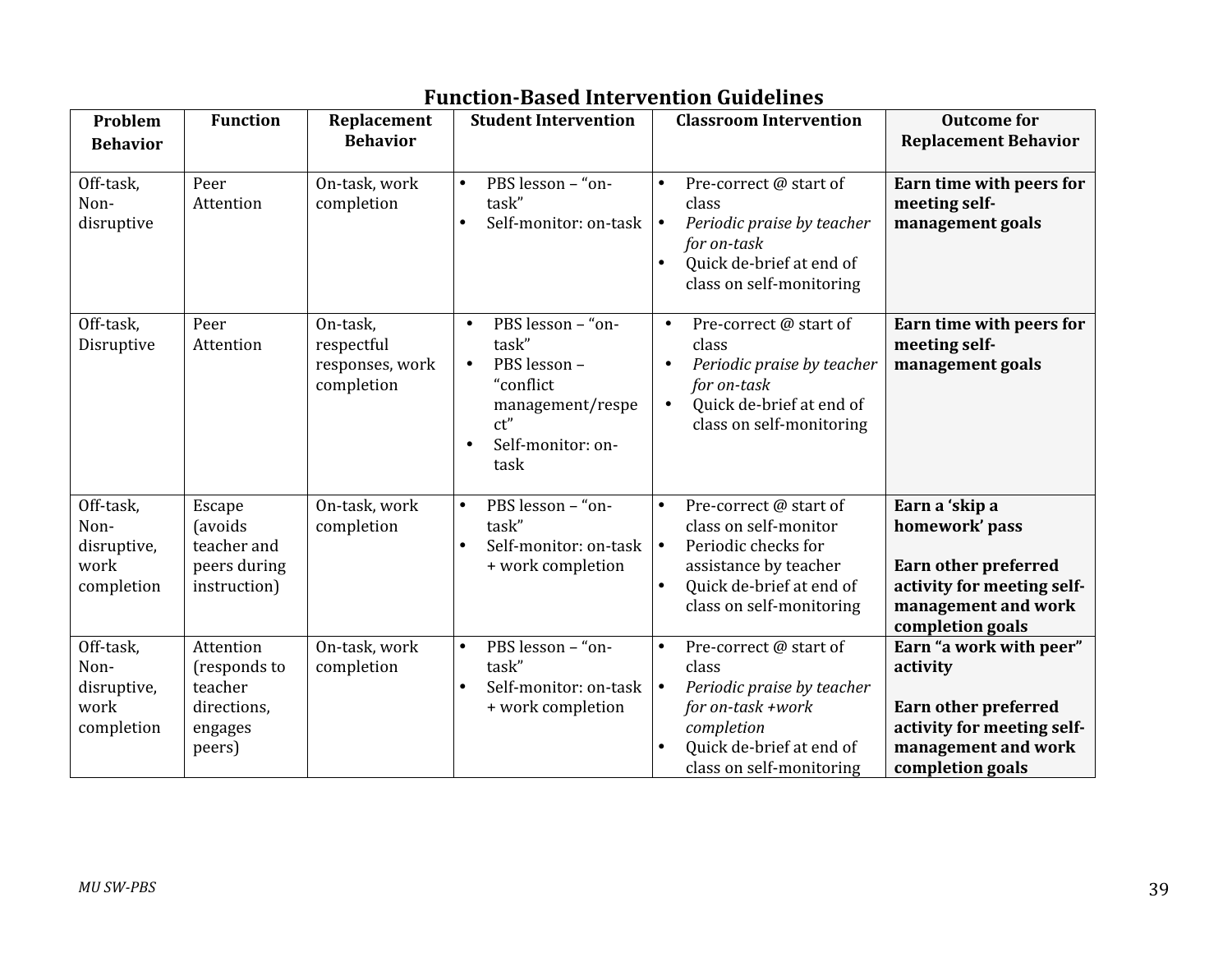| Problem<br><b>Behavior</b>                             | <b>Function</b>                                                          | Replacement<br><b>Behavior</b>                          | <b>Student Intervention</b>                                                                                                                  | <b>Classroom Intervention</b>                                                                                                                                                     | <b>Outcome for</b><br><b>Replacement Behavior</b>                                                                                           |
|--------------------------------------------------------|--------------------------------------------------------------------------|---------------------------------------------------------|----------------------------------------------------------------------------------------------------------------------------------------------|-----------------------------------------------------------------------------------------------------------------------------------------------------------------------------------|---------------------------------------------------------------------------------------------------------------------------------------------|
|                                                        |                                                                          |                                                         |                                                                                                                                              |                                                                                                                                                                                   |                                                                                                                                             |
| Off-task,<br>Non-<br>disruptive                        | Peer<br>Attention                                                        | On-task, work<br>completion                             | PBS lesson - "on-<br>task"<br>Self-monitor: on-task<br>$\bullet$                                                                             | Pre-correct @ start of<br>class<br>Periodic praise by teacher<br>$\bullet$<br>for on-task<br>Quick de-brief at end of<br>$\bullet$<br>class on self-monitoring                    | Earn time with peers for<br>meeting self-<br>management goals                                                                               |
| Off-task,<br>Disruptive                                | Peer<br>Attention                                                        | On-task,<br>respectful<br>responses, work<br>completion | PBS lesson - "on-<br>$\bullet$<br>task"<br>PBS lesson -<br>$\bullet$<br>"conflict<br>management/respe<br>$ct$ "<br>Self-monitor: on-<br>task | Pre-correct @ start of<br>class<br>Periodic praise by teacher<br>for on-task<br>Quick de-brief at end of<br>class on self-monitoring                                              | Earn time with peers for<br>meeting self-<br>management goals                                                                               |
| Off-task,<br>Non-<br>disruptive,<br>work<br>completion | Escape<br><i>(avoids</i><br>teacher and<br>peers during<br>instruction)  | On-task, work<br>completion                             | PBS lesson - "on-<br>$\bullet$<br>task"<br>Self-monitor: on-task<br>$\bullet$<br>+ work completion                                           | Pre-correct @ start of<br>$\bullet$<br>class on self-monitor<br>Periodic checks for<br>$\bullet$<br>assistance by teacher<br>Quick de-brief at end of<br>class on self-monitoring | Earn a 'skip a<br>homework' pass<br>Earn other preferred<br>activity for meeting self-<br>management and work<br>completion goals           |
| Off-task,<br>Non-<br>disruptive,<br>work<br>completion | Attention<br>(responds to<br>teacher<br>directions,<br>engages<br>peers) | On-task, work<br>completion                             | PBS lesson - "on-<br>$\bullet$<br>task"<br>Self-monitor: on-task<br>$\bullet$<br>+ work completion                                           | Pre-correct @ start of<br>class<br>Periodic praise by teacher<br>$\bullet$<br>for on-task +work<br>completion<br>Quick de-brief at end of<br>class on self-monitoring             | Earn "a work with peer"<br>activity<br><b>Earn other preferred</b><br>activity for meeting self-<br>management and work<br>completion goals |

# **Function-Based Intervention Guidelines**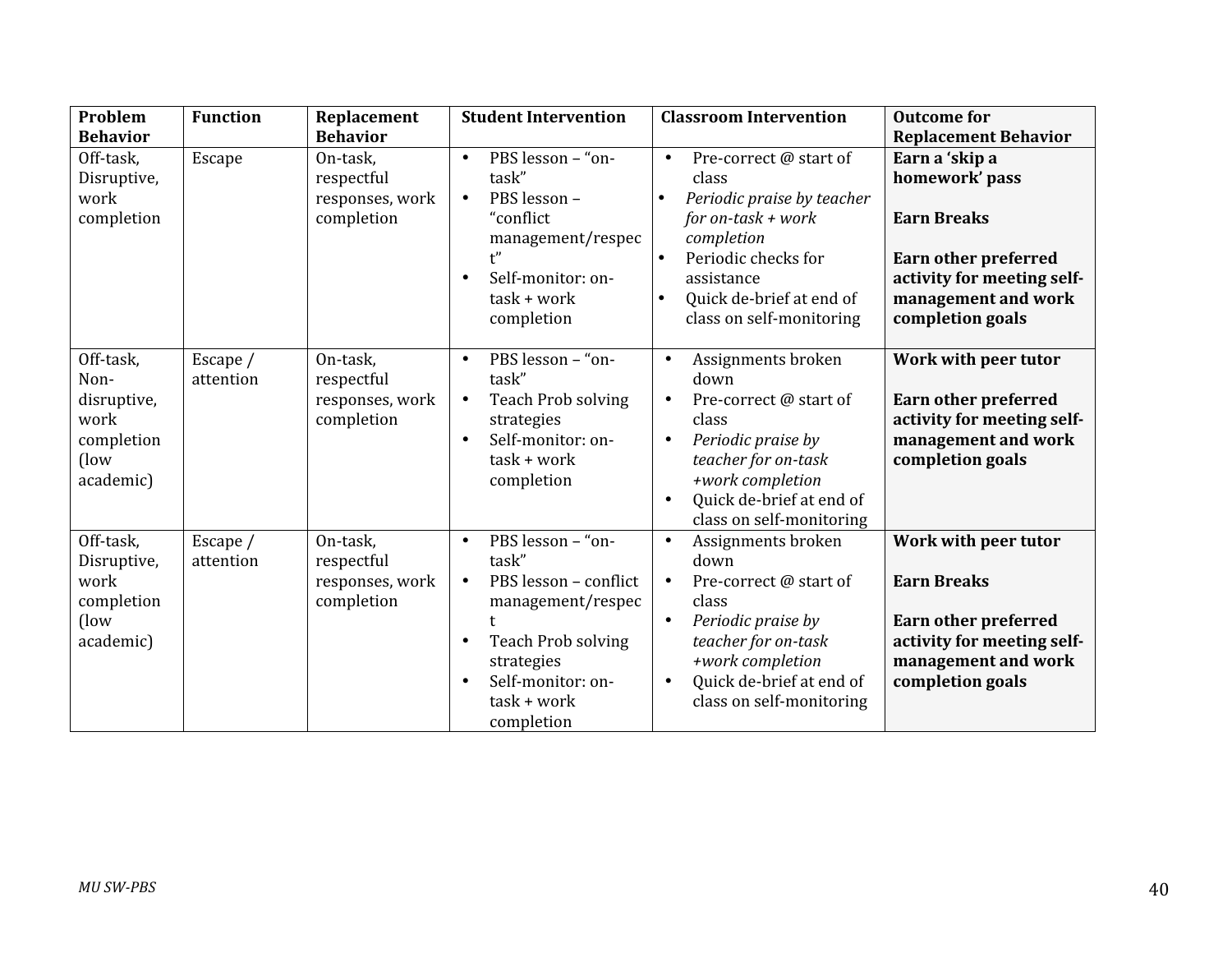| Problem                                                                        | <b>Function</b>       | Replacement                                             | <b>Student Intervention</b>                                                                                                                                                                       | <b>Classroom Intervention</b>                                                                                                                                                                                    | <b>Outcome for</b>                                                                                                                                             |
|--------------------------------------------------------------------------------|-----------------------|---------------------------------------------------------|---------------------------------------------------------------------------------------------------------------------------------------------------------------------------------------------------|------------------------------------------------------------------------------------------------------------------------------------------------------------------------------------------------------------------|----------------------------------------------------------------------------------------------------------------------------------------------------------------|
| <b>Behavior</b>                                                                |                       | <b>Behavior</b>                                         |                                                                                                                                                                                                   |                                                                                                                                                                                                                  | <b>Replacement Behavior</b>                                                                                                                                    |
| Off-task,<br>Disruptive,<br>work<br>completion                                 | Escape                | On-task,<br>respectful<br>responses, work<br>completion | PBS lesson - "on-<br>$\bullet$<br>task"<br>PBS lesson -<br>$\bullet$<br>"conflict<br>management/respec<br>Self-monitor: on-<br>$\bullet$<br>$task + work$<br>completion                           | Pre-correct @ start of<br>$\bullet$<br>class<br>Periodic praise by teacher<br>for on-task $+$ work<br>completion<br>Periodic checks for<br>assistance<br>Quick de-brief at end of<br>class on self-monitoring    | Earn a 'skip a<br>homework' pass<br><b>Earn Breaks</b><br><b>Earn other preferred</b><br>activity for meeting self-<br>management and work<br>completion goals |
| Off-task,<br>Non-<br>disruptive,<br>work<br>completion<br>$($ low<br>academic) | Escape /<br>attention | On-task,<br>respectful<br>responses, work<br>completion | PBS lesson - "on-<br>$\bullet$<br>task"<br><b>Teach Prob solving</b><br>$\bullet$<br>strategies<br>Self-monitor: on-<br>$\bullet$<br>$task + work$<br>completion                                  | Assignments broken<br>$\bullet$<br>down<br>Pre-correct @ start of<br>class<br>Periodic praise by<br>$\bullet$<br>teacher for on-task<br>+work completion<br>Quick de-brief at end of<br>class on self-monitoring | Work with peer tutor<br><b>Earn other preferred</b><br>activity for meeting self-<br>management and work<br>completion goals                                   |
| Off-task,<br>Disruptive,<br>work<br>completion<br>(low<br>academic)            | Escape /<br>attention | On-task,<br>respectful<br>responses, work<br>completion | PBS lesson - "on-<br>$\bullet$<br>task"<br>PBS lesson - conflict<br>$\bullet$<br>management/respec<br><b>Teach Prob solving</b><br>strategies<br>Self-monitor: on-<br>$task + work$<br>completion | Assignments broken<br>$\bullet$<br>down<br>Pre-correct @ start of<br>class<br>Periodic praise by<br>teacher for on-task<br>+work completion<br>Quick de-brief at end of<br>$\bullet$<br>class on self-monitoring | Work with peer tutor<br><b>Earn Breaks</b><br>Earn other preferred<br>activity for meeting self-<br>management and work<br>completion goals                    |